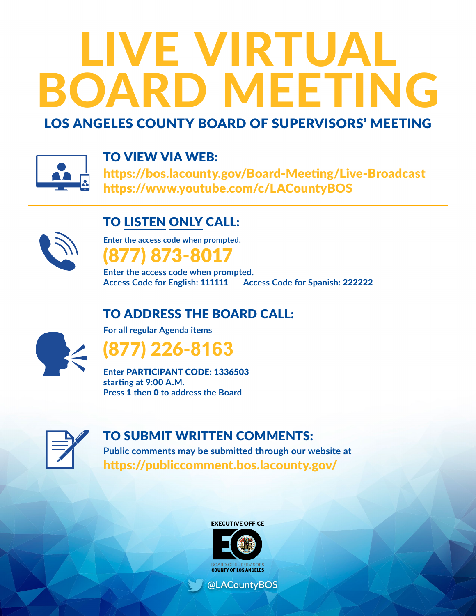# LIVE VIRTUAL BOARD MEETING

# LOS ANGELES COUNTY BOARD OF SUPERVISORS' MEETING



## TO VIEW VIA WEB:

https://bos.lacounty.gov/Board-Meeting/Live-Broadcast https://www.youtube.com/c/LACountyBOS

# TO LISTEN ONLY CALL:



**Enter the access code when prompted.**  (877) 873-8017

**Enter the access code when prompted. Access Code for English:** 111111 **Access Code for Spanish:** 222222

# TO ADDRESS THE BOARD CALL:



**For all regular Agenda items**

(877) 226-**8163**

**Enter** PARTICIPANT CODE: 1336503 **starting at 9:00 A.M. Press** 1 **then** 0 **to address the Board**



# TO SUBMIT WRITTEN COMMENTS:

**Public comments may be submitted through our website at** https://publiccomment.bos.lacounty.gov/



@LACountyBOS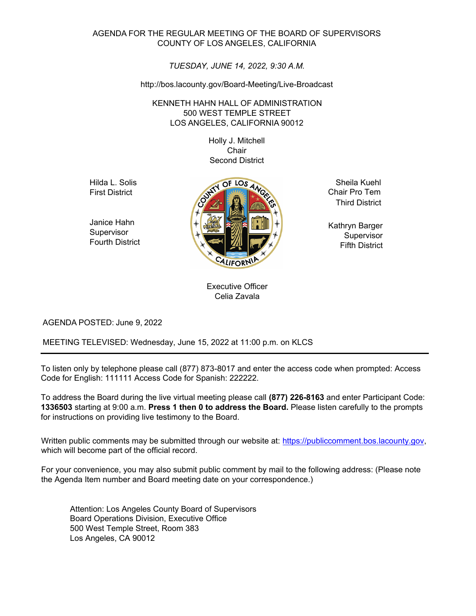#### AGENDA FOR THE REGULAR MEETING OF THE BOARD OF SUPERVISORS COUNTY OF LOS ANGELES, CALIFORNIA

#### *TUESDAY, JUNE 14, 2022, 9:30 A.M.*

#### http://bos.lacounty.gov/Board-Meeting/Live-Broadcast

#### KENNETH HAHN HALL OF ADMINISTRATION 500 WEST TEMPLE STREET LOS ANGELES, CALIFORNIA 90012

Holly J. Mitchell **Chair** Second District

Hilda L. Solis First District

Janice Hahn **Supervisor** Fourth District



Sheila Kuehl Chair Pro Tem Third District

Kathryn Barger Supervisor Fifth District

Executive Officer Celia Zavala

AGENDA POSTED: June 9, 2022

MEETING TELEVISED: Wednesday, June 15, 2022 at 11:00 p.m. on KLCS

To listen only by telephone please call (877) 873-8017 and enter the access code when prompted: Access Code for English: 111111 Access Code for Spanish: 222222.

To address the Board during the live virtual meeting please call **(877) 226-8163** and enter Participant Code: **1336503** starting at 9:00 a.m. **Press 1 then 0 to address the Board.** Please listen carefully to the prompts for instructions on providing live testimony to the Board.

Written public comments may be submitted through our website at: https://publiccomment.bos.lacounty.gov, which will become part of the official record.

For your convenience, you may also submit public comment by mail to the following address: (Please note the Agenda Item number and Board meeting date on your correspondence.)

Attention: Los Angeles County Board of Supervisors Board Operations Division, Executive Office 500 West Temple Street, Room 383 Los Angeles, CA 90012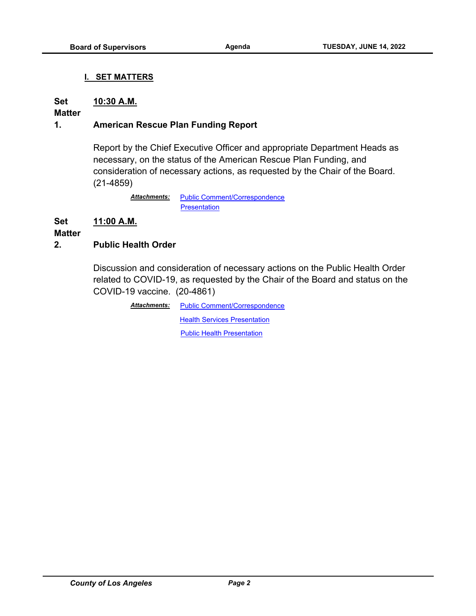#### **I. SET MATTERS**

#### **Set 10:30 A.M.**

#### **Matter**

#### **1. American Rescue Plan Funding Report**

Report by the Chief Executive Officer and appropriate Department Heads as necessary, on the status of the American Rescue Plan Funding, and consideration of necessary actions, as requested by the Chair of the Board. (21-4859)

> *Attachments:* [Public Comment/Correspondence](http://file.lacounty.gov/SDSInter/bos/supdocs/169687.pdf) **Presentation**

#### **Set 11:00 A.M.**

#### **Matter**

#### **2. Public Health Order**

Discussion and consideration of necessary actions on the Public Health Order related to COVID-19, as requested by the Chair of the Board and status on the COVID-19 vaccine. (20-4861)

> Attachments: [Public Comment/Correspondence](http://file.lacounty.gov/SDSInter/bos/supdocs/169688.pdf) [Health Services Presentation](http://file.lacounty.gov/SDSInter/bos/supdocs/169926.pdf) [Public Health Presentation](http://file.lacounty.gov/SDSInter/bos/supdocs/169936.pdf)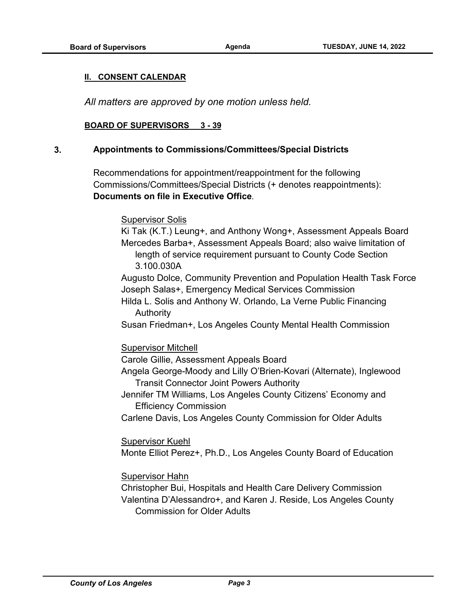#### **II. CONSENT CALENDAR**

*All matters are approved by one motion unless held.*

#### **BOARD OF SUPERVISORS 3 - 39**

#### **3. Appointments to Commissions/Committees/Special Districts**

Recommendations for appointment/reappointment for the following Commissions/Committees/Special Districts (+ denotes reappointments): **Documents on file in Executive Office**.

#### Supervisor Solis

Ki Tak (K.T.) Leung+, and Anthony Wong+, Assessment Appeals Board Mercedes Barba+, Assessment Appeals Board; also waive limitation of length of service requirement pursuant to County Code Section 3.100.030A

Augusto Dolce, Community Prevention and Population Health Task Force Joseph Salas+, Emergency Medical Services Commission

Hilda L. Solis and Anthony W. Orlando, La Verne Public Financing Authority

Susan Friedman+, Los Angeles County Mental Health Commission

#### Supervisor Mitchell

Carole Gillie, Assessment Appeals Board

Angela George-Moody and Lilly O'Brien-Kovari (Alternate), Inglewood Transit Connector Joint Powers Authority

Jennifer TM Williams, Los Angeles County Citizens' Economy and Efficiency Commission

Carlene Davis, Los Angeles County Commission for Older Adults

Supervisor Kuehl

Monte Elliot Perez+, Ph.D., Los Angeles County Board of Education

Supervisor Hahn

Christopher Bui, Hospitals and Health Care Delivery Commission Valentina D'Alessandro+, and Karen J. Reside, Los Angeles County Commission for Older Adults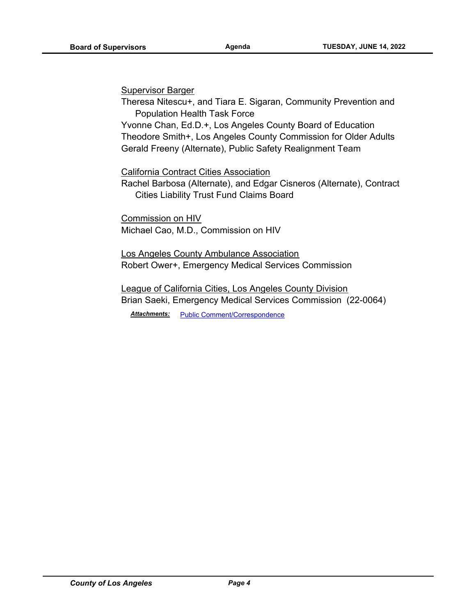#### Supervisor Barger

Theresa Nitescu+, and Tiara E. Sigaran, Community Prevention and Population Health Task Force

Yvonne Chan, Ed.D.+, Los Angeles County Board of Education Theodore Smith+, Los Angeles County Commission for Older Adults Gerald Freeny (Alternate), Public Safety Realignment Team

California Contract Cities Association

Rachel Barbosa (Alternate), and Edgar Cisneros (Alternate), Contract Cities Liability Trust Fund Claims Board

Commission on HIV Michael Cao, M.D., Commission on HIV

Los Angeles County Ambulance Association Robert Ower+, Emergency Medical Services Commission

League of California Cities, Los Angeles County Division Brian Saeki, Emergency Medical Services Commission (22-0064)

*Attachments:* [Public Comment/Correspondence](http://file.lacounty.gov/SDSInter/bos/supdocs/164766.pdf)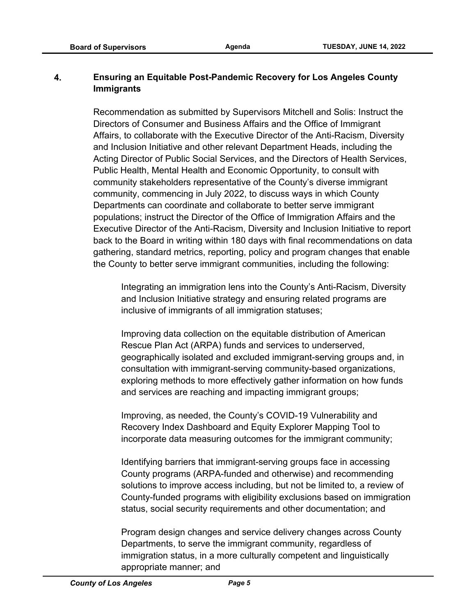## **4. Ensuring an Equitable Post-Pandemic Recovery for Los Angeles County Immigrants**

Recommendation as submitted by Supervisors Mitchell and Solis: Instruct the Directors of Consumer and Business Affairs and the Office of Immigrant Affairs, to collaborate with the Executive Director of the Anti-Racism, Diversity and Inclusion Initiative and other relevant Department Heads, including the Acting Director of Public Social Services, and the Directors of Health Services, Public Health, Mental Health and Economic Opportunity, to consult with community stakeholders representative of the County's diverse immigrant community, commencing in July 2022, to discuss ways in which County Departments can coordinate and collaborate to better serve immigrant populations; instruct the Director of the Office of Immigration Affairs and the Executive Director of the Anti-Racism, Diversity and Inclusion Initiative to report back to the Board in writing within 180 days with final recommendations on data gathering, standard metrics, reporting, policy and program changes that enable the County to better serve immigrant communities, including the following:

Integrating an immigration lens into the County's Anti-Racism, Diversity and Inclusion Initiative strategy and ensuring related programs are inclusive of immigrants of all immigration statuses;

Improving data collection on the equitable distribution of American Rescue Plan Act (ARPA) funds and services to underserved, geographically isolated and excluded immigrant-serving groups and, in consultation with immigrant-serving community-based organizations, exploring methods to more effectively gather information on how funds and services are reaching and impacting immigrant groups;

Improving, as needed, the County's COVID-19 Vulnerability and Recovery Index Dashboard and Equity Explorer Mapping Tool to incorporate data measuring outcomes for the immigrant community;

Identifying barriers that immigrant-serving groups face in accessing County programs (ARPA-funded and otherwise) and recommending solutions to improve access including, but not be limited to, a review of County-funded programs with eligibility exclusions based on immigration status, social security requirements and other documentation; and

Program design changes and service delivery changes across County Departments, to serve the immigrant community, regardless of immigration status, in a more culturally competent and linguistically appropriate manner; and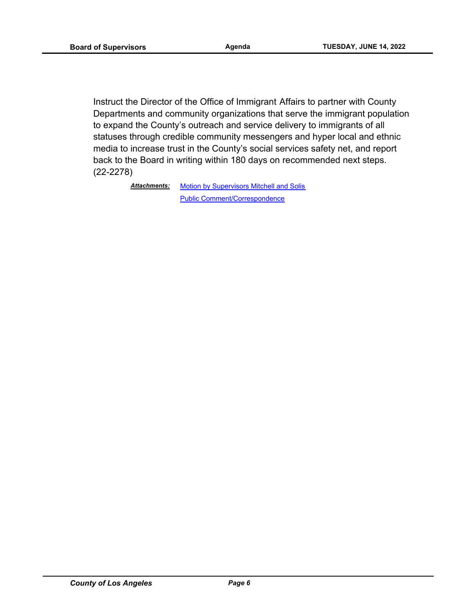Instruct the Director of the Office of Immigrant Affairs to partner with County Departments and community organizations that serve the immigrant population to expand the County's outreach and service delivery to immigrants of all statuses through credible community messengers and hyper local and ethnic media to increase trust in the County's social services safety net, and report back to the Board in writing within 180 days on recommended next steps. (22-2278)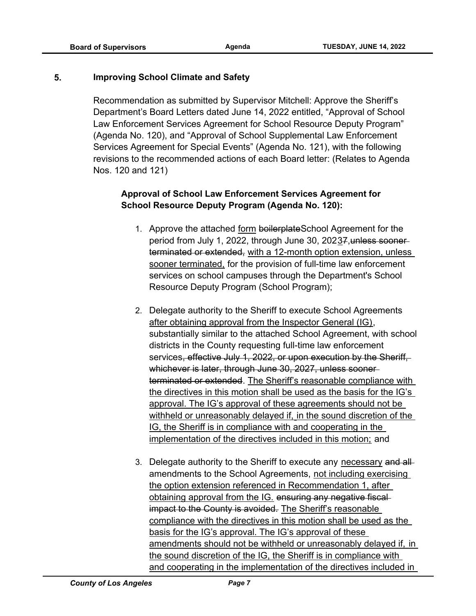#### **5. Improving School Climate and Safety**

Recommendation as submitted by Supervisor Mitchell: Approve the Sheriff's Department's Board Letters dated June 14, 2022 entitled, "Approval of School Law Enforcement Services Agreement for School Resource Deputy Program" (Agenda No. 120), and "Approval of School Supplemental Law Enforcement Services Agreement for Special Events" (Agenda No. 121), with the following revisions to the recommended actions of each Board letter: (Relates to Agenda Nos. 120 and 121)

#### **Approval of School Law Enforcement Services Agreement for School Resource Deputy Program (Agenda No. 120):**

- 1. Approve the attached form boilerplateSchool Agreement for the period from July 1, 2022, through June 30, 20237, unless soonerterminated or extended, with a 12-month option extension, unless sooner terminated, for the provision of full-time law enforcement services on school campuses through the Department's School Resource Deputy Program (School Program);
- 2. Delegate authority to the Sheriff to execute School Agreements after obtaining approval from the Inspector General (IG), substantially similar to the attached School Agreement, with school districts in the County requesting full-time law enforcement services, effective July 1, 2022, or upon execution by the Sheriff, whichever is later, through June 30, 2027, unless sooner terminated or extended. The Sheriff's reasonable compliance with the directives in this motion shall be used as the basis for the IG's approval. The IG's approval of these agreements should not be withheld or unreasonably delayed if, in the sound discretion of the IG, the Sheriff is in compliance with and cooperating in the implementation of the directives included in this motion; and
- 3. Delegate authority to the Sheriff to execute any necessary and allamendments to the School Agreements, not including exercising the option extension referenced in Recommendation 1, after obtaining approval from the IG. ensuring any negative fiscal impact to the County is avoided. The Sheriff's reasonable compliance with the directives in this motion shall be used as the basis for the IG's approval. The IG's approval of these amendments should not be withheld or unreasonably delayed if, in the sound discretion of the IG, the Sheriff is in compliance with and cooperating in the implementation of the directives included in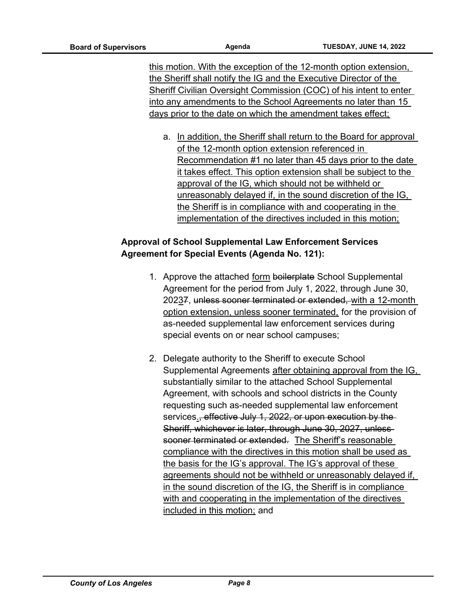this motion. With the exception of the 12-month option extension, the Sheriff shall notify the IG and the Executive Director of the Sheriff Civilian Oversight Commission (COC) of his intent to enter into any amendments to the School Agreements no later than 15 days prior to the date on which the amendment takes effect;

a. In addition, the Sheriff shall return to the Board for approval of the 12-month option extension referenced in Recommendation #1 no later than 45 days prior to the date it takes effect. This option extension shall be subject to the approval of the IG, which should not be withheld or unreasonably delayed if, in the sound discretion of the IG, the Sheriff is in compliance with and cooperating in the implementation of the directives included in this motion;

## **Approval of School Supplemental Law Enforcement Services Agreement for Special Events (Agenda No. 121):**

- 1. Approve the attached form boilerplate School Supplemental Agreement for the period from July 1, 2022, through June 30, 20237, unless sooner terminated or extended, with a 12-month option extension, unless sooner terminated, for the provision of as-needed supplemental law enforcement services during special events on or near school campuses;
- 2. Delegate authority to the Sheriff to execute School Supplemental Agreements after obtaining approval from the IG, substantially similar to the attached School Supplemental Agreement, with schools and school districts in the County requesting such as-needed supplemental law enforcement services., effective July 1, 2022, or upon execution by the Sheriff, whichever is later, through June 30, 2027, unlesssooner terminated or extended. The Sheriff's reasonable compliance with the directives in this motion shall be used as the basis for the IG's approval. The IG's approval of these agreements should not be withheld or unreasonably delayed if, in the sound discretion of the IG, the Sheriff is in compliance with and cooperating in the implementation of the directives included in this motion; and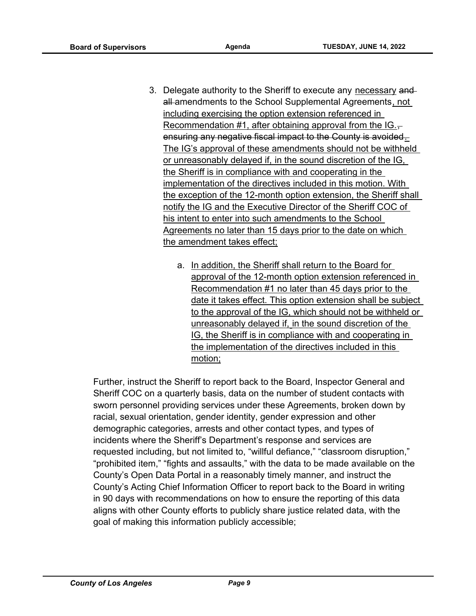- 3. Delegate authority to the Sheriff to execute any necessary and all amendments to the School Supplemental Agreements, not including exercising the option extension referenced in Recommendation #1, after obtaining approval from the  $IG.$ ensuring any negative fiscal impact to the County is avoided. The IG's approval of these amendments should not be withheld or unreasonably delayed if, in the sound discretion of the IG, the Sheriff is in compliance with and cooperating in the implementation of the directives included in this motion. With the exception of the 12-month option extension, the Sheriff shall notify the IG and the Executive Director of the Sheriff COC of his intent to enter into such amendments to the School Agreements no later than 15 days prior to the date on which the amendment takes effect;
	- a. In addition, the Sheriff shall return to the Board for approval of the 12-month option extension referenced in Recommendation #1 no later than 45 days prior to the date it takes effect. This option extension shall be subject to the approval of the IG, which should not be withheld or unreasonably delayed if, in the sound discretion of the IG, the Sheriff is in compliance with and cooperating in the implementation of the directives included in this motion;

Further, instruct the Sheriff to report back to the Board, Inspector General and Sheriff COC on a quarterly basis, data on the number of student contacts with sworn personnel providing services under these Agreements, broken down by racial, sexual orientation, gender identity, gender expression and other demographic categories, arrests and other contact types, and types of incidents where the Sheriff's Department's response and services are requested including, but not limited to, "willful defiance," "classroom disruption," "prohibited item," "fights and assaults," with the data to be made available on the County's Open Data Portal in a reasonably timely manner, and instruct the County's Acting Chief Information Officer to report back to the Board in writing in 90 days with recommendations on how to ensure the reporting of this data aligns with other County efforts to publicly share justice related data, with the goal of making this information publicly accessible;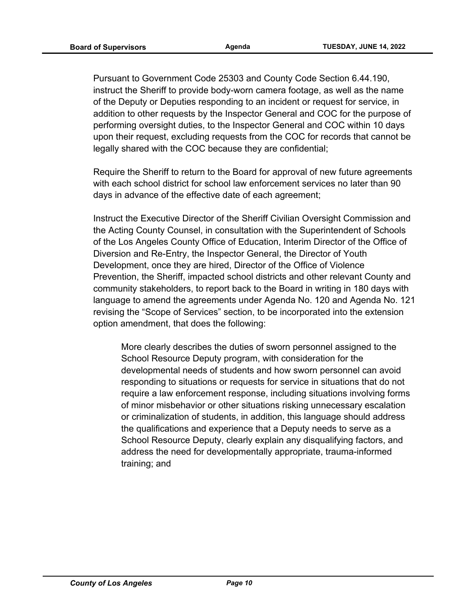Pursuant to Government Code 25303 and County Code Section 6.44.190, instruct the Sheriff to provide body-worn camera footage, as well as the name of the Deputy or Deputies responding to an incident or request for service, in addition to other requests by the Inspector General and COC for the purpose of performing oversight duties, to the Inspector General and COC within 10 days upon their request, excluding requests from the COC for records that cannot be legally shared with the COC because they are confidential;

Require the Sheriff to return to the Board for approval of new future agreements with each school district for school law enforcement services no later than 90 days in advance of the effective date of each agreement;

Instruct the Executive Director of the Sheriff Civilian Oversight Commission and the Acting County Counsel, in consultation with the Superintendent of Schools of the Los Angeles County Office of Education, Interim Director of the Office of Diversion and Re-Entry, the Inspector General, the Director of Youth Development, once they are hired, Director of the Office of Violence Prevention, the Sheriff, impacted school districts and other relevant County and community stakeholders, to report back to the Board in writing in 180 days with language to amend the agreements under Agenda No. 120 and Agenda No. 121 revising the "Scope of Services" section, to be incorporated into the extension option amendment, that does the following:

More clearly describes the duties of sworn personnel assigned to the School Resource Deputy program, with consideration for the developmental needs of students and how sworn personnel can avoid responding to situations or requests for service in situations that do not require a law enforcement response, including situations involving forms of minor misbehavior or other situations risking unnecessary escalation or criminalization of students, in addition, this language should address the qualifications and experience that a Deputy needs to serve as a School Resource Deputy, clearly explain any disqualifying factors, and address the need for developmentally appropriate, trauma-informed training; and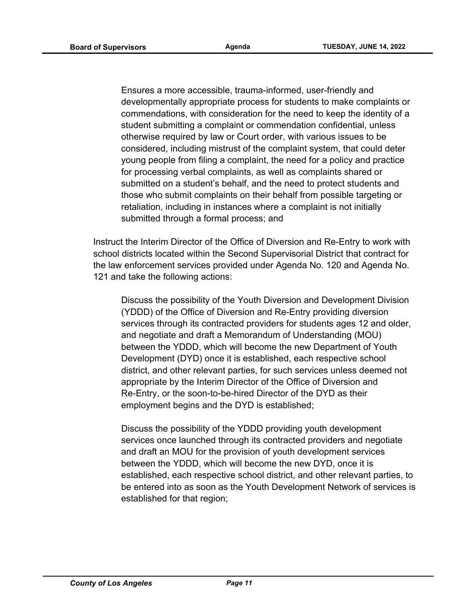Ensures a more accessible, trauma-informed, user-friendly and developmentally appropriate process for students to make complaints or commendations, with consideration for the need to keep the identity of a student submitting a complaint or commendation confidential, unless otherwise required by law or Court order, with various issues to be considered, including mistrust of the complaint system, that could deter young people from filing a complaint, the need for a policy and practice for processing verbal complaints, as well as complaints shared or submitted on a student's behalf, and the need to protect students and those who submit complaints on their behalf from possible targeting or retaliation, including in instances where a complaint is not initially submitted through a formal process; and

Instruct the Interim Director of the Office of Diversion and Re-Entry to work with school districts located within the Second Supervisorial District that contract for the law enforcement services provided under Agenda No. 120 and Agenda No. 121 and take the following actions:

Discuss the possibility of the Youth Diversion and Development Division (YDDD) of the Office of Diversion and Re-Entry providing diversion services through its contracted providers for students ages 12 and older, and negotiate and draft a Memorandum of Understanding (MOU) between the YDDD, which will become the new Department of Youth Development (DYD) once it is established, each respective school district, and other relevant parties, for such services unless deemed not appropriate by the Interim Director of the Office of Diversion and Re-Entry, or the soon-to-be-hired Director of the DYD as their employment begins and the DYD is established;

Discuss the possibility of the YDDD providing youth development services once launched through its contracted providers and negotiate and draft an MOU for the provision of youth development services between the YDDD, which will become the new DYD, once it is established, each respective school district, and other relevant parties, to be entered into as soon as the Youth Development Network of services is established for that region;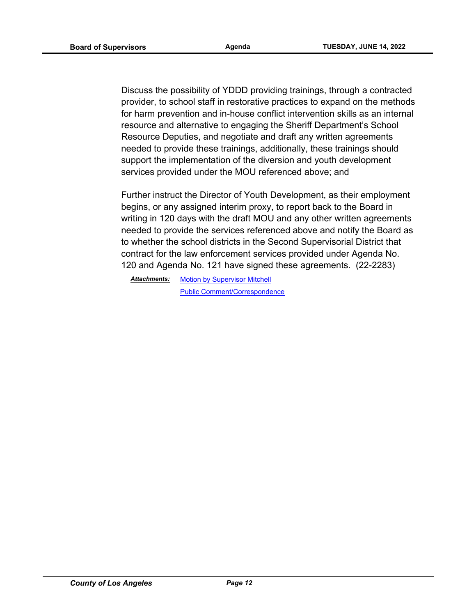Discuss the possibility of YDDD providing trainings, through a contracted provider, to school staff in restorative practices to expand on the methods for harm prevention and in-house conflict intervention skills as an internal resource and alternative to engaging the Sheriff Department's School Resource Deputies, and negotiate and draft any written agreements needed to provide these trainings, additionally, these trainings should support the implementation of the diversion and youth development services provided under the MOU referenced above; and

Further instruct the Director of Youth Development, as their employment begins, or any assigned interim proxy, to report back to the Board in writing in 120 days with the draft MOU and any other written agreements needed to provide the services referenced above and notify the Board as to whether the school districts in the Second Supervisorial District that contract for the law enforcement services provided under Agenda No. 120 and Agenda No. 121 have signed these agreements. (22-2283)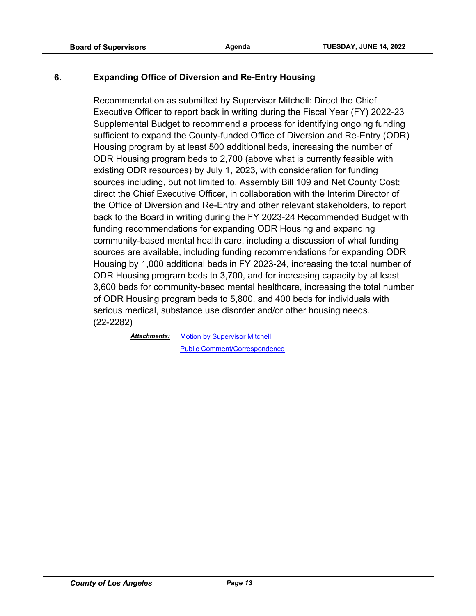#### **6. Expanding Office of Diversion and Re-Entry Housing**

Recommendation as submitted by Supervisor Mitchell: Direct the Chief Executive Officer to report back in writing during the Fiscal Year (FY) 2022-23 Supplemental Budget to recommend a process for identifying ongoing funding sufficient to expand the County-funded Office of Diversion and Re-Entry (ODR) Housing program by at least 500 additional beds, increasing the number of ODR Housing program beds to 2,700 (above what is currently feasible with existing ODR resources) by July 1, 2023, with consideration for funding sources including, but not limited to, Assembly Bill 109 and Net County Cost; direct the Chief Executive Officer, in collaboration with the Interim Director of the Office of Diversion and Re-Entry and other relevant stakeholders, to report back to the Board in writing during the FY 2023-24 Recommended Budget with funding recommendations for expanding ODR Housing and expanding community-based mental health care, including a discussion of what funding sources are available, including funding recommendations for expanding ODR Housing by 1,000 additional beds in FY 2023-24, increasing the total number of ODR Housing program beds to 3,700, and for increasing capacity by at least 3,600 beds for community-based mental healthcare, increasing the total number of ODR Housing program beds to 5,800, and 400 beds for individuals with serious medical, substance use disorder and/or other housing needs. (22-2282)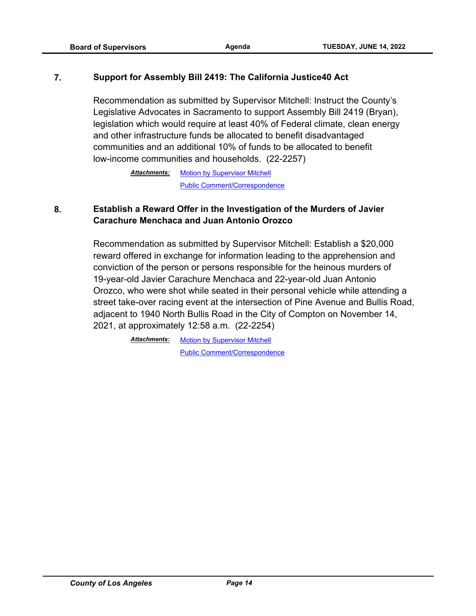#### **7. Support for Assembly Bill 2419: The California Justice40 Act**

Recommendation as submitted by Supervisor Mitchell: Instruct the County's Legislative Advocates in Sacramento to support Assembly Bill 2419 (Bryan), legislation which would require at least 40% of Federal climate, clean energy and other infrastructure funds be allocated to benefit disadvantaged communities and an additional 10% of funds to be allocated to benefit low-income communities and households. (22-2257)

> Attachments: [Motion by Supervisor Mitchell](http://file.lacounty.gov/SDSInter/bos/supdocs/169767.pdf) [Public Comment/Correspondence](http://file.lacounty.gov/SDSInter/bos/supdocs/169768.pdf)

#### **8. Establish a Reward Offer in the Investigation of the Murders of Javier Carachure Menchaca and Juan Antonio Orozco**

Recommendation as submitted by Supervisor Mitchell: Establish a \$20,000 reward offered in exchange for information leading to the apprehension and conviction of the person or persons responsible for the heinous murders of 19-year-old Javier Carachure Menchaca and 22-year-old Juan Antonio Orozco, who were shot while seated in their personal vehicle while attending a street take-over racing event at the intersection of Pine Avenue and Bullis Road, adjacent to 1940 North Bullis Road in the City of Compton on November 14, 2021, at approximately 12:58 a.m. (22-2254)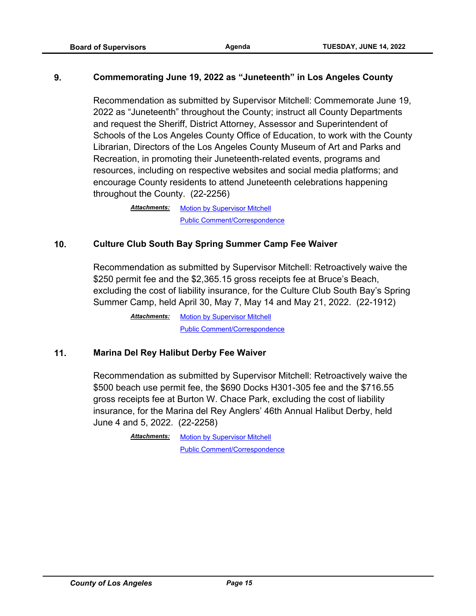#### **9. Commemorating June 19, 2022 as "Juneteenth" in Los Angeles County**

Recommendation as submitted by Supervisor Mitchell: Commemorate June 19, 2022 as "Juneteenth" throughout the County; instruct all County Departments and request the Sheriff, District Attorney, Assessor and Superintendent of Schools of the Los Angeles County Office of Education, to work with the County Librarian, Directors of the Los Angeles County Museum of Art and Parks and Recreation, in promoting their Juneteenth-related events, programs and resources, including on respective websites and social media platforms; and encourage County residents to attend Juneteenth celebrations happening throughout the County. (22-2256)

> Attachments: [Motion by Supervisor Mitchell](http://file.lacounty.gov/SDSInter/bos/supdocs/169765.pdf) [Public Comment/Correspondence](http://file.lacounty.gov/SDSInter/bos/supdocs/169766.pdf)

#### **10. Culture Club South Bay Spring Summer Camp Fee Waiver**

Recommendation as submitted by Supervisor Mitchell: Retroactively waive the \$250 permit fee and the \$2,365.15 gross receipts fee at Bruce's Beach, excluding the cost of liability insurance, for the Culture Club South Bay's Spring Summer Camp, held April 30, May 7, May 14 and May 21, 2022. (22-1912)

> [Motion by Supervisor Mitchell](http://file.lacounty.gov/SDSInter/bos/supdocs/169763.pdf) [Public Comment/Correspondence](http://file.lacounty.gov/SDSInter/bos/supdocs/169764.pdf) *Attachments:*

#### **11. Marina Del Rey Halibut Derby Fee Waiver**

Recommendation as submitted by Supervisor Mitchell: Retroactively waive the \$500 beach use permit fee, the \$690 Docks H301-305 fee and the \$716.55 gross receipts fee at Burton W. Chace Park, excluding the cost of liability insurance, for the Marina del Rey Anglers' 46th Annual Halibut Derby, held June 4 and 5, 2022. (22-2258)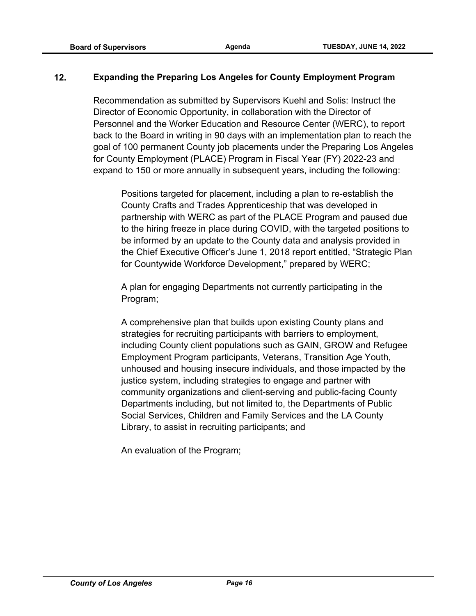#### **12. Expanding the Preparing Los Angeles for County Employment Program**

Recommendation as submitted by Supervisors Kuehl and Solis: Instruct the Director of Economic Opportunity, in collaboration with the Director of Personnel and the Worker Education and Resource Center (WERC), to report back to the Board in writing in 90 days with an implementation plan to reach the goal of 100 permanent County job placements under the Preparing Los Angeles for County Employment (PLACE) Program in Fiscal Year (FY) 2022-23 and expand to 150 or more annually in subsequent years, including the following:

Positions targeted for placement, including a plan to re-establish the County Crafts and Trades Apprenticeship that was developed in partnership with WERC as part of the PLACE Program and paused due to the hiring freeze in place during COVID, with the targeted positions to be informed by an update to the County data and analysis provided in the Chief Executive Officer's June 1, 2018 report entitled, "Strategic Plan for Countywide Workforce Development," prepared by WERC;

A plan for engaging Departments not currently participating in the Program;

A comprehensive plan that builds upon existing County plans and strategies for recruiting participants with barriers to employment, including County client populations such as GAIN, GROW and Refugee Employment Program participants, Veterans, Transition Age Youth, unhoused and housing insecure individuals, and those impacted by the justice system, including strategies to engage and partner with community organizations and client-serving and public-facing County Departments including, but not limited to, the Departments of Public Social Services, Children and Family Services and the LA County Library, to assist in recruiting participants; and

An evaluation of the Program;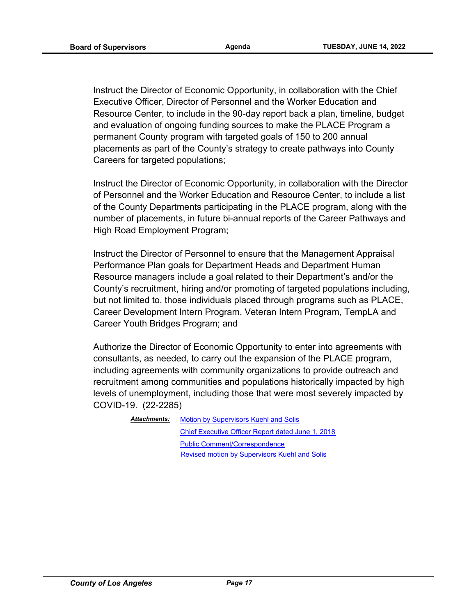Instruct the Director of Economic Opportunity, in collaboration with the Chief Executive Officer, Director of Personnel and the Worker Education and Resource Center, to include in the 90-day report back a plan, timeline, budget and evaluation of ongoing funding sources to make the PLACE Program a permanent County program with targeted goals of 150 to 200 annual placements as part of the County's strategy to create pathways into County Careers for targeted populations;

Instruct the Director of Economic Opportunity, in collaboration with the Director of Personnel and the Worker Education and Resource Center, to include a list of the County Departments participating in the PLACE program, along with the number of placements, in future bi-annual reports of the Career Pathways and High Road Employment Program;

Instruct the Director of Personnel to ensure that the Management Appraisal Performance Plan goals for Department Heads and Department Human Resource managers include a goal related to their Department's and/or the County's recruitment, hiring and/or promoting of targeted populations including, but not limited to, those individuals placed through programs such as PLACE, Career Development Intern Program, Veteran Intern Program, TempLA and Career Youth Bridges Program; and

Authorize the Director of Economic Opportunity to enter into agreements with consultants, as needed, to carry out the expansion of the PLACE program, including agreements with community organizations to provide outreach and recruitment among communities and populations historically impacted by high levels of unemployment, including those that were most severely impacted by COVID-19. (22-2285)

> **[Motion by Supervisors Kuehl and Solis](http://file.lacounty.gov/SDSInter/bos/supdocs/169813.pdf)** [Chief Executive Officer Report dated June 1, 2018](http://file.lacounty.gov/SDSInter/bos/supdocs/169816.pdf) [Public Comment/Correspondence](http://file.lacounty.gov/SDSInter/bos/supdocs/169814.pdf) *Attachments:* [Revised motion by Supervisors Kuehl and Solis](http://file.lacounty.gov/SDSInter/bos/supdocs/169935.pdf)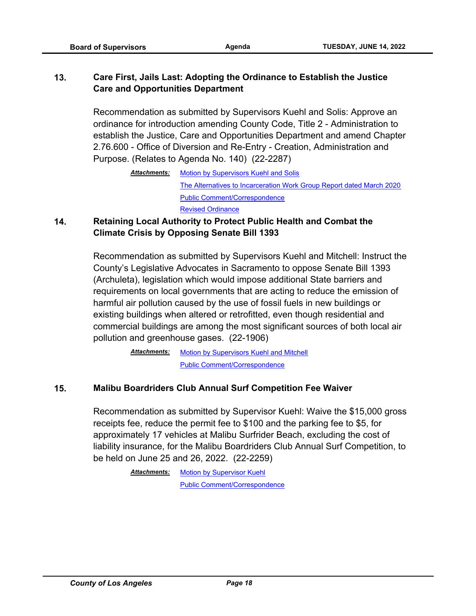## **13. Care First, Jails Last: Adopting the Ordinance to Establish the Justice Care and Opportunities Department**

Recommendation as submitted by Supervisors Kuehl and Solis: Approve an ordinance for introduction amending County Code, Title 2 - Administration to establish the Justice, Care and Opportunities Department and amend Chapter 2.76.600 - Office of Diversion and Re-Entry - Creation, Administration and Purpose. (Relates to Agenda No. 140) (22-2287)

#### **14. Retaining Local Authority to Protect Public Health and Combat the Climate Crisis by Opposing Senate Bill 1393**

Recommendation as submitted by Supervisors Kuehl and Mitchell: Instruct the County's Legislative Advocates in Sacramento to oppose Senate Bill 1393 (Archuleta), legislation which would impose additional State barriers and requirements on local governments that are acting to reduce the emission of harmful air pollution caused by the use of fossil fuels in new buildings or existing buildings when altered or retrofitted, even though residential and commercial buildings are among the most significant sources of both local air pollution and greenhouse gases. (22-1906)

> [Motion by Supervisors Kuehl and Mitchell](http://file.lacounty.gov/SDSInter/bos/supdocs/169750.pdf) [Public Comment/Correspondence](http://file.lacounty.gov/SDSInter/bos/supdocs/169751.pdf) *Attachments:*

#### **15. Malibu Boardriders Club Annual Surf Competition Fee Waiver**

Recommendation as submitted by Supervisor Kuehl: Waive the \$15,000 gross receipts fee, reduce the permit fee to \$100 and the parking fee to \$5, for approximately 17 vehicles at Malibu Surfrider Beach, excluding the cost of liability insurance, for the Malibu Boardriders Club Annual Surf Competition, to be held on June 25 and 26, 2022. (22-2259)

[Motion by Supervisors Kuehl and Solis](http://file.lacounty.gov/SDSInter/bos/supdocs/169819.pdf) [The Alternatives to Incarceration Work Group Report dated March 2020](http://file.lacounty.gov/SDSInter/bos/supdocs/169821.pdf) [Public Comment/Correspondence](http://file.lacounty.gov/SDSInter/bos/supdocs/169820.pdf) *Attachments:* [Revised Ordinance](http://file.lacounty.gov/SDSInter/bos/supdocs/169928.pdf)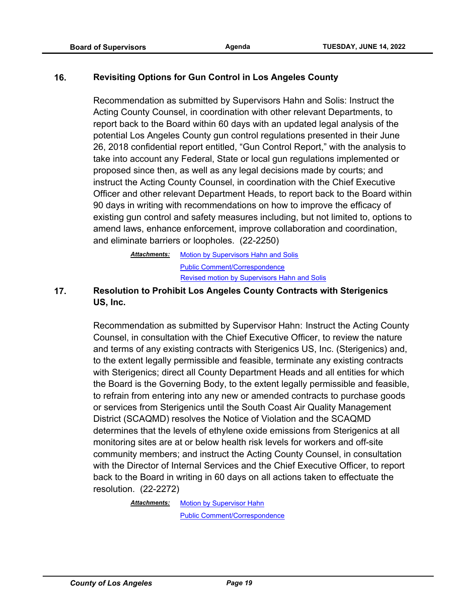#### **16. Revisiting Options for Gun Control in Los Angeles County**

Recommendation as submitted by Supervisors Hahn and Solis: Instruct the Acting County Counsel, in coordination with other relevant Departments, to report back to the Board within 60 days with an updated legal analysis of the potential Los Angeles County gun control regulations presented in their June 26, 2018 confidential report entitled, "Gun Control Report," with the analysis to take into account any Federal, State or local gun regulations implemented or proposed since then, as well as any legal decisions made by courts; and instruct the Acting County Counsel, in coordination with the Chief Executive Officer and other relevant Department Heads, to report back to the Board within 90 days in writing with recommendations on how to improve the efficacy of existing gun control and safety measures including, but not limited to, options to amend laws, enhance enforcement, improve collaboration and coordination, and eliminate barriers or loopholes. (22-2250)

> [Motion by Supervisors Hahn and Solis](http://file.lacounty.gov/SDSInter/bos/supdocs/169757.pdf) [Public Comment/Correspondence](http://file.lacounty.gov/SDSInter/bos/supdocs/169758.pdf) *Attachments:* [Revised motion by Supervisors Hah](http://file.lacounty.gov/SDSInter/bos/supdocs/169930.pdf)n and Solis

**17. Resolution to Prohibit Los Angeles County Contracts with Sterigenics US, Inc.**

> Recommendation as submitted by Supervisor Hahn: Instruct the Acting County Counsel, in consultation with the Chief Executive Officer, to review the nature and terms of any existing contracts with Sterigenics US, Inc. (Sterigenics) and, to the extent legally permissible and feasible, terminate any existing contracts with Sterigenics; direct all County Department Heads and all entities for which the Board is the Governing Body, to the extent legally permissible and feasible, to refrain from entering into any new or amended contracts to purchase goods or services from Sterigenics until the South Coast Air Quality Management District (SCAQMD) resolves the Notice of Violation and the SCAQMD determines that the levels of ethylene oxide emissions from Sterigenics at all monitoring sites are at or below health risk levels for workers and off-site community members; and instruct the Acting County Counsel, in consultation with the Director of Internal Services and the Chief Executive Officer, to report back to the Board in writing in 60 days on all actions taken to effectuate the resolution. (22-2272)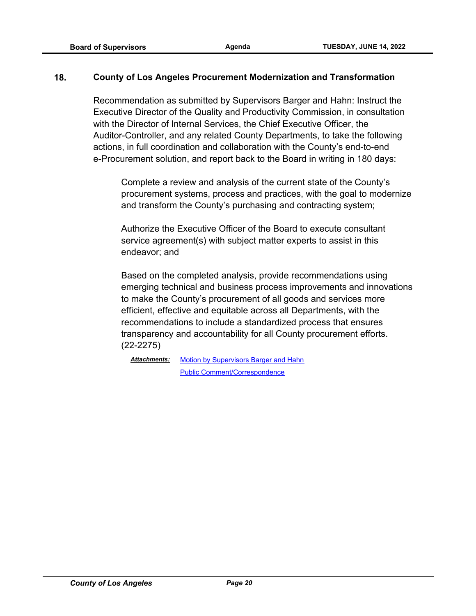#### **18. County of Los Angeles Procurement Modernization and Transformation**

Recommendation as submitted by Supervisors Barger and Hahn: Instruct the Executive Director of the Quality and Productivity Commission, in consultation with the Director of Internal Services, the Chief Executive Officer, the Auditor-Controller, and any related County Departments, to take the following actions, in full coordination and collaboration with the County's end-to-end e-Procurement solution, and report back to the Board in writing in 180 days:

Complete a review and analysis of the current state of the County's procurement systems, process and practices, with the goal to modernize and transform the County's purchasing and contracting system;

Authorize the Executive Officer of the Board to execute consultant service agreement(s) with subject matter experts to assist in this endeavor; and

Based on the completed analysis, provide recommendations using emerging technical and business process improvements and innovations to make the County's procurement of all goods and services more efficient, effective and equitable across all Departments, with the recommendations to include a standardized process that ensures transparency and accountability for all County procurement efforts. (22-2275)

[Motion by Supervisors Barger and Hahn](http://file.lacounty.gov/SDSInter/bos/supdocs/169798.pdf) [Public Comment/Correspondence](http://file.lacounty.gov/SDSInter/bos/supdocs/169799.pdf) *Attachments:*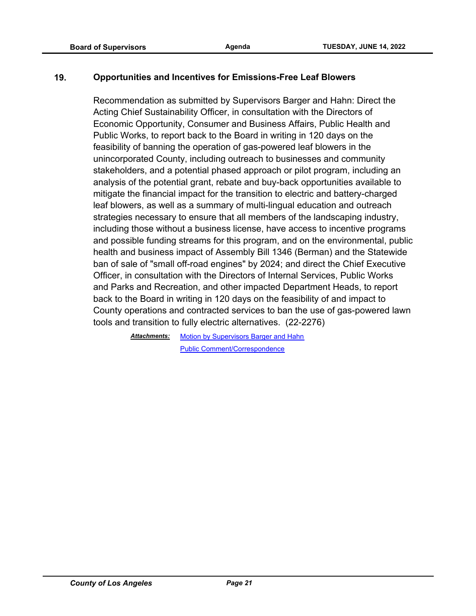#### **19. Opportunities and Incentives for Emissions-Free Leaf Blowers**

Recommendation as submitted by Supervisors Barger and Hahn: Direct the Acting Chief Sustainability Officer, in consultation with the Directors of Economic Opportunity, Consumer and Business Affairs, Public Health and Public Works, to report back to the Board in writing in 120 days on the feasibility of banning the operation of gas-powered leaf blowers in the unincorporated County, including outreach to businesses and community stakeholders, and a potential phased approach or pilot program, including an analysis of the potential grant, rebate and buy-back opportunities available to mitigate the financial impact for the transition to electric and battery-charged leaf blowers, as well as a summary of multi-lingual education and outreach strategies necessary to ensure that all members of the landscaping industry, including those without a business license, have access to incentive programs and possible funding streams for this program, and on the environmental, public health and business impact of Assembly Bill 1346 (Berman) and the Statewide ban of sale of "small off-road engines" by 2024; and direct the Chief Executive Officer, in consultation with the Directors of Internal Services, Public Works and Parks and Recreation, and other impacted Department Heads, to report back to the Board in writing in 120 days on the feasibility of and impact to County operations and contracted services to ban the use of gas-powered lawn tools and transition to fully electric alternatives. (22-2276)

> [Motion by Supervisors Barger and Hahn](http://file.lacounty.gov/SDSInter/bos/supdocs/169802.pdf) [Public Comment/Correspondence](http://file.lacounty.gov/SDSInter/bos/supdocs/169803.pdf) *Attachments:*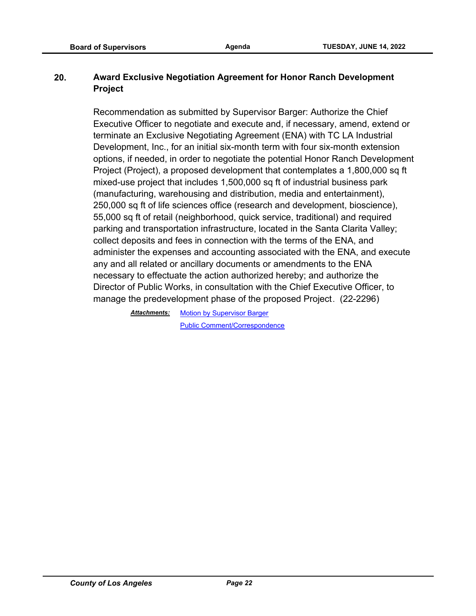#### **20. Award Exclusive Negotiation Agreement for Honor Ranch Development Project**

Recommendation as submitted by Supervisor Barger: Authorize the Chief Executive Officer to negotiate and execute and, if necessary, amend, extend or terminate an Exclusive Negotiating Agreement (ENA) with TC LA Industrial Development, Inc., for an initial six-month term with four six-month extension options, if needed, in order to negotiate the potential Honor Ranch Development Project (Project), a proposed development that contemplates a 1,800,000 sq ft mixed-use project that includes 1,500,000 sq ft of industrial business park (manufacturing, warehousing and distribution, media and entertainment), 250,000 sq ft of life sciences office (research and development, bioscience), 55,000 sq ft of retail (neighborhood, quick service, traditional) and required parking and transportation infrastructure, located in the Santa Clarita Valley; collect deposits and fees in connection with the terms of the ENA, and administer the expenses and accounting associated with the ENA, and execute any and all related or ancillary documents or amendments to the ENA necessary to effectuate the action authorized hereby; and authorize the Director of Public Works, in consultation with the Chief Executive Officer, to manage the predevelopment phase of the proposed Project. (22-2296)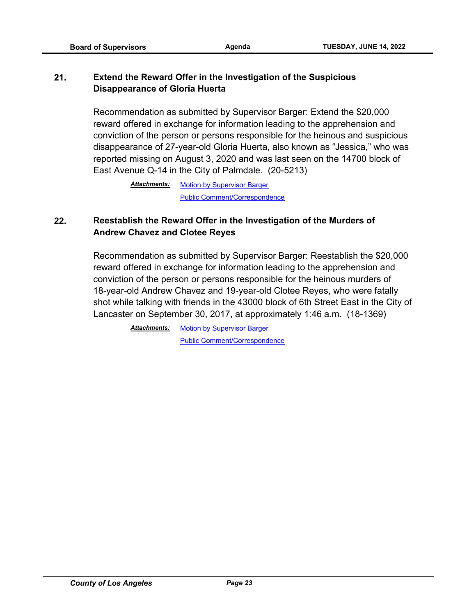## **21. Extend the Reward Offer in the Investigation of the Suspicious Disappearance of Gloria Huerta**

Recommendation as submitted by Supervisor Barger: Extend the \$20,000 reward offered in exchange for information leading to the apprehension and conviction of the person or persons responsible for the heinous and suspicious disappearance of 27-year-old Gloria Huerta, also known as "Jessica," who was reported missing on August 3, 2020 and was last seen on the 14700 block of East Avenue Q-14 in the City of Palmdale. (20-5213)

> [Motion by Supervisor Barger](http://file.lacounty.gov/SDSInter/bos/supdocs/169776.pdf) [Public Comment/Correspondence](http://file.lacounty.gov/SDSInter/bos/supdocs/169777.pdf) *Attachments:*

## **22. Reestablish the Reward Offer in the Investigation of the Murders of Andrew Chavez and Clotee Reyes**

Recommendation as submitted by Supervisor Barger: Reestablish the \$20,000 reward offered in exchange for information leading to the apprehension and conviction of the person or persons responsible for the heinous murders of 18-year-old Andrew Chavez and 19-year-old Clotee Reyes, who were fatally shot while talking with friends in the 43000 block of 6th Street East in the City of Lancaster on September 30, 2017, at approximately 1:46 a.m. (18-1369)

> **Attachments: [Motion by Supervisor Barger](http://file.lacounty.gov/SDSInter/bos/supdocs/169774.pdf)** [Public Comment/Correspondence](http://file.lacounty.gov/SDSInter/bos/supdocs/169775.pdf)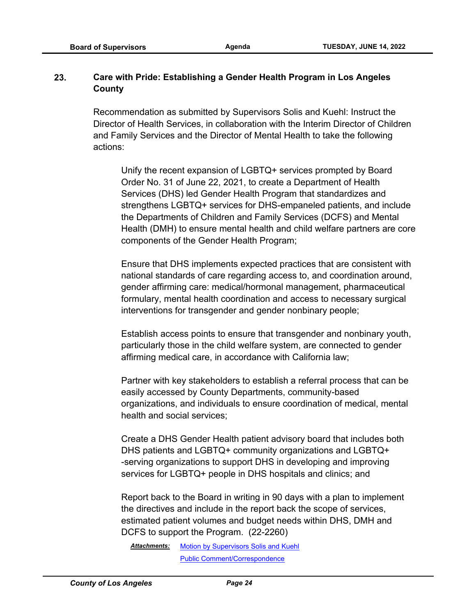#### **23. Care with Pride: Establishing a Gender Health Program in Los Angeles County**

Recommendation as submitted by Supervisors Solis and Kuehl: Instruct the Director of Health Services, in collaboration with the Interim Director of Children and Family Services and the Director of Mental Health to take the following actions:

Unify the recent expansion of LGBTQ+ services prompted by Board Order No. 31 of June 22, 2021, to create a Department of Health Services (DHS) led Gender Health Program that standardizes and strengthens LGBTQ+ services for DHS-empaneled patients, and include the Departments of Children and Family Services (DCFS) and Mental Health (DMH) to ensure mental health and child welfare partners are core components of the Gender Health Program;

Ensure that DHS implements expected practices that are consistent with national standards of care regarding access to, and coordination around, gender affirming care: medical/hormonal management, pharmaceutical formulary, mental health coordination and access to necessary surgical interventions for transgender and gender nonbinary people;

Establish access points to ensure that transgender and nonbinary youth, particularly those in the child welfare system, are connected to gender affirming medical care, in accordance with California law;

Partner with key stakeholders to establish a referral process that can be easily accessed by County Departments, community-based organizations, and individuals to ensure coordination of medical, mental health and social services;

Create a DHS Gender Health patient advisory board that includes both DHS patients and LGBTQ+ community organizations and LGBTQ+ -serving organizations to support DHS in developing and improving services for LGBTQ+ people in DHS hospitals and clinics; and

Report back to the Board in writing in 90 days with a plan to implement the directives and include in the report back the scope of services, estimated patient volumes and budget needs within DHS, DMH and DCFS to support the Program. (22-2260)

[Motion by Supervisors Solis and Kuehl](http://file.lacounty.gov/SDSInter/bos/supdocs/169779.pdf) [Public Comment/Correspondence](http://file.lacounty.gov/SDSInter/bos/supdocs/169781.pdf) *Attachments:*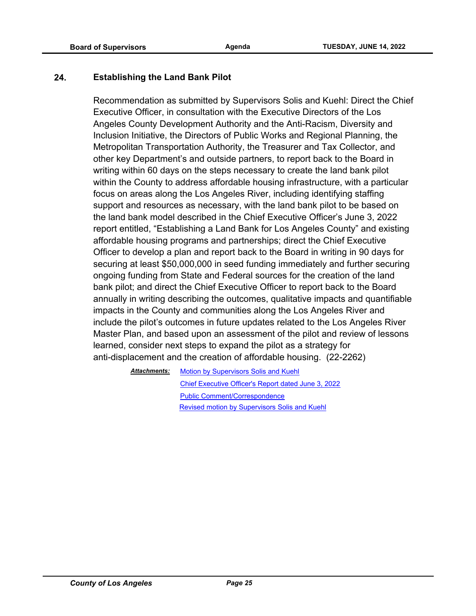#### **24. Establishing the Land Bank Pilot**

Recommendation as submitted by Supervisors Solis and Kuehl: Direct the Chief Executive Officer, in consultation with the Executive Directors of the Los Angeles County Development Authority and the Anti-Racism, Diversity and Inclusion Initiative, the Directors of Public Works and Regional Planning, the Metropolitan Transportation Authority, the Treasurer and Tax Collector, and other key Department's and outside partners, to report back to the Board in writing within 60 days on the steps necessary to create the land bank pilot within the County to address affordable housing infrastructure, with a particular focus on areas along the Los Angeles River, including identifying staffing support and resources as necessary, with the land bank pilot to be based on the land bank model described in the Chief Executive Officer's June 3, 2022 report entitled, "Establishing a Land Bank for Los Angeles County" and existing affordable housing programs and partnerships; direct the Chief Executive Officer to develop a plan and report back to the Board in writing in 90 days for securing at least \$50,000,000 in seed funding immediately and further securing ongoing funding from State and Federal sources for the creation of the land bank pilot; and direct the Chief Executive Officer to report back to the Board annually in writing describing the outcomes, qualitative impacts and quantifiable impacts in the County and communities along the Los Angeles River and include the pilot's outcomes in future updates related to the Los Angeles River Master Plan, and based upon an assessment of the pilot and review of lessons learned, consider next steps to expand the pilot as a strategy for anti-displacement and the creation of affordable housing. (22-2262)

> [Motion by Supervisors Solis and Kuehl](http://file.lacounty.gov/SDSInter/bos/supdocs/169796.pdf) [Chief Executive Officer's Report dated June 3, 2022](http://file.lacounty.gov/SDSInter/bos/supdocs/169812.pdf) [Public Comment/Correspondence](http://file.lacounty.gov/SDSInter/bos/supdocs/169797.pdf) *Attachments:* [Revised motion by Supervisors So](http://file.lacounty.gov/SDSInter/bos/supdocs/169924.pdf)lis and Kuehl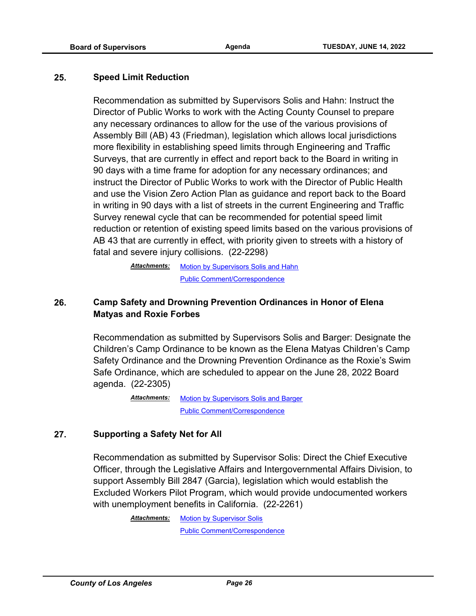#### **25. Speed Limit Reduction**

Recommendation as submitted by Supervisors Solis and Hahn: Instruct the Director of Public Works to work with the Acting County Counsel to prepare any necessary ordinances to allow for the use of the various provisions of Assembly Bill (AB) 43 (Friedman), legislation which allows local jurisdictions more flexibility in establishing speed limits through Engineering and Traffic Surveys, that are currently in effect and report back to the Board in writing in 90 days with a time frame for adoption for any necessary ordinances; and instruct the Director of Public Works to work with the Director of Public Health and use the Vision Zero Action Plan as guidance and report back to the Board in writing in 90 days with a list of streets in the current Engineering and Traffic Survey renewal cycle that can be recommended for potential speed limit reduction or retention of existing speed limits based on the various provisions of AB 43 that are currently in effect, with priority given to streets with a history of fatal and severe injury collisions. (22-2298)

> **[Motion by Supervisors Solis and Hahn](http://file.lacounty.gov/SDSInter/bos/supdocs/169867.pdf)** [Public Comment/Correspondence](http://file.lacounty.gov/SDSInter/bos/supdocs/169868.pdf) *Attachments:*

## **26. Camp Safety and Drowning Prevention Ordinances in Honor of Elena Matyas and Roxie Forbes**

Recommendation as submitted by Supervisors Solis and Barger: Designate the Children's Camp Ordinance to be known as the Elena Matyas Children's Camp Safety Ordinance and the Drowning Prevention Ordinance as the Roxie's Swim Safe Ordinance, which are scheduled to appear on the June 28, 2022 Board agenda. (22-2305)

> [Motion by Supervisors Solis and Barger](http://file.lacounty.gov/SDSInter/bos/supdocs/169878.pdf) [Public Comment/Correspondence](http://file.lacounty.gov/SDSInter/bos/supdocs/169879.pdf) *Attachments:*

#### **27. Supporting a Safety Net for All**

Recommendation as submitted by Supervisor Solis: Direct the Chief Executive Officer, through the Legislative Affairs and Intergovernmental Affairs Division, to support Assembly Bill 2847 (Garcia), legislation which would establish the Excluded Workers Pilot Program, which would provide undocumented workers with unemployment benefits in California. (22-2261)

> **Attachments: [Motion by Supervisor Solis](http://file.lacounty.gov/SDSInter/bos/supdocs/169778.pdf)** [Public Comment/Correspondence](http://file.lacounty.gov/SDSInter/bos/supdocs/169780.pdf)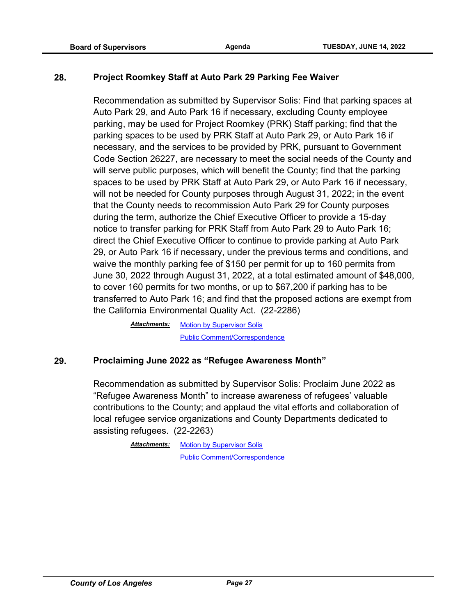#### **28. Project Roomkey Staff at Auto Park 29 Parking Fee Waiver**

Recommendation as submitted by Supervisor Solis: Find that parking spaces at Auto Park 29, and Auto Park 16 if necessary, excluding County employee parking, may be used for Project Roomkey (PRK) Staff parking; find that the parking spaces to be used by PRK Staff at Auto Park 29, or Auto Park 16 if necessary, and the services to be provided by PRK, pursuant to Government Code Section 26227, are necessary to meet the social needs of the County and will serve public purposes, which will benefit the County; find that the parking spaces to be used by PRK Staff at Auto Park 29, or Auto Park 16 if necessary, will not be needed for County purposes through August 31, 2022; in the event that the County needs to recommission Auto Park 29 for County purposes during the term, authorize the Chief Executive Officer to provide a 15-day notice to transfer parking for PRK Staff from Auto Park 29 to Auto Park 16; direct the Chief Executive Officer to continue to provide parking at Auto Park 29, or Auto Park 16 if necessary, under the previous terms and conditions, and waive the monthly parking fee of \$150 per permit for up to 160 permits from June 30, 2022 through August 31, 2022, at a total estimated amount of \$48,000, to cover 160 permits for two months, or up to \$67,200 if parking has to be transferred to Auto Park 16; and find that the proposed actions are exempt from the California Environmental Quality Act. (22-2286)

> [Motion by Supervisor Solis](http://file.lacounty.gov/SDSInter/bos/supdocs/169817.pdf) [Public Comment/Correspondence](http://file.lacounty.gov/SDSInter/bos/supdocs/169818.pdf) *Attachments:*

#### **29. Proclaiming June 2022 as "Refugee Awareness Month"**

Recommendation as submitted by Supervisor Solis: Proclaim June 2022 as "Refugee Awareness Month" to increase awareness of refugees' valuable contributions to the County; and applaud the vital efforts and collaboration of local refugee service organizations and County Departments dedicated to assisting refugees. (22-2263)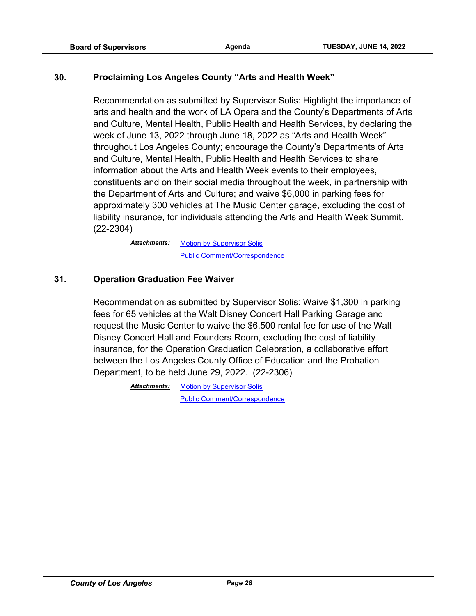#### **30. Proclaiming Los Angeles County "Arts and Health Week"**

Recommendation as submitted by Supervisor Solis: Highlight the importance of arts and health and the work of LA Opera and the County's Departments of Arts and Culture, Mental Health, Public Health and Health Services, by declaring the week of June 13, 2022 through June 18, 2022 as "Arts and Health Week" throughout Los Angeles County; encourage the County's Departments of Arts and Culture, Mental Health, Public Health and Health Services to share information about the Arts and Health Week events to their employees, constituents and on their social media throughout the week, in partnership with the Department of Arts and Culture; and waive \$6,000 in parking fees for approximately 300 vehicles at The Music Center garage, excluding the cost of liability insurance, for individuals attending the Arts and Health Week Summit. (22-2304)

> **[Motion by Supervisor Solis](http://file.lacounty.gov/SDSInter/bos/supdocs/169876.pdf)** [Public Comment/Correspondence](http://file.lacounty.gov/SDSInter/bos/supdocs/169877.pdf) *Attachments:*

#### **31. Operation Graduation Fee Waiver**

Recommendation as submitted by Supervisor Solis: Waive \$1,300 in parking fees for 65 vehicles at the Walt Disney Concert Hall Parking Garage and request the Music Center to waive the \$6,500 rental fee for use of the Walt Disney Concert Hall and Founders Room, excluding the cost of liability insurance, for the Operation Graduation Celebration, a collaborative effort between the Los Angeles County Office of Education and the Probation Department, to be held June 29, 2022. (22-2306)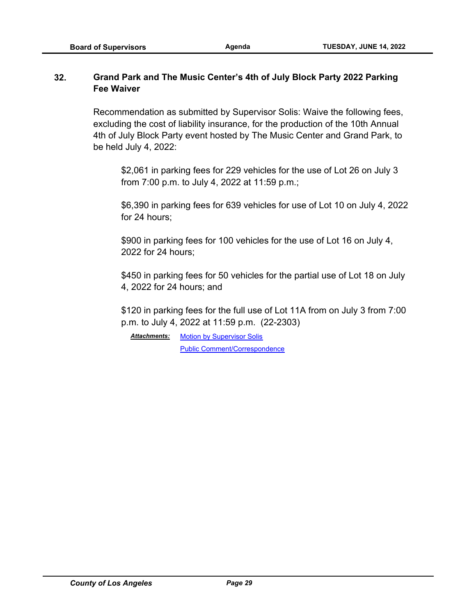#### **32. Grand Park and The Music Center's 4th of July Block Party 2022 Parking Fee Waiver**

Recommendation as submitted by Supervisor Solis: Waive the following fees, excluding the cost of liability insurance, for the production of the 10th Annual 4th of July Block Party event hosted by The Music Center and Grand Park, to be held July 4, 2022:

\$2,061 in parking fees for 229 vehicles for the use of Lot 26 on July 3 from 7:00 p.m. to July 4, 2022 at 11:59 p.m.;

\$6,390 in parking fees for 639 vehicles for use of Lot 10 on July 4, 2022 for 24 hours;

\$900 in parking fees for 100 vehicles for the use of Lot 16 on July 4, 2022 for 24 hours;

\$450 in parking fees for 50 vehicles for the partial use of Lot 18 on July 4, 2022 for 24 hours; and

\$120 in parking fees for the full use of Lot 11A from on July 3 from 7:00 p.m. to July 4, 2022 at 11:59 p.m. (22-2303)

Attachments: [Motion by Supervisor Solis](http://file.lacounty.gov/SDSInter/bos/supdocs/169874.pdf) [Public Comment/Correspondence](http://file.lacounty.gov/SDSInter/bos/supdocs/169875.pdf)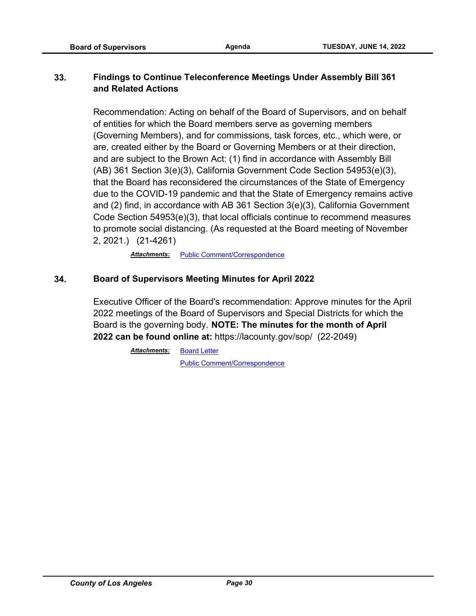## **33. Findings to Continue Teleconference Meetings Under Assembly Bill 361 and Related Actions**

Recommendation: Acting on behalf of the Board of Supervisors, and on behalf of entities for which the Board members serve as governing members (Governing Members), and for commissions, task forces, etc., which were, or are, created either by the Board or Governing Members or at their direction, and are subject to the Brown Act: (1) find in accordance with Assembly Bill (AB) 361 Section 3(e)(3), California Government Code Section 54953(e)(3), that the Board has reconsidered the circumstances of the State of Emergency due to the COVID-19 pandemic and that the State of Emergency remains active and (2) find, in accordance with AB 361 Section 3(e)(3), California Government Code Section 54953(e)(3), that local officials continue to recommend measures to promote social distancing. (As requested at the Board meeting of November 2, 2021.) (21-4261)

Attachments: [Public Comment/Correspondence](http://file.lacounty.gov/SDSInter/bos/supdocs/169705.pdf)

#### **34. Board of Supervisors Meeting Minutes for April 2022**

Executive Officer of the Board's recommendation: Approve minutes for the April 2022 meetings of the Board of Supervisors and Special Districts for which the Board is the governing body. **NOTE: The minutes for the month of April 2022 can be found online at:** https://lacounty.gov/sop/ (22-2049)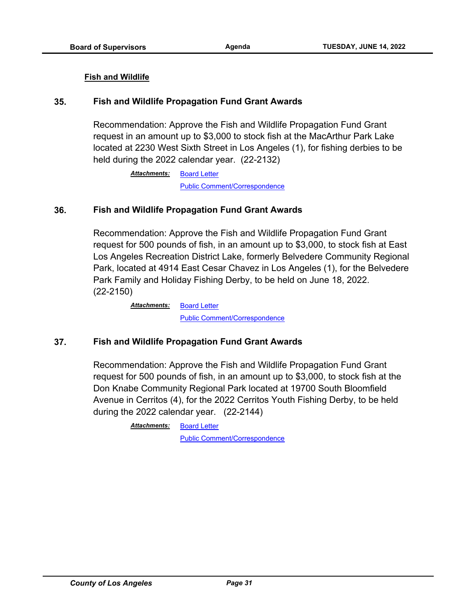#### **Fish and Wildlife**

#### **35. Fish and Wildlife Propagation Fund Grant Awards**

Recommendation: Approve the Fish and Wildlife Propagation Fund Grant request in an amount up to \$3,000 to stock fish at the MacArthur Park Lake located at 2230 West Sixth Street in Los Angeles (1), for fishing derbies to be held during the 2022 calendar year. (22-2132)

> [Board Letter](http://file.lacounty.gov/SDSInter/bos/supdocs/169481.pdf) [Public Comment/Correspondence](http://file.lacounty.gov/SDSInter/bos/supdocs/169484.pdf) *Attachments:*

#### **36. Fish and Wildlife Propagation Fund Grant Awards**

Recommendation: Approve the Fish and Wildlife Propagation Fund Grant request for 500 pounds of fish, in an amount up to \$3,000, to stock fish at East Los Angeles Recreation District Lake, formerly Belvedere Community Regional Park, located at 4914 East Cesar Chavez in Los Angeles (1), for the Belvedere Park Family and Holiday Fishing Derby, to be held on June 18, 2022. (22-2150)

> [Board Letter](http://file.lacounty.gov/SDSInter/bos/supdocs/169515.pdf) [Public Comment/Correspondence](http://file.lacounty.gov/SDSInter/bos/supdocs/169516.pdf) *Attachments:*

#### **37. Fish and Wildlife Propagation Fund Grant Awards**

Recommendation: Approve the Fish and Wildlife Propagation Fund Grant request for 500 pounds of fish, in an amount up to \$3,000, to stock fish at the Don Knabe Community Regional Park located at 19700 South Bloomfield Avenue in Cerritos (4), for the 2022 Cerritos Youth Fishing Derby, to be held during the 2022 calendar year. (22-2144)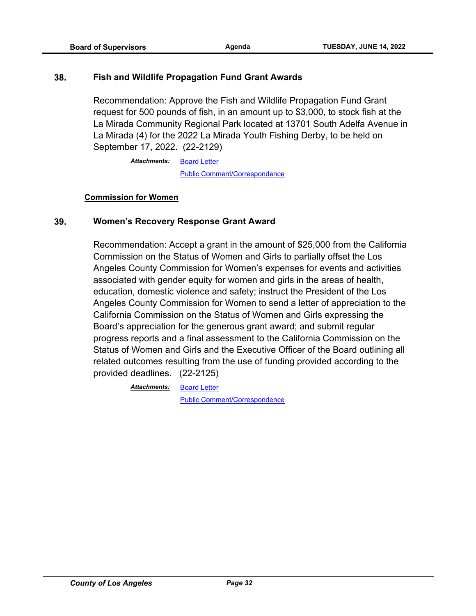#### **38. Fish and Wildlife Propagation Fund Grant Awards**

Recommendation: Approve the Fish and Wildlife Propagation Fund Grant request for 500 pounds of fish, in an amount up to \$3,000, to stock fish at the La Mirada Community Regional Park located at 13701 South Adelfa Avenue in La Mirada (4) for the 2022 La Mirada Youth Fishing Derby, to be held on September 17, 2022. (22-2129)

> [Board Letter](http://file.lacounty.gov/SDSInter/bos/supdocs/169475.pdf) *Attachments:* [Public Comment/Correspondence](http://file.lacounty.gov/SDSInter/bos/supdocs/169476.pdf)

#### **Commission for Women**

#### **39. Women's Recovery Response Grant Award**

Recommendation: Accept a grant in the amount of \$25,000 from the California Commission on the Status of Women and Girls to partially offset the Los Angeles County Commission for Women's expenses for events and activities associated with gender equity for women and girls in the areas of health, education, domestic violence and safety; instruct the President of the Los Angeles County Commission for Women to send a letter of appreciation to the California Commission on the Status of Women and Girls expressing the Board's appreciation for the generous grant award; and submit regular progress reports and a final assessment to the California Commission on the Status of Women and Girls and the Executive Officer of the Board outlining all related outcomes resulting from the use of funding provided according to the provided deadlines. (22-2125)

> [Board Letter](http://file.lacounty.gov/SDSInter/bos/supdocs/169468.pdf) *Attachments:*

[Public Comment/Correspondence](http://file.lacounty.gov/SDSInter/bos/supdocs/169469.pdf)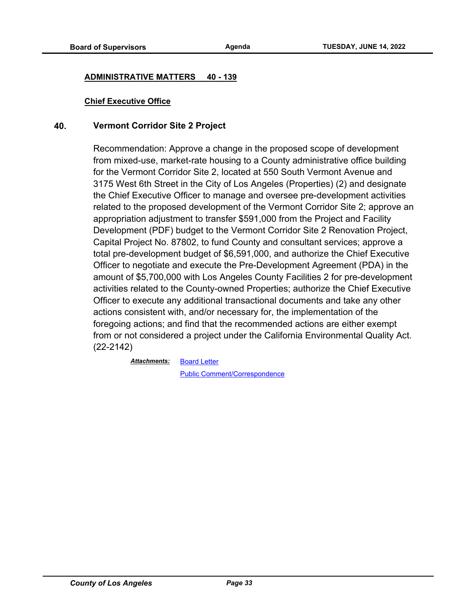#### **ADMINISTRATIVE MATTERS 40 - 139**

#### **Chief Executive Office**

#### **40. Vermont Corridor Site 2 Project**

Recommendation: Approve a change in the proposed scope of development from mixed-use, market-rate housing to a County administrative office building for the Vermont Corridor Site 2, located at 550 South Vermont Avenue and 3175 West 6th Street in the City of Los Angeles (Properties) (2) and designate the Chief Executive Officer to manage and oversee pre-development activities related to the proposed development of the Vermont Corridor Site 2; approve an appropriation adjustment to transfer \$591,000 from the Project and Facility Development (PDF) budget to the Vermont Corridor Site 2 Renovation Project, Capital Project No. 87802, to fund County and consultant services; approve a total pre-development budget of \$6,591,000, and authorize the Chief Executive Officer to negotiate and execute the Pre-Development Agreement (PDA) in the amount of \$5,700,000 with Los Angeles County Facilities 2 for pre-development activities related to the County-owned Properties; authorize the Chief Executive Officer to execute any additional transactional documents and take any other actions consistent with, and/or necessary for, the implementation of the foregoing actions; and find that the recommended actions are either exempt from or not considered a project under the California Environmental Quality Act. (22-2142)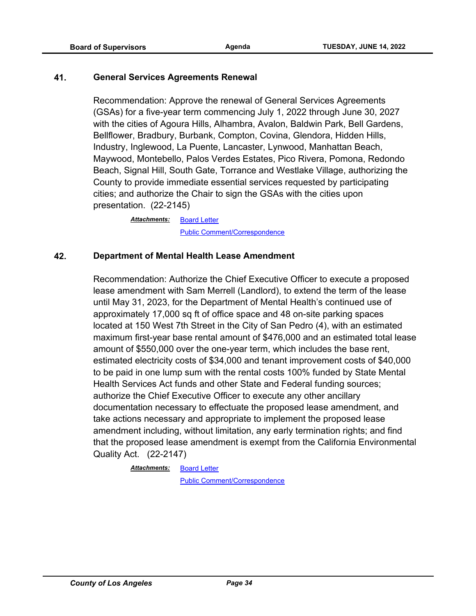#### **41. General Services Agreements Renewal**

Recommendation: Approve the renewal of General Services Agreements (GSAs) for a five-year term commencing July 1, 2022 through June 30, 2027 with the cities of Agoura Hills, Alhambra, Avalon, Baldwin Park, Bell Gardens, Bellflower, Bradbury, Burbank, Compton, Covina, Glendora, Hidden Hills, Industry, Inglewood, La Puente, Lancaster, Lynwood, Manhattan Beach, Maywood, Montebello, Palos Verdes Estates, Pico Rivera, Pomona, Redondo Beach, Signal Hill, South Gate, Torrance and Westlake Village, authorizing the County to provide immediate essential services requested by participating cities; and authorize the Chair to sign the GSAs with the cities upon presentation. (22-2145)

> [Board Letter](http://file.lacounty.gov/SDSInter/bos/supdocs/169505.pdf) [Public Comment/Correspondence](http://file.lacounty.gov/SDSInter/bos/supdocs/169506.pdf) *Attachments:*

#### **42. Department of Mental Health Lease Amendment**

Recommendation: Authorize the Chief Executive Officer to execute a proposed lease amendment with Sam Merrell (Landlord), to extend the term of the lease until May 31, 2023, for the Department of Mental Health's continued use of approximately 17,000 sq ft of office space and 48 on-site parking spaces located at 150 West 7th Street in the City of San Pedro (4), with an estimated maximum first-year base rental amount of \$476,000 and an estimated total lease amount of \$550,000 over the one-year term, which includes the base rent, estimated electricity costs of \$34,000 and tenant improvement costs of \$40,000 to be paid in one lump sum with the rental costs 100% funded by State Mental Health Services Act funds and other State and Federal funding sources; authorize the Chief Executive Officer to execute any other ancillary documentation necessary to effectuate the proposed lease amendment, and take actions necessary and appropriate to implement the proposed lease amendment including, without limitation, any early termination rights; and find that the proposed lease amendment is exempt from the California Environmental Quality Act. (22-2147)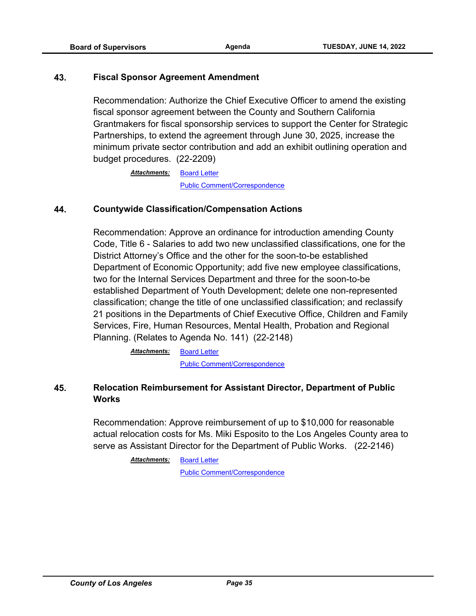#### **43. Fiscal Sponsor Agreement Amendment**

Recommendation: Authorize the Chief Executive Officer to amend the existing fiscal sponsor agreement between the County and Southern California Grantmakers for fiscal sponsorship services to support the Center for Strategic Partnerships, to extend the agreement through June 30, 2025, increase the minimum private sector contribution and add an exhibit outlining operation and budget procedures. (22-2209)

> [Board Letter](http://file.lacounty.gov/SDSInter/bos/supdocs/169692.pdf) [Public Comment/Correspondence](http://file.lacounty.gov/SDSInter/bos/supdocs/169693.pdf) *Attachments:*

#### **44. Countywide Classification/Compensation Actions**

Recommendation: Approve an ordinance for introduction amending County Code, Title 6 - Salaries to add two new unclassified classifications, one for the District Attorney's Office and the other for the soon-to-be established Department of Economic Opportunity; add five new employee classifications, two for the Internal Services Department and three for the soon-to-be established Department of Youth Development; delete one non-represented classification; change the title of one unclassified classification; and reclassify 21 positions in the Departments of Chief Executive Office, Children and Family Services, Fire, Human Resources, Mental Health, Probation and Regional Planning. (Relates to Agenda No. 141) (22-2148)

> [Board Letter](http://file.lacounty.gov/SDSInter/bos/supdocs/169510.pdf) [Public Comment/Correspondence](http://file.lacounty.gov/SDSInter/bos/supdocs/169512.pdf) *Attachments:*

#### **45. Relocation Reimbursement for Assistant Director, Department of Public Works**

Recommendation: Approve reimbursement of up to \$10,000 for reasonable actual relocation costs for Ms. Miki Esposito to the Los Angeles County area to serve as Assistant Director for the Department of Public Works. (22-2146)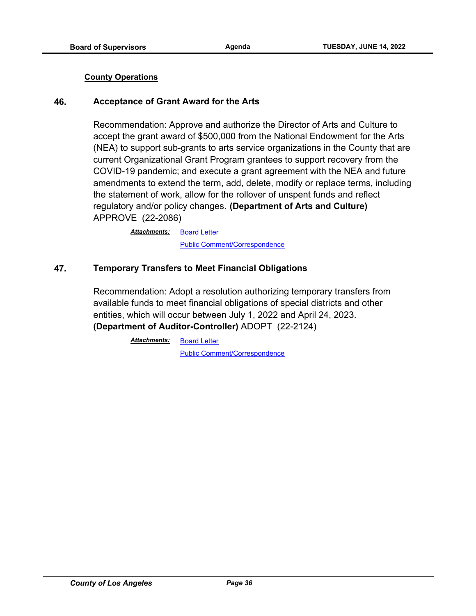#### **County Operations**

#### **46. Acceptance of Grant Award for the Arts**

Recommendation: Approve and authorize the Director of Arts and Culture to accept the grant award of \$500,000 from the National Endowment for the Arts (NEA) to support sub-grants to arts service organizations in the County that are current Organizational Grant Program grantees to support recovery from the COVID-19 pandemic; and execute a grant agreement with the NEA and future amendments to extend the term, add, delete, modify or replace terms, including the statement of work, allow for the rollover of unspent funds and reflect regulatory and/or policy changes. **(Department of Arts and Culture)** APPROVE (22-2086)

> [Board Letter](http://file.lacounty.gov/SDSInter/bos/supdocs/169434.pdf) [Public Comment/Correspondence](http://file.lacounty.gov/SDSInter/bos/supdocs/169435.pdf) *Attachments:*

#### **47. Temporary Transfers to Meet Financial Obligations**

Recommendation: Adopt a resolution authorizing temporary transfers from available funds to meet financial obligations of special districts and other entities, which will occur between July 1, 2022 and April 24, 2023. **(Department of Auditor-Controller)** ADOPT (22-2124)

> [Board Letter](http://file.lacounty.gov/SDSInter/bos/supdocs/169482.pdf) *Attachments:*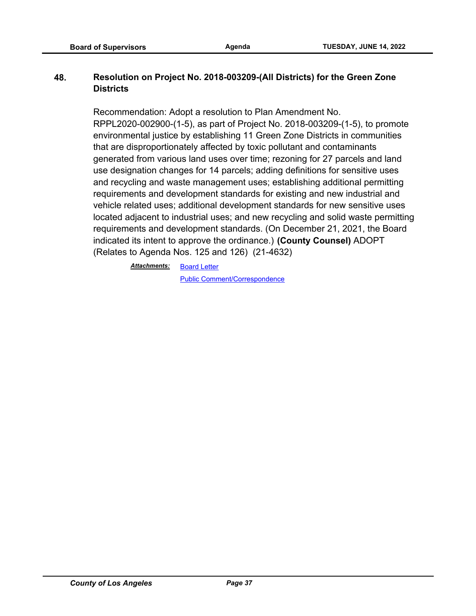## **48. Resolution on Project No. 2018-003209-(All Districts) for the Green Zone Districts**

Recommendation: Adopt a resolution to Plan Amendment No. RPPL2020-002900-(1-5), as part of Project No. 2018-003209-(1-5), to promote environmental justice by establishing 11 Green Zone Districts in communities that are disproportionately affected by toxic pollutant and contaminants generated from various land uses over time; rezoning for 27 parcels and land use designation changes for 14 parcels; adding definitions for sensitive uses and recycling and waste management uses; establishing additional permitting requirements and development standards for existing and new industrial and vehicle related uses; additional development standards for new sensitive uses located adjacent to industrial uses; and new recycling and solid waste permitting requirements and development standards. (On December 21, 2021, the Board indicated its intent to approve the ordinance.) **(County Counsel)** ADOPT (Relates to Agenda Nos. 125 and 126) (21-4632)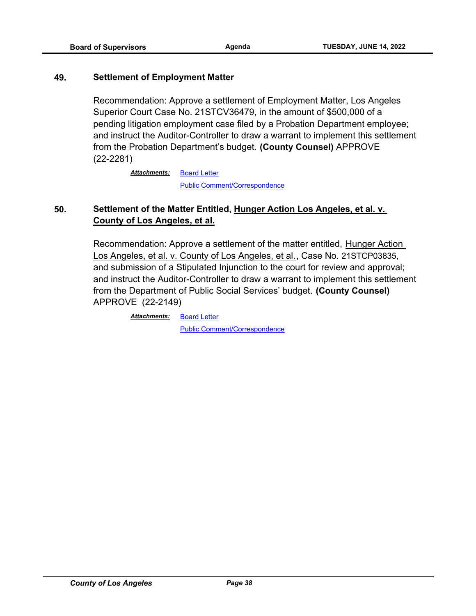#### **49. Settlement of Employment Matter**

Recommendation: Approve a settlement of Employment Matter, Los Angeles Superior Court Case No. 21STCV36479, in the amount of \$500,000 of a pending litigation employment case filed by a Probation Department employee; and instruct the Auditor-Controller to draw a warrant to implement this settlement from the Probation Department's budget. **(County Counsel)** APPROVE (22-2281)

> [Board Letter](http://file.lacounty.gov/SDSInter/bos/supdocs/169806.pdf) [Public Comment/Correspondence](http://file.lacounty.gov/SDSInter/bos/supdocs/169807.pdf) *Attachments:*

# **50. Settlement of the Matter Entitled, Hunger Action Los Angeles, et al. v. County of Los Angeles, et al.**

Recommendation: Approve a settlement of the matter entitled, Hunger Action Los Angeles, et al. v. County of Los Angeles, et al., Case No. 21STCP03835, and submission of a Stipulated Injunction to the court for review and approval; and instruct the Auditor-Controller to draw a warrant to implement this settlement from the Department of Public Social Services' budget. **(County Counsel)**  APPROVE (22-2149)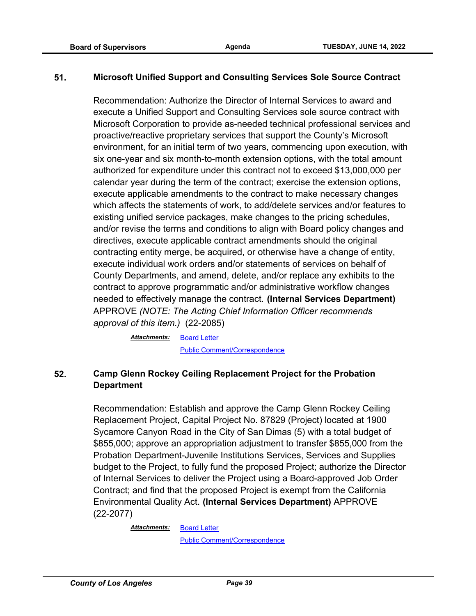## **51. Microsoft Unified Support and Consulting Services Sole Source Contract**

Recommendation: Authorize the Director of Internal Services to award and execute a Unified Support and Consulting Services sole source contract with Microsoft Corporation to provide as-needed technical professional services and proactive/reactive proprietary services that support the County's Microsoft environment, for an initial term of two years, commencing upon execution, with six one-year and six month-to-month extension options, with the total amount authorized for expenditure under this contract not to exceed \$13,000,000 per calendar year during the term of the contract; exercise the extension options, execute applicable amendments to the contract to make necessary changes which affects the statements of work, to add/delete services and/or features to existing unified service packages, make changes to the pricing schedules, and/or revise the terms and conditions to align with Board policy changes and directives, execute applicable contract amendments should the original contracting entity merge, be acquired, or otherwise have a change of entity, execute individual work orders and/or statements of services on behalf of County Departments, and amend, delete, and/or replace any exhibits to the contract to approve programmatic and/or administrative workflow changes needed to effectively manage the contract. **(Internal Services Department)** APPROVE *(NOTE: The Acting Chief Information Officer recommends approval of this item.)* (22-2085)

> [Board Letter](http://file.lacounty.gov/SDSInter/bos/supdocs/169436.pdf) *Attachments:* [Public Comment/Correspondence](http://file.lacounty.gov/SDSInter/bos/supdocs/169437.pdf)

# **52. Camp Glenn Rockey Ceiling Replacement Project for the Probation Department**

Recommendation: Establish and approve the Camp Glenn Rockey Ceiling Replacement Project, Capital Project No. 87829 (Project) located at 1900 Sycamore Canyon Road in the City of San Dimas (5) with a total budget of \$855,000; approve an appropriation adjustment to transfer \$855,000 from the Probation Department-Juvenile Institutions Services, Services and Supplies budget to the Project, to fully fund the proposed Project; authorize the Director of Internal Services to deliver the Project using a Board-approved Job Order Contract; and find that the proposed Project is exempt from the California Environmental Quality Act. **(Internal Services Department)** APPROVE (22-2077)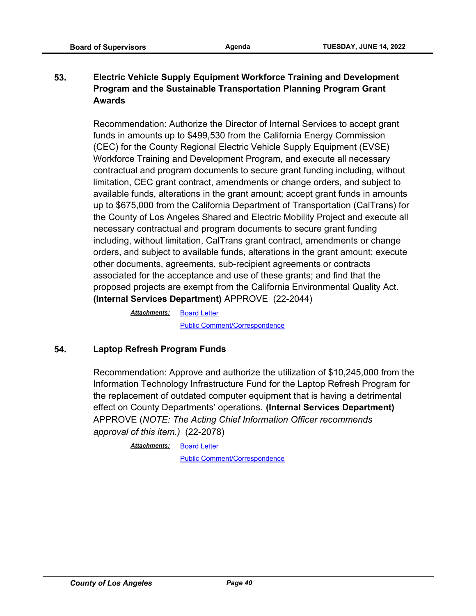# **53. Electric Vehicle Supply Equipment Workforce Training and Development Program and the Sustainable Transportation Planning Program Grant Awards**

Recommendation: Authorize the Director of Internal Services to accept grant funds in amounts up to \$499,530 from the California Energy Commission (CEC) for the County Regional Electric Vehicle Supply Equipment (EVSE) Workforce Training and Development Program, and execute all necessary contractual and program documents to secure grant funding including, without limitation, CEC grant contract, amendments or change orders, and subject to available funds, alterations in the grant amount; accept grant funds in amounts up to \$675,000 from the California Department of Transportation (CalTrans) for the County of Los Angeles Shared and Electric Mobility Project and execute all necessary contractual and program documents to secure grant funding including, without limitation, CalTrans grant contract, amendments or change orders, and subject to available funds, alterations in the grant amount; execute other documents, agreements, sub-recipient agreements or contracts associated for the acceptance and use of these grants; and find that the proposed projects are exempt from the California Environmental Quality Act. **(Internal Services Department)** APPROVE (22-2044)

> [Board Letter](http://file.lacounty.gov/SDSInter/bos/supdocs/169350.pdf) [Public Comment/Correspondence](http://file.lacounty.gov/SDSInter/bos/supdocs/169351.pdf) *Attachments:*

# **54. Laptop Refresh Program Funds**

Recommendation: Approve and authorize the utilization of \$10,245,000 from the Information Technology Infrastructure Fund for the Laptop Refresh Program for the replacement of outdated computer equipment that is having a detrimental effect on County Departments' operations. **(Internal Services Department)** APPROVE (*NOTE: The Acting Chief Information Officer recommends approval of this item.)* (22-2078)

> <u>Attachments: [Board Letter](http://file.lacounty.gov/SDSInter/bos/supdocs/169429.pdf)</u> [Public Comment/Correspondence](http://file.lacounty.gov/SDSInter/bos/supdocs/169430.pdf)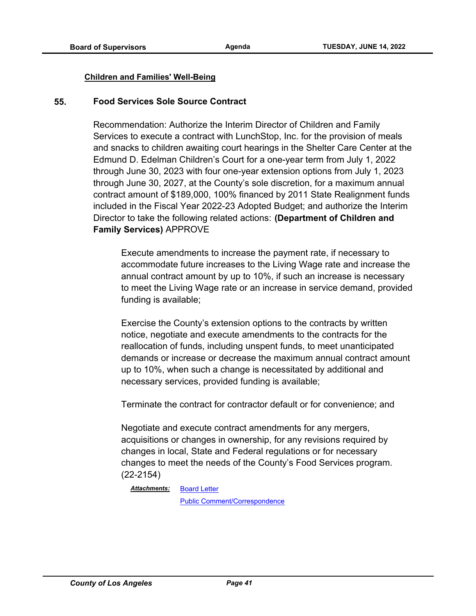#### **Children and Families' Well-Being**

#### **55. Food Services Sole Source Contract**

Recommendation: Authorize the Interim Director of Children and Family Services to execute a contract with LunchStop, Inc. for the provision of meals and snacks to children awaiting court hearings in the Shelter Care Center at the Edmund D. Edelman Children's Court for a one-year term from July 1, 2022 through June 30, 2023 with four one-year extension options from July 1, 2023 through June 30, 2027, at the County's sole discretion, for a maximum annual contract amount of \$189,000, 100% financed by 2011 State Realignment funds included in the Fiscal Year 2022-23 Adopted Budget; and authorize the Interim Director to take the following related actions: **(Department of Children and Family Services)** APPROVE

Execute amendments to increase the payment rate, if necessary to accommodate future increases to the Living Wage rate and increase the annual contract amount by up to 10%, if such an increase is necessary to meet the Living Wage rate or an increase in service demand, provided funding is available;

Exercise the County's extension options to the contracts by written notice, negotiate and execute amendments to the contracts for the reallocation of funds, including unspent funds, to meet unanticipated demands or increase or decrease the maximum annual contract amount up to 10%, when such a change is necessitated by additional and necessary services, provided funding is available;

Terminate the contract for contractor default or for convenience; and

Negotiate and execute contract amendments for any mergers, acquisitions or changes in ownership, for any revisions required by changes in local, State and Federal regulations or for necessary changes to meet the needs of the County's Food Services program. (22-2154)

[Board Letter](http://file.lacounty.gov/SDSInter/bos/supdocs/169543.pdf) *Attachments:*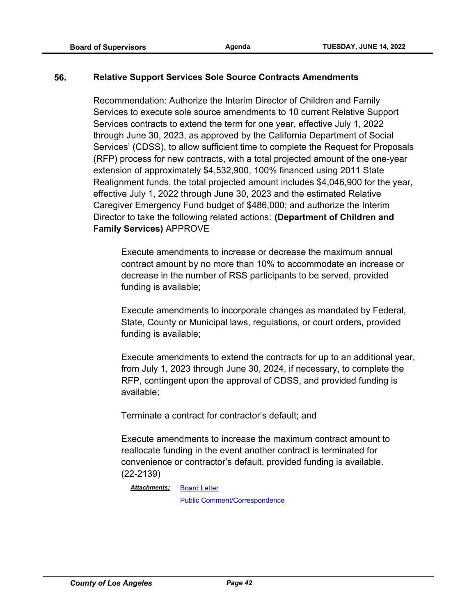## **56. Relative Support Services Sole Source Contracts Amendments**

Recommendation: Authorize the Interim Director of Children and Family Services to execute sole source amendments to 10 current Relative Support Services contracts to extend the term for one year, effective July 1, 2022 through June 30, 2023, as approved by the California Department of Social Services' (CDSS), to allow sufficient time to complete the Request for Proposals (RFP) process for new contracts, with a total projected amount of the one-year extension of approximately \$4,532,900, 100% financed using 2011 State Realignment funds, the total projected amount includes \$4,046,900 for the year, effective July 1, 2022 through June 30, 2023 and the estimated Relative Caregiver Emergency Fund budget of \$486,000; and authorize the Interim Director to take the following related actions: **(Department of Children and Family Services)** APPROVE

Execute amendments to increase or decrease the maximum annual contract amount by no more than 10% to accommodate an increase or decrease in the number of RSS participants to be served, provided funding is available;

Execute amendments to incorporate changes as mandated by Federal, State, County or Municipal laws, regulations, or court orders, provided funding is available;

Execute amendments to extend the contracts for up to an additional year, from July 1, 2023 through June 30, 2024, if necessary, to complete the RFP, contingent upon the approval of CDSS, and provided funding is available;

Terminate a contract for contractor's default; and

Execute amendments to increase the maximum contract amount to reallocate funding in the event another contract is terminated for convenience or contractor's default, provided funding is available. (22-2139)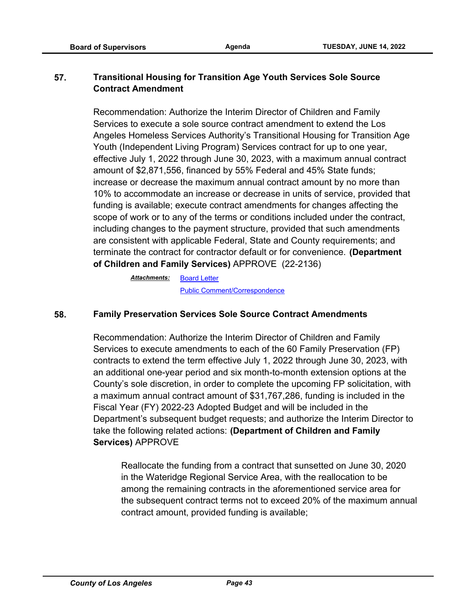# **57. Transitional Housing for Transition Age Youth Services Sole Source Contract Amendment**

Recommendation: Authorize the Interim Director of Children and Family Services to execute a sole source contract amendment to extend the Los Angeles Homeless Services Authority's Transitional Housing for Transition Age Youth (Independent Living Program) Services contract for up to one year, effective July 1, 2022 through June 30, 2023, with a maximum annual contract amount of \$2,871,556, financed by 55% Federal and 45% State funds; increase or decrease the maximum annual contract amount by no more than 10% to accommodate an increase or decrease in units of service, provided that funding is available; execute contract amendments for changes affecting the scope of work or to any of the terms or conditions included under the contract, including changes to the payment structure, provided that such amendments are consistent with applicable Federal, State and County requirements; and terminate the contract for contractor default or for convenience. **(Department of Children and Family Services)** APPROVE (22-2136)

> [Board Letter](http://file.lacounty.gov/SDSInter/bos/supdocs/169489.pdf) *Attachments:* [Public Comment/Correspondence](http://file.lacounty.gov/SDSInter/bos/supdocs/169490.pdf)

## **58. Family Preservation Services Sole Source Contract Amendments**

Recommendation: Authorize the Interim Director of Children and Family Services to execute amendments to each of the 60 Family Preservation (FP) contracts to extend the term effective July 1, 2022 through June 30, 2023, with an additional one-year period and six month-to-month extension options at the County's sole discretion, in order to complete the upcoming FP solicitation, with a maximum annual contract amount of \$31,767,286, funding is included in the Fiscal Year (FY) 2022-23 Adopted Budget and will be included in the Department's subsequent budget requests; and authorize the Interim Director to take the following related actions: **(Department of Children and Family Services)** APPROVE

Reallocate the funding from a contract that sunsetted on June 30, 2020 in the Wateridge Regional Service Area, with the reallocation to be among the remaining contracts in the aforementioned service area for the subsequent contract terms not to exceed 20% of the maximum annual contract amount, provided funding is available;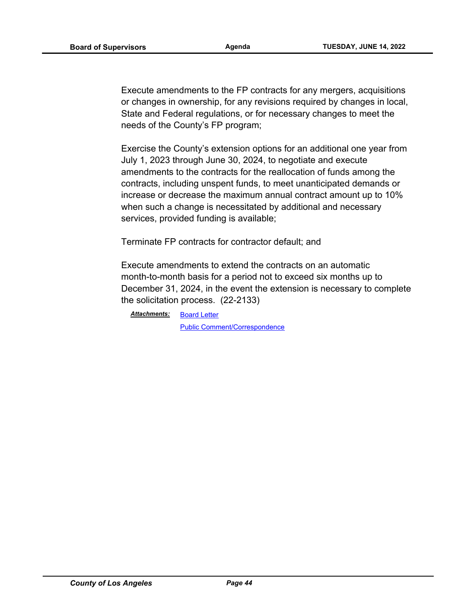Execute amendments to the FP contracts for any mergers, acquisitions or changes in ownership, for any revisions required by changes in local, State and Federal regulations, or for necessary changes to meet the needs of the County's FP program;

Exercise the County's extension options for an additional one year from July 1, 2023 through June 30, 2024, to negotiate and execute amendments to the contracts for the reallocation of funds among the contracts, including unspent funds, to meet unanticipated demands or increase or decrease the maximum annual contract amount up to 10% when such a change is necessitated by additional and necessary services, provided funding is available;

Terminate FP contracts for contractor default; and

Execute amendments to extend the contracts on an automatic month-to-month basis for a period not to exceed six months up to December 31, 2024, in the event the extension is necessary to complete the solicitation process. (22-2133)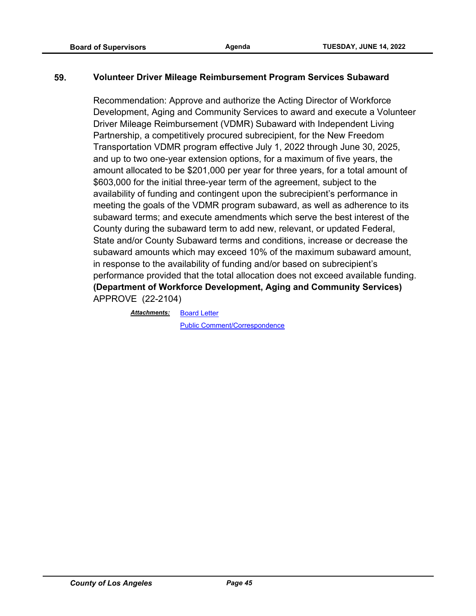## **59. Volunteer Driver Mileage Reimbursement Program Services Subaward**

Recommendation: Approve and authorize the Acting Director of Workforce Development, Aging and Community Services to award and execute a Volunteer Driver Mileage Reimbursement (VDMR) Subaward with Independent Living Partnership, a competitively procured subrecipient, for the New Freedom Transportation VDMR program effective July 1, 2022 through June 30, 2025, and up to two one-year extension options, for a maximum of five years, the amount allocated to be \$201,000 per year for three years, for a total amount of \$603,000 for the initial three-year term of the agreement, subject to the availability of funding and contingent upon the subrecipient's performance in meeting the goals of the VDMR program subaward, as well as adherence to its subaward terms; and execute amendments which serve the best interest of the County during the subaward term to add new, relevant, or updated Federal, State and/or County Subaward terms and conditions, increase or decrease the subaward amounts which may exceed 10% of the maximum subaward amount, in response to the availability of funding and/or based on subrecipient's performance provided that the total allocation does not exceed available funding. **(Department of Workforce Development, Aging and Community Services)** APPROVE (22-2104)

[Board Letter](http://file.lacounty.gov/SDSInter/bos/supdocs/169451.pdf) *Attachments:*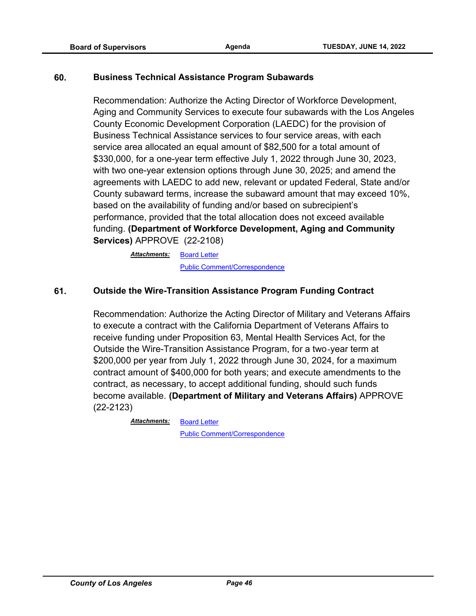#### **60. Business Technical Assistance Program Subawards**

Recommendation: Authorize the Acting Director of Workforce Development, Aging and Community Services to execute four subawards with the Los Angeles County Economic Development Corporation (LAEDC) for the provision of Business Technical Assistance services to four service areas, with each service area allocated an equal amount of \$82,500 for a total amount of \$330,000, for a one-year term effective July 1, 2022 through June 30, 2023, with two one-year extension options through June 30, 2025; and amend the agreements with LAEDC to add new, relevant or updated Federal, State and/or County subaward terms, increase the subaward amount that may exceed 10%, based on the availability of funding and/or based on subrecipient's performance, provided that the total allocation does not exceed available funding. **(Department of Workforce Development, Aging and Community Services)** APPROVE (22-2108)

> [Board Letter](http://file.lacounty.gov/SDSInter/bos/supdocs/169663.pdf) *Attachments:* [Public Comment/Correspondence](http://file.lacounty.gov/SDSInter/bos/supdocs/169664.pdf)

## **61. Outside the Wire-Transition Assistance Program Funding Contract**

Recommendation: Authorize the Acting Director of Military and Veterans Affairs to execute a contract with the California Department of Veterans Affairs to receive funding under Proposition 63, Mental Health Services Act, for the Outside the Wire-Transition Assistance Program, for a two-year term at \$200,000 per year from July 1, 2022 through June 30, 2024, for a maximum contract amount of \$400,000 for both years; and execute amendments to the contract, as necessary, to accept additional funding, should such funds become available. **(Department of Military and Veterans Affairs)** APPROVE (22-2123)

*Attachments:*

[Public Comment/Correspondence](http://file.lacounty.gov/SDSInter/bos/supdocs/169467.pdf)

[Board Letter](http://file.lacounty.gov/SDSInter/bos/supdocs/169466.pdf)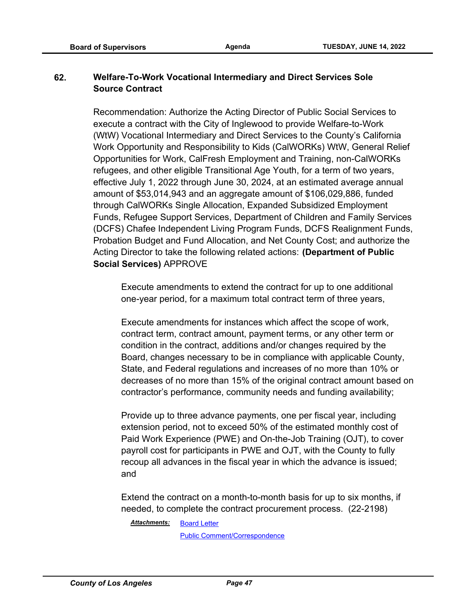# **62. Welfare-To-Work Vocational Intermediary and Direct Services Sole Source Contract**

Recommendation: Authorize the Acting Director of Public Social Services to execute a contract with the City of Inglewood to provide Welfare-to-Work (WtW) Vocational Intermediary and Direct Services to the County's California Work Opportunity and Responsibility to Kids (CalWORKs) WtW, General Relief Opportunities for Work, CalFresh Employment and Training, non-CalWORKs refugees, and other eligible Transitional Age Youth, for a term of two years, effective July 1, 2022 through June 30, 2024, at an estimated average annual amount of \$53,014,943 and an aggregate amount of \$106,029,886, funded through CalWORKs Single Allocation, Expanded Subsidized Employment Funds, Refugee Support Services, Department of Children and Family Services (DCFS) Chafee Independent Living Program Funds, DCFS Realignment Funds, Probation Budget and Fund Allocation, and Net County Cost; and authorize the Acting Director to take the following related actions: **(Department of Public Social Services)** APPROVE

Execute amendments to extend the contract for up to one additional one-year period, for a maximum total contract term of three years,

Execute amendments for instances which affect the scope of work, contract term, contract amount, payment terms, or any other term or condition in the contract, additions and/or changes required by the Board, changes necessary to be in compliance with applicable County, State, and Federal regulations and increases of no more than 10% or decreases of no more than 15% of the original contract amount based on contractor's performance, community needs and funding availability;

Provide up to three advance payments, one per fiscal year, including extension period, not to exceed 50% of the estimated monthly cost of Paid Work Experience (PWE) and On-the-Job Training (OJT), to cover payroll cost for participants in PWE and OJT, with the County to fully recoup all advances in the fiscal year in which the advance is issued; and

Extend the contract on a month-to-month basis for up to six months, if needed, to complete the contract procurement process. (22-2198)

[Board Letter](http://file.lacounty.gov/SDSInter/bos/supdocs/169640.pdf) *Attachments:*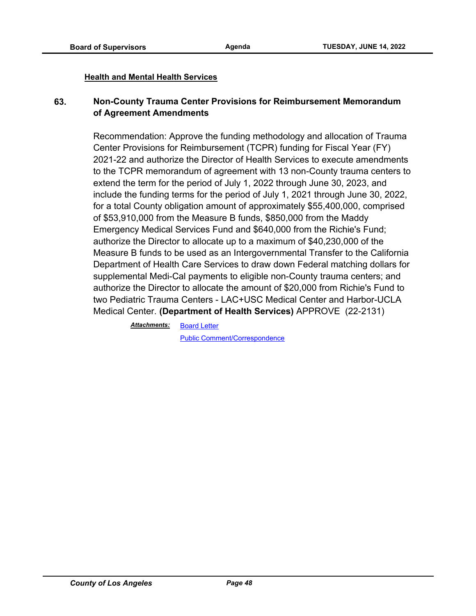#### **Health and Mental Health Services**

## **63. Non-County Trauma Center Provisions for Reimbursement Memorandum of Agreement Amendments**

Recommendation: Approve the funding methodology and allocation of Trauma Center Provisions for Reimbursement (TCPR) funding for Fiscal Year (FY) 2021-22 and authorize the Director of Health Services to execute amendments to the TCPR memorandum of agreement with 13 non-County trauma centers to extend the term for the period of July 1, 2022 through June 30, 2023, and include the funding terms for the period of July 1, 2021 through June 30, 2022, for a total County obligation amount of approximately \$55,400,000, comprised of \$53,910,000 from the Measure B funds, \$850,000 from the Maddy Emergency Medical Services Fund and \$640,000 from the Richie's Fund; authorize the Director to allocate up to a maximum of \$40,230,000 of the Measure B funds to be used as an Intergovernmental Transfer to the California Department of Health Care Services to draw down Federal matching dollars for supplemental Medi-Cal payments to eligible non-County trauma centers; and authorize the Director to allocate the amount of \$20,000 from Richie's Fund to two Pediatric Trauma Centers - LAC+USC Medical Center and Harbor-UCLA Medical Center. **(Department of Health Services)** APPROVE (22-2131)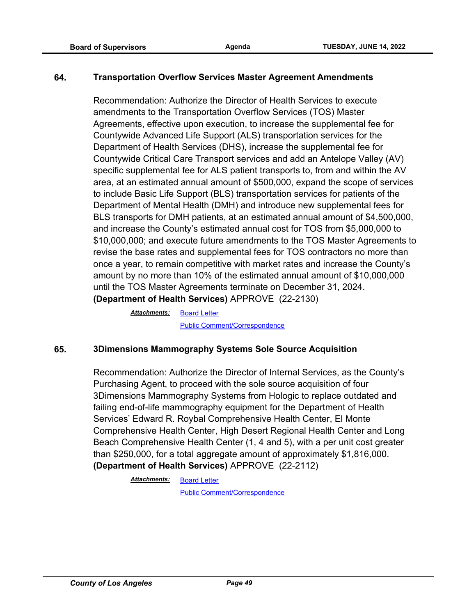## **64. Transportation Overflow Services Master Agreement Amendments**

Recommendation: Authorize the Director of Health Services to execute amendments to the Transportation Overflow Services (TOS) Master Agreements, effective upon execution, to increase the supplemental fee for Countywide Advanced Life Support (ALS) transportation services for the Department of Health Services (DHS), increase the supplemental fee for Countywide Critical Care Transport services and add an Antelope Valley (AV) specific supplemental fee for ALS patient transports to, from and within the AV area, at an estimated annual amount of \$500,000, expand the scope of services to include Basic Life Support (BLS) transportation services for patients of the Department of Mental Health (DMH) and introduce new supplemental fees for BLS transports for DMH patients, at an estimated annual amount of \$4,500,000, and increase the County's estimated annual cost for TOS from \$5,000,000 to \$10,000,000; and execute future amendments to the TOS Master Agreements to revise the base rates and supplemental fees for TOS contractors no more than once a year, to remain competitive with market rates and increase the County's amount by no more than 10% of the estimated annual amount of \$10,000,000 until the TOS Master Agreements terminate on December 31, 2024. **(Department of Health Services)** APPROVE (22-2130)

> [Board Letter](http://file.lacounty.gov/SDSInter/bos/supdocs/169477.pdf) *Attachments:* [Public Comment/Correspondence](http://file.lacounty.gov/SDSInter/bos/supdocs/169478.pdf)

#### **65. 3Dimensions Mammography Systems Sole Source Acquisition**

Recommendation: Authorize the Director of Internal Services, as the County's Purchasing Agent, to proceed with the sole source acquisition of four 3Dimensions Mammography Systems from Hologic to replace outdated and failing end-of-life mammography equipment for the Department of Health Services' Edward R. Roybal Comprehensive Health Center, El Monte Comprehensive Health Center, High Desert Regional Health Center and Long Beach Comprehensive Health Center (1, 4 and 5), with a per unit cost greater than \$250,000, for a total aggregate amount of approximately \$1,816,000. **(Department of Health Services)** APPROVE (22-2112)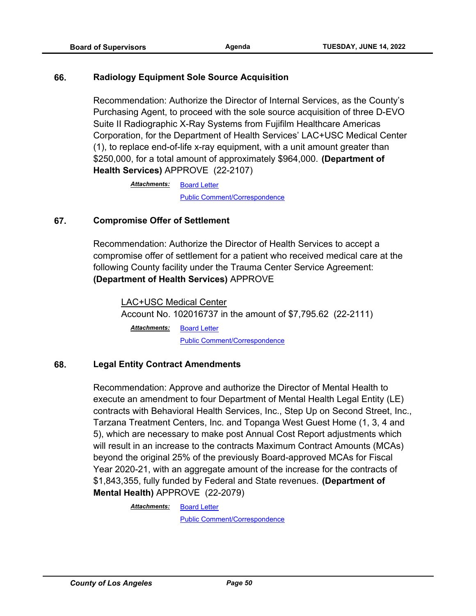#### **66. Radiology Equipment Sole Source Acquisition**

Recommendation: Authorize the Director of Internal Services, as the County's Purchasing Agent, to proceed with the sole source acquisition of three D-EVO Suite II Radiographic X-Ray Systems from Fujifilm Healthcare Americas Corporation, for the Department of Health Services' LAC+USC Medical Center (1), to replace end-of-life x-ray equipment, with a unit amount greater than \$250,000, for a total amount of approximately \$964,000. **(Department of Health Services)** APPROVE (22-2107)

> [Board Letter](http://file.lacounty.gov/SDSInter/bos/supdocs/169456.pdf) [Public Comment/Correspondence](http://file.lacounty.gov/SDSInter/bos/supdocs/169457.pdf) *Attachments:*

## **67. Compromise Offer of Settlement**

Recommendation: Authorize the Director of Health Services to accept a compromise offer of settlement for a patient who received medical care at the following County facility under the Trauma Center Service Agreement: **(Department of Health Services)** APPROVE

LAC+USC Medical Center Account No. 102016737 in the amount of \$7,795.62 (22-2111) [Board Letter](http://file.lacounty.gov/SDSInter/bos/supdocs/169458.pdf) [Public Comment/Correspondence](http://file.lacounty.gov/SDSInter/bos/supdocs/169459.pdf) *Attachments:*

## **68. Legal Entity Contract Amendments**

Recommendation: Approve and authorize the Director of Mental Health to execute an amendment to four Department of Mental Health Legal Entity (LE) contracts with Behavioral Health Services, Inc., Step Up on Second Street, Inc., Tarzana Treatment Centers, Inc. and Topanga West Guest Home (1, 3, 4 and 5), which are necessary to make post Annual Cost Report adjustments which will result in an increase to the contracts Maximum Contract Amounts (MCAs) beyond the original 25% of the previously Board-approved MCAs for Fiscal Year 2020-21, with an aggregate amount of the increase for the contracts of \$1,843,355, fully funded by Federal and State revenues. **(Department of Mental Health)** APPROVE (22-2079)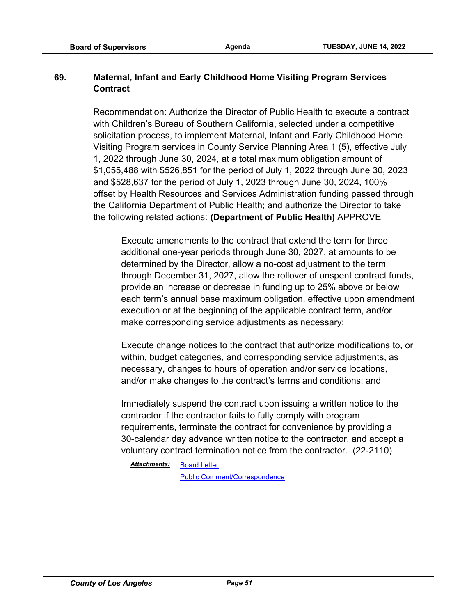# **69. Maternal, Infant and Early Childhood Home Visiting Program Services Contract**

Recommendation: Authorize the Director of Public Health to execute a contract with Children's Bureau of Southern California, selected under a competitive solicitation process, to implement Maternal, Infant and Early Childhood Home Visiting Program services in County Service Planning Area 1 (5), effective July 1, 2022 through June 30, 2024, at a total maximum obligation amount of \$1,055,488 with \$526,851 for the period of July 1, 2022 through June 30, 2023 and \$528,637 for the period of July 1, 2023 through June 30, 2024, 100% offset by Health Resources and Services Administration funding passed through the California Department of Public Health; and authorize the Director to take the following related actions: **(Department of Public Health)** APPROVE

Execute amendments to the contract that extend the term for three additional one-year periods through June 30, 2027, at amounts to be determined by the Director, allow a no-cost adjustment to the term through December 31, 2027, allow the rollover of unspent contract funds, provide an increase or decrease in funding up to 25% above or below each term's annual base maximum obligation, effective upon amendment execution or at the beginning of the applicable contract term, and/or make corresponding service adjustments as necessary;

Execute change notices to the contract that authorize modifications to, or within, budget categories, and corresponding service adjustments, as necessary, changes to hours of operation and/or service locations, and/or make changes to the contract's terms and conditions; and

Immediately suspend the contract upon issuing a written notice to the contractor if the contractor fails to fully comply with program requirements, terminate the contract for convenience by providing a 30-calendar day advance written notice to the contractor, and accept a voluntary contract termination notice from the contractor. (22-2110)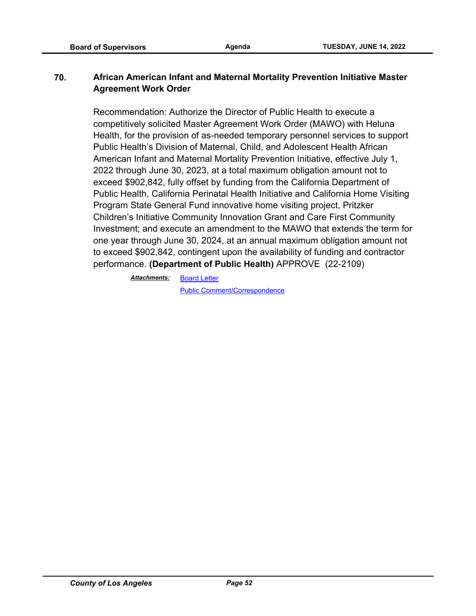## **70. African American Infant and Maternal Mortality Prevention Initiative Master Agreement Work Order**

Recommendation: Authorize the Director of Public Health to execute a competitively solicited Master Agreement Work Order (MAWO) with Heluna Health, for the provision of as-needed temporary personnel services to support Public Health's Division of Maternal, Child, and Adolescent Health African American Infant and Maternal Mortality Prevention Initiative, effective July 1, 2022 through June 30, 2023, at a total maximum obligation amount not to exceed \$902,842, fully offset by funding from the California Department of Public Health, California Perinatal Health Initiative and California Home Visiting Program State General Fund innovative home visiting project, Pritzker Children's Initiative Community Innovation Grant and Care First Community Investment; and execute an amendment to the MAWO that extends the term for one year through June 30, 2024, at an annual maximum obligation amount not to exceed \$902,842, contingent upon the availability of funding and contractor performance. **(Department of Public Health)** APPROVE (22-2109)

[Board Letter](http://file.lacounty.gov/SDSInter/bos/supdocs/169631.pdf) *Attachments:*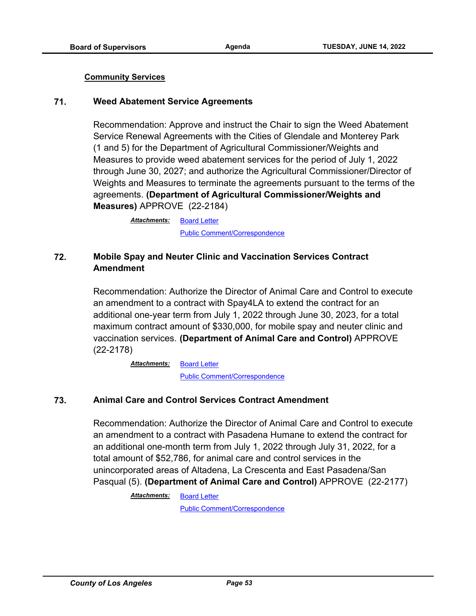#### **Community Services**

#### **71. Weed Abatement Service Agreements**

Recommendation: Approve and instruct the Chair to sign the Weed Abatement Service Renewal Agreements with the Cities of Glendale and Monterey Park (1 and 5) for the Department of Agricultural Commissioner/Weights and Measures to provide weed abatement services for the period of July 1, 2022 through June 30, 2027; and authorize the Agricultural Commissioner/Director of Weights and Measures to terminate the agreements pursuant to the terms of the agreements. **(Department of Agricultural Commissioner/Weights and Measures)** APPROVE (22-2184)

> [Board Letter](http://file.lacounty.gov/SDSInter/bos/supdocs/169609.pdf) [Public Comment/Correspondence](http://file.lacounty.gov/SDSInter/bos/supdocs/169610.pdf) *Attachments:*

## **72. Mobile Spay and Neuter Clinic and Vaccination Services Contract Amendment**

Recommendation: Authorize the Director of Animal Care and Control to execute an amendment to a contract with Spay4LA to extend the contract for an additional one-year term from July 1, 2022 through June 30, 2023, for a total maximum contract amount of \$330,000, for mobile spay and neuter clinic and vaccination services. **(Department of Animal Care and Control)** APPROVE (22-2178)

> [Board Letter](http://file.lacounty.gov/SDSInter/bos/supdocs/169597.pdf) [Public Comment/Correspondence](http://file.lacounty.gov/SDSInter/bos/supdocs/169598.pdf) *Attachments:*

## **73. Animal Care and Control Services Contract Amendment**

Recommendation: Authorize the Director of Animal Care and Control to execute an amendment to a contract with Pasadena Humane to extend the contract for an additional one-month term from July 1, 2022 through July 31, 2022, for a total amount of \$52,786, for animal care and control services in the unincorporated areas of Altadena, La Crescenta and East Pasadena/San Pasqual (5). **(Department of Animal Care and Control)** APPROVE (22-2177)

> [Board Letter](http://file.lacounty.gov/SDSInter/bos/supdocs/169594.pdf) *Attachments:*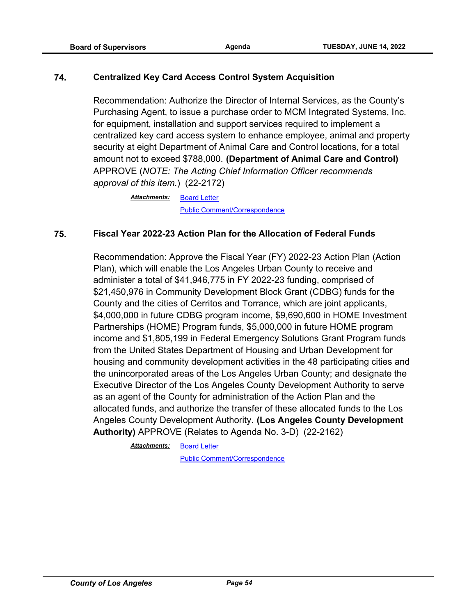## **74. Centralized Key Card Access Control System Acquisition**

Recommendation: Authorize the Director of Internal Services, as the County's Purchasing Agent, to issue a purchase order to MCM Integrated Systems, Inc. for equipment, installation and support services required to implement a centralized key card access system to enhance employee, animal and property security at eight Department of Animal Care and Control locations, for a total amount not to exceed \$788,000. **(Department of Animal Care and Control)**  APPROVE (*NOTE: The Acting Chief Information Officer recommends approval of this item.*) (22-2172)

> [Board Letter](http://file.lacounty.gov/SDSInter/bos/supdocs/169585.pdf) [Public Comment/Correspondence](http://file.lacounty.gov/SDSInter/bos/supdocs/169586.pdf) *Attachments:*

#### **75. Fiscal Year 2022-23 Action Plan for the Allocation of Federal Funds**

Recommendation: Approve the Fiscal Year (FY) 2022-23 Action Plan (Action Plan), which will enable the Los Angeles Urban County to receive and administer a total of \$41,946,775 in FY 2022-23 funding, comprised of \$21,450,976 in Community Development Block Grant (CDBG) funds for the County and the cities of Cerritos and Torrance, which are joint applicants, \$4,000,000 in future CDBG program income, \$9,690,600 in HOME Investment Partnerships (HOME) Program funds, \$5,000,000 in future HOME program income and \$1,805,199 in Federal Emergency Solutions Grant Program funds from the United States Department of Housing and Urban Development for housing and community development activities in the 48 participating cities and the unincorporated areas of the Los Angeles Urban County; and designate the Executive Director of the Los Angeles County Development Authority to serve as an agent of the County for administration of the Action Plan and the allocated funds, and authorize the transfer of these allocated funds to the Los Angeles County Development Authority. **(Los Angeles County Development Authority)** APPROVE (Relates to Agenda No. 3-D) (22-2162)

> [Board Letter](http://file.lacounty.gov/SDSInter/bos/supdocs/169565.pdf) *Attachments:*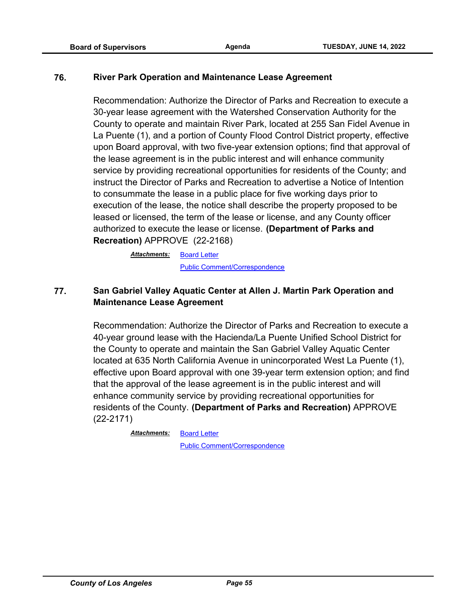## **76. River Park Operation and Maintenance Lease Agreement**

Recommendation: Authorize the Director of Parks and Recreation to execute a 30-year lease agreement with the Watershed Conservation Authority for the County to operate and maintain River Park, located at 255 San Fidel Avenue in La Puente (1), and a portion of County Flood Control District property, effective upon Board approval, with two five-year extension options; find that approval of the lease agreement is in the public interest and will enhance community service by providing recreational opportunities for residents of the County; and instruct the Director of Parks and Recreation to advertise a Notice of Intention to consummate the lease in a public place for five working days prior to execution of the lease, the notice shall describe the property proposed to be leased or licensed, the term of the lease or license, and any County officer authorized to execute the lease or license. **(Department of Parks and Recreation)** APPROVE (22-2168)

> [Board Letter](http://file.lacounty.gov/SDSInter/bos/supdocs/169578.pdf) *Attachments:* [Public Comment/Correspondence](http://file.lacounty.gov/SDSInter/bos/supdocs/169579.pdf)

# **77. San Gabriel Valley Aquatic Center at Allen J. Martin Park Operation and Maintenance Lease Agreement**

Recommendation: Authorize the Director of Parks and Recreation to execute a 40-year ground lease with the Hacienda/La Puente Unified School District for the County to operate and maintain the San Gabriel Valley Aquatic Center located at 635 North California Avenue in unincorporated West La Puente (1), effective upon Board approval with one 39-year term extension option; and find that the approval of the lease agreement is in the public interest and will enhance community service by providing recreational opportunities for residents of the County. **(Department of Parks and Recreation)** APPROVE (22-2171)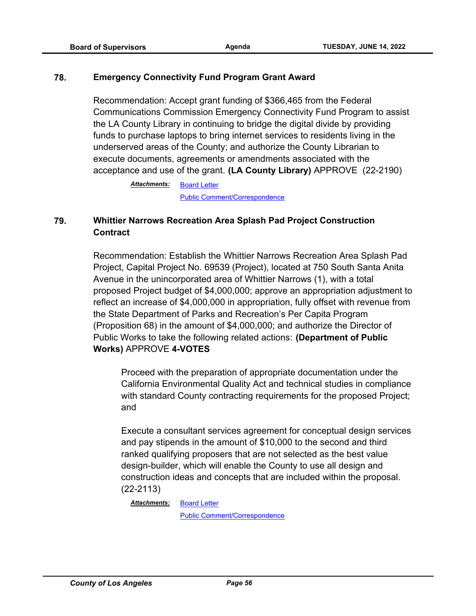#### **78. Emergency Connectivity Fund Program Grant Award**

Recommendation: Accept grant funding of \$366,465 from the Federal Communications Commission Emergency Connectivity Fund Program to assist the LA County Library in continuing to bridge the digital divide by providing funds to purchase laptops to bring internet services to residents living in the underserved areas of the County; and authorize the County Librarian to execute documents, agreements or amendments associated with the acceptance and use of the grant. **(LA County Library)** APPROVE (22-2190)

> [Board Letter](http://file.lacounty.gov/SDSInter/bos/supdocs/169621.pdf) [Public Comment/Correspondence](http://file.lacounty.gov/SDSInter/bos/supdocs/169622.pdf) *Attachments:*

# **79. Whittier Narrows Recreation Area Splash Pad Project Construction Contract**

Recommendation: Establish the Whittier Narrows Recreation Area Splash Pad Project, Capital Project No. 69539 (Project), located at 750 South Santa Anita Avenue in the unincorporated area of Whittier Narrows (1), with a total proposed Project budget of \$4,000,000; approve an appropriation adjustment to reflect an increase of \$4,000,000 in appropriation, fully offset with revenue from the State Department of Parks and Recreation's Per Capita Program (Proposition 68) in the amount of \$4,000,000; and authorize the Director of Public Works to take the following related actions: **(Department of Public Works)** APPROVE **4-VOTES**

Proceed with the preparation of appropriate documentation under the California Environmental Quality Act and technical studies in compliance with standard County contracting requirements for the proposed Project; and

Execute a consultant services agreement for conceptual design services and pay stipends in the amount of \$10,000 to the second and third ranked qualifying proposers that are not selected as the best value design-builder, which will enable the County to use all design and construction ideas and concepts that are included within the proposal. (22-2113)

[Board Letter](http://file.lacounty.gov/SDSInter/bos/supdocs/169464.pdf) *Attachments:*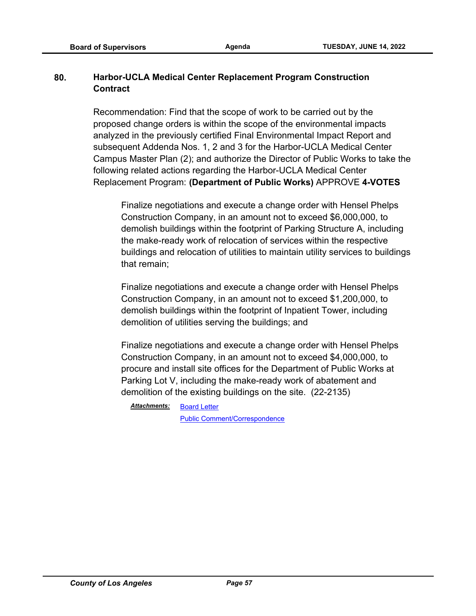# **80. Harbor-UCLA Medical Center Replacement Program Construction Contract**

Recommendation: Find that the scope of work to be carried out by the proposed change orders is within the scope of the environmental impacts analyzed in the previously certified Final Environmental Impact Report and subsequent Addenda Nos. 1, 2 and 3 for the Harbor-UCLA Medical Center Campus Master Plan (2); and authorize the Director of Public Works to take the following related actions regarding the Harbor-UCLA Medical Center Replacement Program: **(Department of Public Works)** APPROVE **4-VOTES**

Finalize negotiations and execute a change order with Hensel Phelps Construction Company, in an amount not to exceed \$6,000,000, to demolish buildings within the footprint of Parking Structure A, including the make-ready work of relocation of services within the respective buildings and relocation of utilities to maintain utility services to buildings that remain;

Finalize negotiations and execute a change order with Hensel Phelps Construction Company, in an amount not to exceed \$1,200,000, to demolish buildings within the footprint of Inpatient Tower, including demolition of utilities serving the buildings; and

Finalize negotiations and execute a change order with Hensel Phelps Construction Company, in an amount not to exceed \$4,000,000, to procure and install site offices for the Department of Public Works at Parking Lot V, including the make-ready work of abatement and demolition of the existing buildings on the site. (22-2135)

[Board Letter](http://file.lacounty.gov/SDSInter/bos/supdocs/169487.pdf) *Attachments:*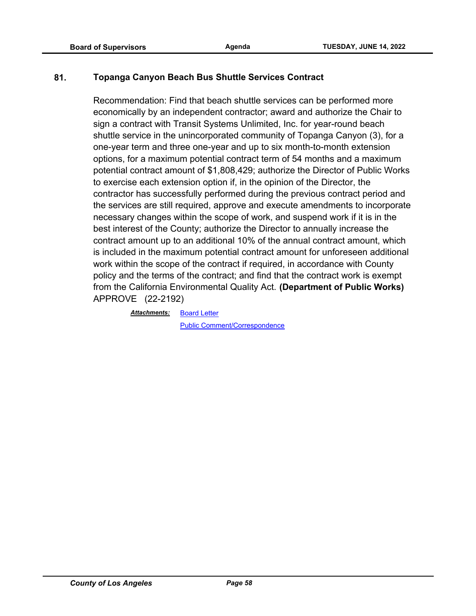## **81. Topanga Canyon Beach Bus Shuttle Services Contract**

Recommendation: Find that beach shuttle services can be performed more economically by an independent contractor; award and authorize the Chair to sign a contract with Transit Systems Unlimited, Inc. for year-round beach shuttle service in the unincorporated community of Topanga Canyon (3), for a one-year term and three one-year and up to six month-to-month extension options, for a maximum potential contract term of 54 months and a maximum potential contract amount of \$1,808,429; authorize the Director of Public Works to exercise each extension option if, in the opinion of the Director, the contractor has successfully performed during the previous contract period and the services are still required, approve and execute amendments to incorporate necessary changes within the scope of work, and suspend work if it is in the best interest of the County; authorize the Director to annually increase the contract amount up to an additional 10% of the annual contract amount, which is included in the maximum potential contract amount for unforeseen additional work within the scope of the contract if required, in accordance with County policy and the terms of the contract; and find that the contract work is exempt from the California Environmental Quality Act. **(Department of Public Works)** APPROVE (22-2192)

*Attachments:*

[Public Comment/Correspondence](http://file.lacounty.gov/SDSInter/bos/supdocs/169634.pdf)

[Board Letter](http://file.lacounty.gov/SDSInter/bos/supdocs/169633.pdf)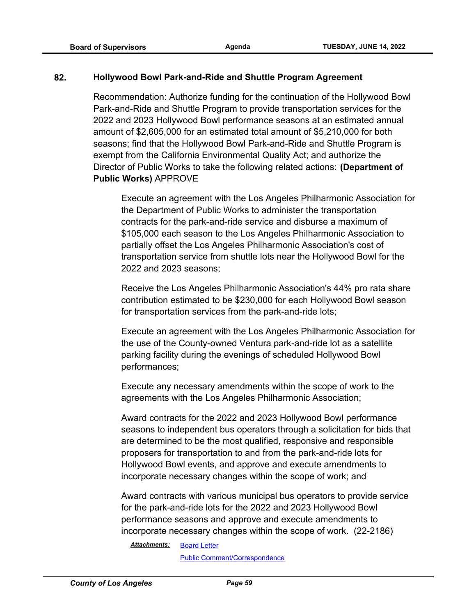## **82. Hollywood Bowl Park-and-Ride and Shuttle Program Agreement**

Recommendation: Authorize funding for the continuation of the Hollywood Bowl Park-and-Ride and Shuttle Program to provide transportation services for the 2022 and 2023 Hollywood Bowl performance seasons at an estimated annual amount of \$2,605,000 for an estimated total amount of \$5,210,000 for both seasons; find that the Hollywood Bowl Park-and-Ride and Shuttle Program is exempt from the California Environmental Quality Act; and authorize the Director of Public Works to take the following related actions: **(Department of Public Works)** APPROVE

Execute an agreement with the Los Angeles Philharmonic Association for the Department of Public Works to administer the transportation contracts for the park-and-ride service and disburse a maximum of \$105,000 each season to the Los Angeles Philharmonic Association to partially offset the Los Angeles Philharmonic Association's cost of transportation service from shuttle lots near the Hollywood Bowl for the 2022 and 2023 seasons;

Receive the Los Angeles Philharmonic Association's 44% pro rata share contribution estimated to be \$230,000 for each Hollywood Bowl season for transportation services from the park-and-ride lots;

Execute an agreement with the Los Angeles Philharmonic Association for the use of the County-owned Ventura park-and-ride lot as a satellite parking facility during the evenings of scheduled Hollywood Bowl performances;

Execute any necessary amendments within the scope of work to the agreements with the Los Angeles Philharmonic Association;

Award contracts for the 2022 and 2023 Hollywood Bowl performance seasons to independent bus operators through a solicitation for bids that are determined to be the most qualified, responsive and responsible proposers for transportation to and from the park-and-ride lots for Hollywood Bowl events, and approve and execute amendments to incorporate necessary changes within the scope of work; and

Award contracts with various municipal bus operators to provide service for the park-and-ride lots for the 2022 and 2023 Hollywood Bowl performance seasons and approve and execute amendments to incorporate necessary changes within the scope of work. (22-2186)

#### [Board Letter](http://file.lacounty.gov/SDSInter/bos/supdocs/169613.pdf) *Attachments:*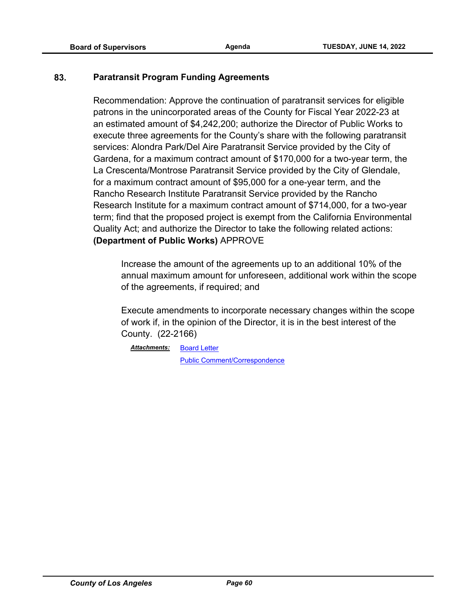## **83. Paratransit Program Funding Agreements**

Recommendation: Approve the continuation of paratransit services for eligible patrons in the unincorporated areas of the County for Fiscal Year 2022-23 at an estimated amount of \$4,242,200; authorize the Director of Public Works to execute three agreements for the County's share with the following paratransit services: Alondra Park/Del Aire Paratransit Service provided by the City of Gardena, for a maximum contract amount of \$170,000 for a two-year term, the La Crescenta/Montrose Paratransit Service provided by the City of Glendale, for a maximum contract amount of \$95,000 for a one-year term, and the Rancho Research Institute Paratransit Service provided by the Rancho Research Institute for a maximum contract amount of \$714,000, for a two-year term; find that the proposed project is exempt from the California Environmental Quality Act; and authorize the Director to take the following related actions: **(Department of Public Works)** APPROVE

Increase the amount of the agreements up to an additional 10% of the annual maximum amount for unforeseen, additional work within the scope of the agreements, if required; and

Execute amendments to incorporate necessary changes within the scope of work if, in the opinion of the Director, it is in the best interest of the County. (22-2166)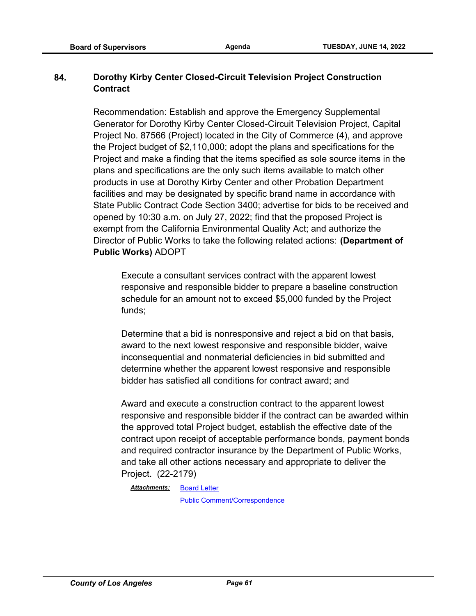# **84. Dorothy Kirby Center Closed-Circuit Television Project Construction Contract**

Recommendation: Establish and approve the Emergency Supplemental Generator for Dorothy Kirby Center Closed-Circuit Television Project, Capital Project No. 87566 (Project) located in the City of Commerce (4), and approve the Project budget of \$2,110,000; adopt the plans and specifications for the Project and make a finding that the items specified as sole source items in the plans and specifications are the only such items available to match other products in use at Dorothy Kirby Center and other Probation Department facilities and may be designated by specific brand name in accordance with State Public Contract Code Section 3400; advertise for bids to be received and opened by 10:30 a.m. on July 27, 2022; find that the proposed Project is exempt from the California Environmental Quality Act; and authorize the Director of Public Works to take the following related actions: **(Department of Public Works)** ADOPT

Execute a consultant services contract with the apparent lowest responsive and responsible bidder to prepare a baseline construction schedule for an amount not to exceed \$5,000 funded by the Project funds;

Determine that a bid is nonresponsive and reject a bid on that basis, award to the next lowest responsive and responsible bidder, waive inconsequential and nonmaterial deficiencies in bid submitted and determine whether the apparent lowest responsive and responsible bidder has satisfied all conditions for contract award; and

Award and execute a construction contract to the apparent lowest responsive and responsible bidder if the contract can be awarded within the approved total Project budget, establish the effective date of the contract upon receipt of acceptable performance bonds, payment bonds and required contractor insurance by the Department of Public Works, and take all other actions necessary and appropriate to deliver the Project. (22-2179)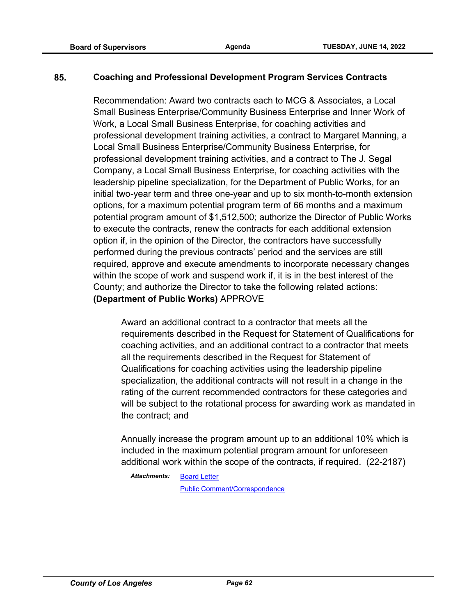## **85. Coaching and Professional Development Program Services Contracts**

Recommendation: Award two contracts each to MCG & Associates, a Local Small Business Enterprise/Community Business Enterprise and Inner Work of Work, a Local Small Business Enterprise, for coaching activities and professional development training activities, a contract to Margaret Manning, a Local Small Business Enterprise/Community Business Enterprise, for professional development training activities, and a contract to The J. Segal Company, a Local Small Business Enterprise, for coaching activities with the leadership pipeline specialization, for the Department of Public Works, for an initial two-year term and three one-year and up to six month-to-month extension options, for a maximum potential program term of 66 months and a maximum potential program amount of \$1,512,500; authorize the Director of Public Works to execute the contracts, renew the contracts for each additional extension option if, in the opinion of the Director, the contractors have successfully performed during the previous contracts' period and the services are still required, approve and execute amendments to incorporate necessary changes within the scope of work and suspend work if, it is in the best interest of the County; and authorize the Director to take the following related actions: **(Department of Public Works)** APPROVE

Award an additional contract to a contractor that meets all the requirements described in the Request for Statement of Qualifications for coaching activities, and an additional contract to a contractor that meets all the requirements described in the Request for Statement of Qualifications for coaching activities using the leadership pipeline specialization, the additional contracts will not result in a change in the rating of the current recommended contractors for these categories and will be subject to the rotational process for awarding work as mandated in the contract; and

Annually increase the program amount up to an additional 10% which is included in the maximum potential program amount for unforeseen additional work within the scope of the contracts, if required. (22-2187)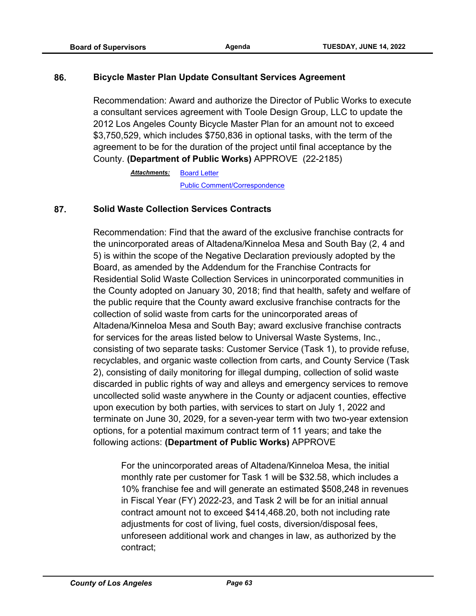#### **86. Bicycle Master Plan Update Consultant Services Agreement**

Recommendation: Award and authorize the Director of Public Works to execute a consultant services agreement with Toole Design Group, LLC to update the 2012 Los Angeles County Bicycle Master Plan for an amount not to exceed \$3,750,529, which includes \$750,836 in optional tasks, with the term of the agreement to be for the duration of the project until final acceptance by the County. **(Department of Public Works)** APPROVE (22-2185)

> [Board Letter](http://file.lacounty.gov/SDSInter/bos/supdocs/169611.pdf) [Public Comment/Correspondence](http://file.lacounty.gov/SDSInter/bos/supdocs/169612.pdf) *Attachments:*

#### **87. Solid Waste Collection Services Contracts**

Recommendation: Find that the award of the exclusive franchise contracts for the unincorporated areas of Altadena/Kinneloa Mesa and South Bay (2, 4 and 5) is within the scope of the Negative Declaration previously adopted by the Board, as amended by the Addendum for the Franchise Contracts for Residential Solid Waste Collection Services in unincorporated communities in the County adopted on January 30, 2018; find that health, safety and welfare of the public require that the County award exclusive franchise contracts for the collection of solid waste from carts for the unincorporated areas of Altadena/Kinneloa Mesa and South Bay; award exclusive franchise contracts for services for the areas listed below to Universal Waste Systems, Inc., consisting of two separate tasks: Customer Service (Task 1), to provide refuse, recyclables, and organic waste collection from carts, and County Service (Task 2), consisting of daily monitoring for illegal dumping, collection of solid waste discarded in public rights of way and alleys and emergency services to remove uncollected solid waste anywhere in the County or adjacent counties, effective upon execution by both parties, with services to start on July 1, 2022 and terminate on June 30, 2029, for a seven-year term with two two-year extension options, for a potential maximum contract term of 11 years; and take the following actions: **(Department of Public Works)** APPROVE

For the unincorporated areas of Altadena/Kinneloa Mesa, the initial monthly rate per customer for Task 1 will be \$32.58, which includes a 10% franchise fee and will generate an estimated \$508,248 in revenues in Fiscal Year (FY) 2022-23, and Task 2 will be for an initial annual contract amount not to exceed \$414,468.20, both not including rate adjustments for cost of living, fuel costs, diversion/disposal fees, unforeseen additional work and changes in law, as authorized by the contract;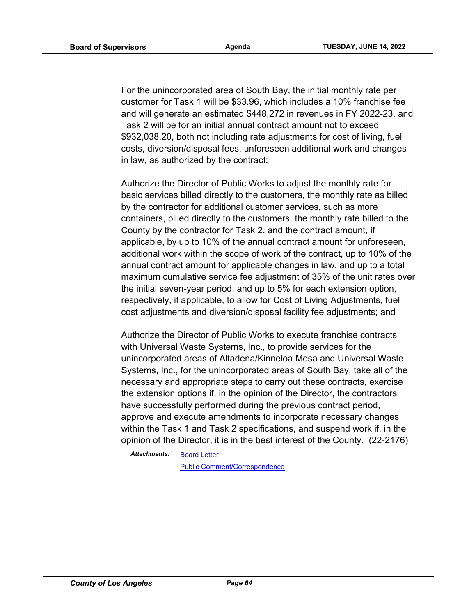For the unincorporated area of South Bay, the initial monthly rate per customer for Task 1 will be \$33.96, which includes a 10% franchise fee and will generate an estimated \$448,272 in revenues in FY 2022-23, and Task 2 will be for an initial annual contract amount not to exceed \$932,038.20, both not including rate adjustments for cost of living, fuel costs, diversion/disposal fees, unforeseen additional work and changes in law, as authorized by the contract;

Authorize the Director of Public Works to adjust the monthly rate for basic services billed directly to the customers, the monthly rate as billed by the contractor for additional customer services, such as more containers, billed directly to the customers, the monthly rate billed to the County by the contractor for Task 2, and the contract amount, if applicable, by up to 10% of the annual contract amount for unforeseen, additional work within the scope of work of the contract, up to 10% of the annual contract amount for applicable changes in law, and up to a total maximum cumulative service fee adjustment of 35% of the unit rates over the initial seven-year period, and up to 5% for each extension option, respectively, if applicable, to allow for Cost of Living Adjustments, fuel cost adjustments and diversion/disposal facility fee adjustments; and

Authorize the Director of Public Works to execute franchise contracts with Universal Waste Systems, Inc., to provide services for the unincorporated areas of Altadena/Kinneloa Mesa and Universal Waste Systems, Inc., for the unincorporated areas of South Bay, take all of the necessary and appropriate steps to carry out these contracts, exercise the extension options if, in the opinion of the Director, the contractors have successfully performed during the previous contract period, approve and execute amendments to incorporate necessary changes within the Task 1 and Task 2 specifications, and suspend work if, in the opinion of the Director, it is in the best interest of the County. (22-2176)

[Board Letter](http://file.lacounty.gov/SDSInter/bos/supdocs/169593.pdf) *Attachments:*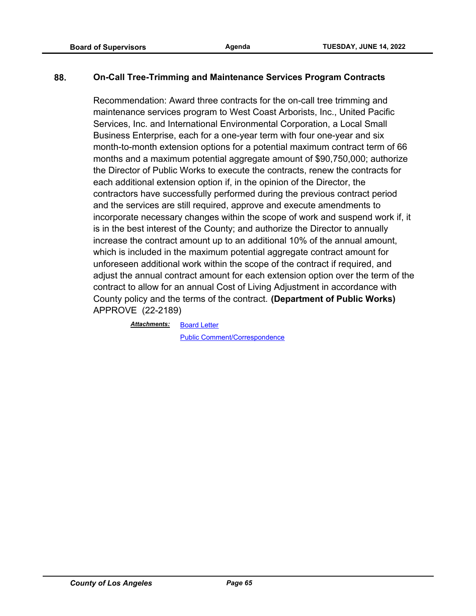## **88. On-Call Tree-Trimming and Maintenance Services Program Contracts**

Recommendation: Award three contracts for the on-call tree trimming and maintenance services program to West Coast Arborists, Inc., United Pacific Services, Inc. and International Environmental Corporation, a Local Small Business Enterprise, each for a one-year term with four one-year and six month-to-month extension options for a potential maximum contract term of 66 months and a maximum potential aggregate amount of \$90,750,000; authorize the Director of Public Works to execute the contracts, renew the contracts for each additional extension option if, in the opinion of the Director, the contractors have successfully performed during the previous contract period and the services are still required, approve and execute amendments to incorporate necessary changes within the scope of work and suspend work if, it is in the best interest of the County; and authorize the Director to annually increase the contract amount up to an additional 10% of the annual amount, which is included in the maximum potential aggregate contract amount for unforeseen additional work within the scope of the contract if required, and adjust the annual contract amount for each extension option over the term of the contract to allow for an annual Cost of Living Adjustment in accordance with County policy and the terms of the contract. **(Department of Public Works)** APPROVE (22-2189)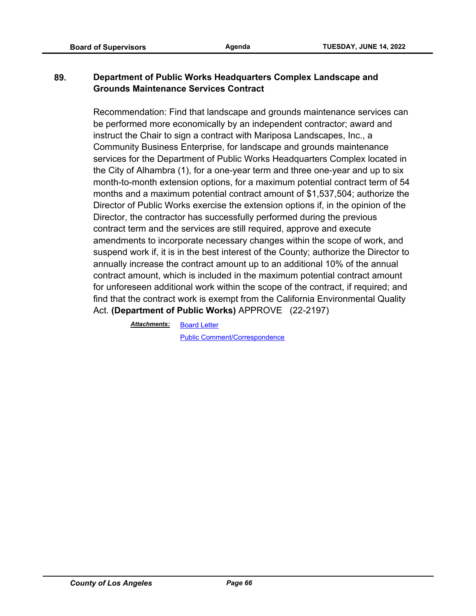# **89. Department of Public Works Headquarters Complex Landscape and Grounds Maintenance Services Contract**

Recommendation: Find that landscape and grounds maintenance services can be performed more economically by an independent contractor; award and instruct the Chair to sign a contract with Mariposa Landscapes, Inc., a Community Business Enterprise, for landscape and grounds maintenance services for the Department of Public Works Headquarters Complex located in the City of Alhambra (1), for a one-year term and three one-year and up to six month-to-month extension options, for a maximum potential contract term of 54 months and a maximum potential contract amount of \$1,537,504; authorize the Director of Public Works exercise the extension options if, in the opinion of the Director, the contractor has successfully performed during the previous contract term and the services are still required, approve and execute amendments to incorporate necessary changes within the scope of work, and suspend work if, it is in the best interest of the County; authorize the Director to annually increase the contract amount up to an additional 10% of the annual contract amount, which is included in the maximum potential contract amount for unforeseen additional work within the scope of the contract, if required; and find that the contract work is exempt from the California Environmental Quality Act. **(Department of Public Works)** APPROVE (22-2197)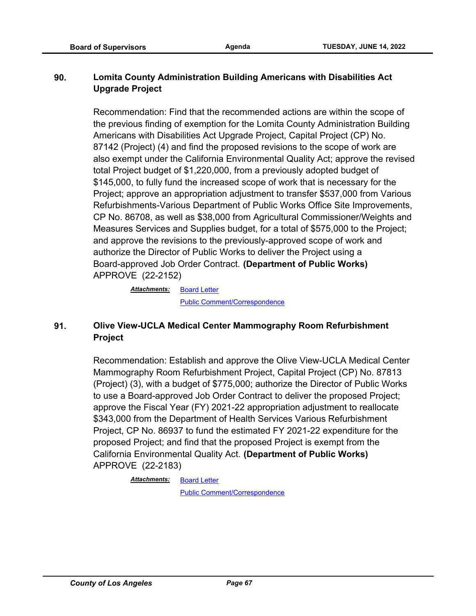# **90. Lomita County Administration Building Americans with Disabilities Act Upgrade Project**

Recommendation: Find that the recommended actions are within the scope of the previous finding of exemption for the Lomita County Administration Building Americans with Disabilities Act Upgrade Project, Capital Project (CP) No. 87142 (Project) (4) and find the proposed revisions to the scope of work are also exempt under the California Environmental Quality Act; approve the revised total Project budget of \$1,220,000, from a previously adopted budget of \$145,000, to fully fund the increased scope of work that is necessary for the Project; approve an appropriation adjustment to transfer \$537,000 from Various Refurbishments-Various Department of Public Works Office Site Improvements, CP No. 86708, as well as \$38,000 from Agricultural Commissioner/Weights and Measures Services and Supplies budget, for a total of \$575,000 to the Project; and approve the revisions to the previously-approved scope of work and authorize the Director of Public Works to deliver the Project using a Board-approved Job Order Contract. **(Department of Public Works)** APPROVE (22-2152)

> [Board Letter](http://file.lacounty.gov/SDSInter/bos/supdocs/169517.pdf) [Public Comment/Correspondence](http://file.lacounty.gov/SDSInter/bos/supdocs/169518.pdf) *Attachments:*

# **91. Olive View-UCLA Medical Center Mammography Room Refurbishment Project**

Recommendation: Establish and approve the Olive View-UCLA Medical Center Mammography Room Refurbishment Project, Capital Project (CP) No. 87813 (Project) (3), with a budget of \$775,000; authorize the Director of Public Works to use a Board-approved Job Order Contract to deliver the proposed Project; approve the Fiscal Year (FY) 2021-22 appropriation adjustment to reallocate \$343,000 from the Department of Health Services Various Refurbishment Project, CP No. 86937 to fund the estimated FY 2021-22 expenditure for the proposed Project; and find that the proposed Project is exempt from the California Environmental Quality Act. **(Department of Public Works)** APPROVE (22-2183)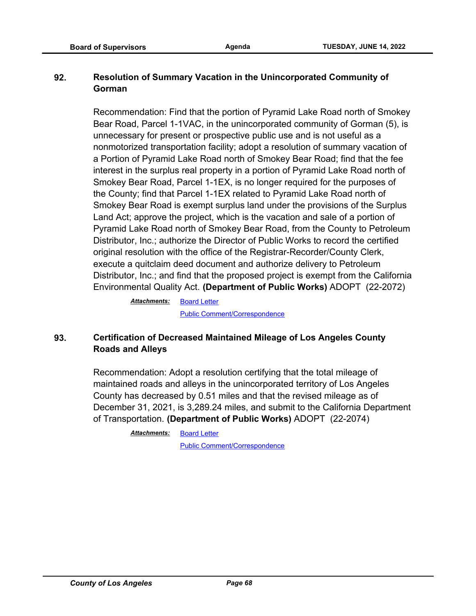# **92. Resolution of Summary Vacation in the Unincorporated Community of Gorman**

Recommendation: Find that the portion of Pyramid Lake Road north of Smokey Bear Road, Parcel 1-1VAC, in the unincorporated community of Gorman (5), is unnecessary for present or prospective public use and is not useful as a nonmotorized transportation facility; adopt a resolution of summary vacation of a Portion of Pyramid Lake Road north of Smokey Bear Road; find that the fee interest in the surplus real property in a portion of Pyramid Lake Road north of Smokey Bear Road, Parcel 1-1EX, is no longer required for the purposes of the County; find that Parcel 1-1EX related to Pyramid Lake Road north of Smokey Bear Road is exempt surplus land under the provisions of the Surplus Land Act; approve the project, which is the vacation and sale of a portion of Pyramid Lake Road north of Smokey Bear Road, from the County to Petroleum Distributor, Inc.; authorize the Director of Public Works to record the certified original resolution with the office of the Registrar-Recorder/County Clerk, execute a quitclaim deed document and authorize delivery to Petroleum Distributor, Inc.; and find that the proposed project is exempt from the California Environmental Quality Act. **(Department of Public Works)** ADOPT (22-2072)

> [Board Letter](http://file.lacounty.gov/SDSInter/bos/supdocs/169413.pdf) [Public Comment/Correspondence](http://file.lacounty.gov/SDSInter/bos/supdocs/169418.pdf) *Attachments:*

# **93. Certification of Decreased Maintained Mileage of Los Angeles County Roads and Alleys**

Recommendation: Adopt a resolution certifying that the total mileage of maintained roads and alleys in the unincorporated territory of Los Angeles County has decreased by 0.51 miles and that the revised mileage as of December 31, 2021, is 3,289.24 miles, and submit to the California Department of Transportation. **(Department of Public Works)** ADOPT (22-2074)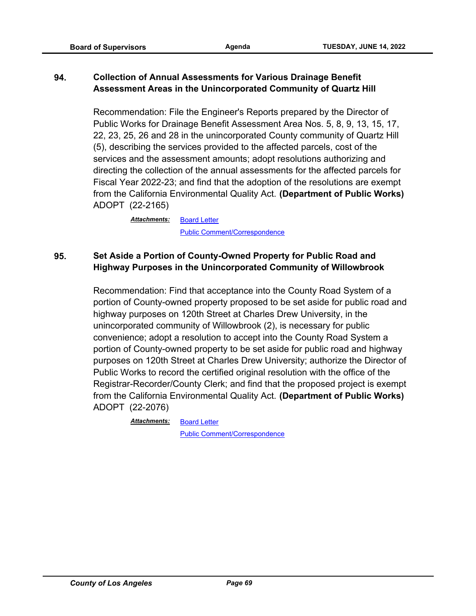# **94. Collection of Annual Assessments for Various Drainage Benefit Assessment Areas in the Unincorporated Community of Quartz Hill**

Recommendation: File the Engineer's Reports prepared by the Director of Public Works for Drainage Benefit Assessment Area Nos. 5, 8, 9, 13, 15, 17, 22, 23, 25, 26 and 28 in the unincorporated County community of Quartz Hill (5), describing the services provided to the affected parcels, cost of the services and the assessment amounts; adopt resolutions authorizing and directing the collection of the annual assessments for the affected parcels for Fiscal Year 2022-23; and find that the adoption of the resolutions are exempt from the California Environmental Quality Act. **(Department of Public Works)** ADOPT (22-2165)

> [Board Letter](http://file.lacounty.gov/SDSInter/bos/supdocs/169571.pdf) [Public Comment/Correspondence](http://file.lacounty.gov/SDSInter/bos/supdocs/169572.pdf) *Attachments:*

# **95. Set Aside a Portion of County-Owned Property for Public Road and Highway Purposes in the Unincorporated Community of Willowbrook**

Recommendation: Find that acceptance into the County Road System of a portion of County-owned property proposed to be set aside for public road and highway purposes on 120th Street at Charles Drew University, in the unincorporated community of Willowbrook (2), is necessary for public convenience; adopt a resolution to accept into the County Road System a portion of County-owned property to be set aside for public road and highway purposes on 120th Street at Charles Drew University; authorize the Director of Public Works to record the certified original resolution with the office of the Registrar-Recorder/County Clerk; and find that the proposed project is exempt from the California Environmental Quality Act. **(Department of Public Works)**  ADOPT (22-2076)

*Attachments:*

[Public Comment/Correspondence](http://file.lacounty.gov/SDSInter/bos/supdocs/169426.pdf)

[Board Letter](http://file.lacounty.gov/SDSInter/bos/supdocs/169425.pdf)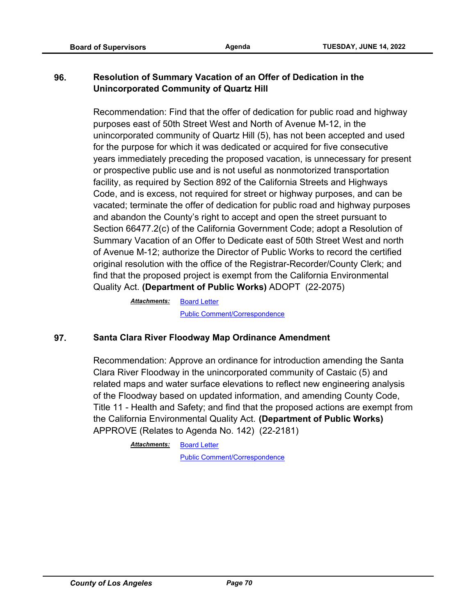# **96. Resolution of Summary Vacation of an Offer of Dedication in the Unincorporated Community of Quartz Hill**

Recommendation: Find that the offer of dedication for public road and highway purposes east of 50th Street West and North of Avenue M-12, in the unincorporated community of Quartz Hill (5), has not been accepted and used for the purpose for which it was dedicated or acquired for five consecutive years immediately preceding the proposed vacation, is unnecessary for present or prospective public use and is not useful as nonmotorized transportation facility, as required by Section 892 of the California Streets and Highways Code, and is excess, not required for street or highway purposes, and can be vacated; terminate the offer of dedication for public road and highway purposes and abandon the County's right to accept and open the street pursuant to Section 66477.2(c) of the California Government Code; adopt a Resolution of Summary Vacation of an Offer to Dedicate east of 50th Street West and north of Avenue M-12; authorize the Director of Public Works to record the certified original resolution with the office of the Registrar-Recorder/County Clerk; and find that the proposed project is exempt from the California Environmental Quality Act. **(Department of Public Works)** ADOPT (22-2075)

> [Board Letter](http://file.lacounty.gov/SDSInter/bos/supdocs/169423.pdf) [Public Comment/Correspondence](http://file.lacounty.gov/SDSInter/bos/supdocs/169424.pdf) *Attachments:*

#### **97. Santa Clara River Floodway Map Ordinance Amendment**

Recommendation: Approve an ordinance for introduction amending the Santa Clara River Floodway in the unincorporated community of Castaic (5) and related maps and water surface elevations to reflect new engineering analysis of the Floodway based on updated information, and amending County Code, Title 11 - Health and Safety; and find that the proposed actions are exempt from the California Environmental Quality Act. **(Department of Public Works)** APPROVE (Relates to Agenda No. 142) (22-2181)

> [Board Letter](http://file.lacounty.gov/SDSInter/bos/supdocs/169603.pdf) *Attachments:*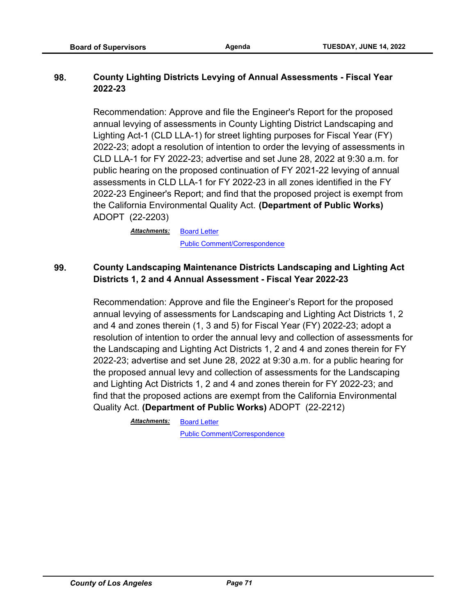## **98. County Lighting Districts Levying of Annual Assessments - Fiscal Year 2022-23**

Recommendation: Approve and file the Engineer's Report for the proposed annual levying of assessments in County Lighting District Landscaping and Lighting Act-1 (CLD LLA-1) for street lighting purposes for Fiscal Year (FY) 2022-23; adopt a resolution of intention to order the levying of assessments in CLD LLA-1 for FY 2022-23; advertise and set June 28, 2022 at 9:30 a.m. for public hearing on the proposed continuation of FY 2021-22 levying of annual assessments in CLD LLA-1 for FY 2022-23 in all zones identified in the FY 2022-23 Engineer's Report; and find that the proposed project is exempt from the California Environmental Quality Act. **(Department of Public Works)**  ADOPT (22-2203)

> **[Board Letter](http://file.lacounty.gov/SDSInter/bos/supdocs/169657.pdf)** [Public Comment/Correspondence](http://file.lacounty.gov/SDSInter/bos/supdocs/169658.pdf) *Attachments:*

# **99. County Landscaping Maintenance Districts Landscaping and Lighting Act Districts 1, 2 and 4 Annual Assessment - Fiscal Year 2022-23**

Recommendation: Approve and file the Engineer's Report for the proposed annual levying of assessments for Landscaping and Lighting Act Districts 1, 2 and 4 and zones therein (1, 3 and 5) for Fiscal Year (FY) 2022-23; adopt a resolution of intention to order the annual levy and collection of assessments for the Landscaping and Lighting Act Districts 1, 2 and 4 and zones therein for FY 2022-23; advertise and set June 28, 2022 at 9:30 a.m. for a public hearing for the proposed annual levy and collection of assessments for the Landscaping and Lighting Act Districts 1, 2 and 4 and zones therein for FY 2022-23; and find that the proposed actions are exempt from the California Environmental Quality Act. **(Department of Public Works)** ADOPT (22-2212)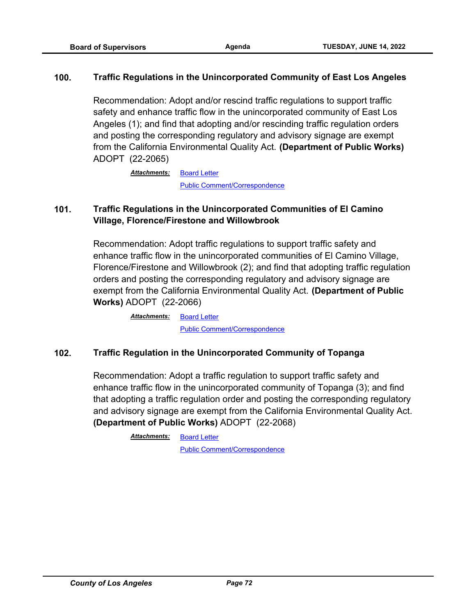#### **100. Traffic Regulations in the Unincorporated Community of East Los Angeles**

Recommendation: Adopt and/or rescind traffic regulations to support traffic safety and enhance traffic flow in the unincorporated community of East Los Angeles (1); and find that adopting and/or rescinding traffic regulation orders and posting the corresponding regulatory and advisory signage are exempt from the California Environmental Quality Act. **(Department of Public Works)**  ADOPT (22-2065)

> [Board Letter](http://file.lacounty.gov/SDSInter/bos/supdocs/169398.pdf) [Public Comment/Correspondence](http://file.lacounty.gov/SDSInter/bos/supdocs/169399.pdf) *Attachments:*

# **101. Traffic Regulations in the Unincorporated Communities of El Camino Village, Florence/Firestone and Willowbrook**

Recommendation: Adopt traffic regulations to support traffic safety and enhance traffic flow in the unincorporated communities of El Camino Village, Florence/Firestone and Willowbrook (2); and find that adopting traffic regulation orders and posting the corresponding regulatory and advisory signage are exempt from the California Environmental Quality Act. **(Department of Public Works)** ADOPT (22-2066)

> [Board Letter](http://file.lacounty.gov/SDSInter/bos/supdocs/169400.pdf) [Public Comment/Correspondence](http://file.lacounty.gov/SDSInter/bos/supdocs/169402.pdf) *Attachments:*

## **102. Traffic Regulation in the Unincorporated Community of Topanga**

Recommendation: Adopt a traffic regulation to support traffic safety and enhance traffic flow in the unincorporated community of Topanga (3); and find that adopting a traffic regulation order and posting the corresponding regulatory and advisory signage are exempt from the California Environmental Quality Act. **(Department of Public Works)** ADOPT (22-2068)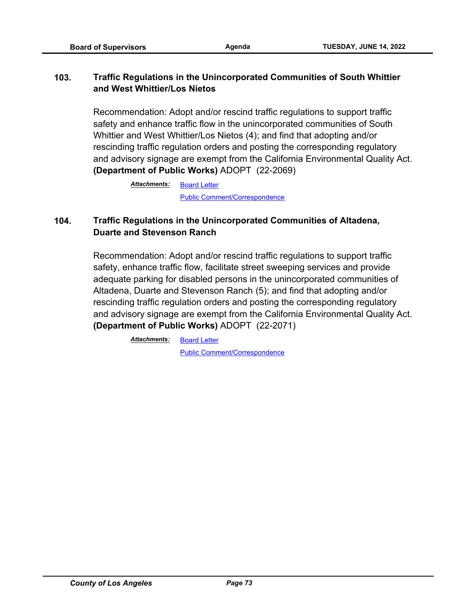# **103. Traffic Regulations in the Unincorporated Communities of South Whittier and West Whittier/Los Nietos**

Recommendation: Adopt and/or rescind traffic regulations to support traffic safety and enhance traffic flow in the unincorporated communities of South Whittier and West Whittier/Los Nietos (4); and find that adopting and/or rescinding traffic regulation orders and posting the corresponding regulatory and advisory signage are exempt from the California Environmental Quality Act. **(Department of Public Works)** ADOPT (22-2069)

> [Board Letter](http://file.lacounty.gov/SDSInter/bos/supdocs/169406.pdf) [Public Comment/Correspondence](http://file.lacounty.gov/SDSInter/bos/supdocs/169408.pdf) *Attachments:*

# **104. Traffic Regulations in the Unincorporated Communities of Altadena, Duarte and Stevenson Ranch**

Recommendation: Adopt and/or rescind traffic regulations to support traffic safety, enhance traffic flow, facilitate street sweeping services and provide adequate parking for disabled persons in the unincorporated communities of Altadena, Duarte and Stevenson Ranch (5); and find that adopting and/or rescinding traffic regulation orders and posting the corresponding regulatory and advisory signage are exempt from the California Environmental Quality Act. **(Department of Public Works)** ADOPT (22-2071)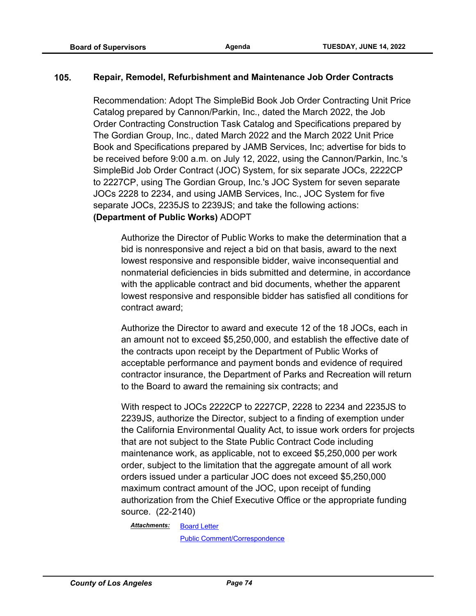#### **105. Repair, Remodel, Refurbishment and Maintenance Job Order Contracts**

Recommendation: Adopt The SimpleBid Book Job Order Contracting Unit Price Catalog prepared by Cannon/Parkin, Inc., dated the March 2022, the Job Order Contracting Construction Task Catalog and Specifications prepared by The Gordian Group, Inc., dated March 2022 and the March 2022 Unit Price Book and Specifications prepared by JAMB Services, Inc; advertise for bids to be received before 9:00 a.m. on July 12, 2022, using the Cannon/Parkin, Inc.'s SimpleBid Job Order Contract (JOC) System, for six separate JOCs, 2222CP to 2227CP, using The Gordian Group, Inc.'s JOC System for seven separate JOCs 2228 to 2234, and using JAMB Services, Inc., JOC System for five separate JOCs, 2235JS to 2239JS; and take the following actions: **(Department of Public Works)** ADOPT

Authorize the Director of Public Works to make the determination that a bid is nonresponsive and reject a bid on that basis, award to the next lowest responsive and responsible bidder, waive inconsequential and nonmaterial deficiencies in bids submitted and determine, in accordance with the applicable contract and bid documents, whether the apparent lowest responsive and responsible bidder has satisfied all conditions for contract award;

Authorize the Director to award and execute 12 of the 18 JOCs, each in an amount not to exceed \$5,250,000, and establish the effective date of the contracts upon receipt by the Department of Public Works of acceptable performance and payment bonds and evidence of required contractor insurance, the Department of Parks and Recreation will return to the Board to award the remaining six contracts; and

With respect to JOCs 2222CP to 2227CP, 2228 to 2234 and 2235JS to 2239JS, authorize the Director, subject to a finding of exemption under the California Environmental Quality Act, to issue work orders for projects that are not subject to the State Public Contract Code including maintenance work, as applicable, not to exceed \$5,250,000 per work order, subject to the limitation that the aggregate amount of all work orders issued under a particular JOC does not exceed \$5,250,000 maximum contract amount of the JOC, upon receipt of funding authorization from the Chief Executive Office or the appropriate funding source. (22-2140)

[Board Letter](http://file.lacounty.gov/SDSInter/bos/supdocs/169493.pdf) *Attachments:*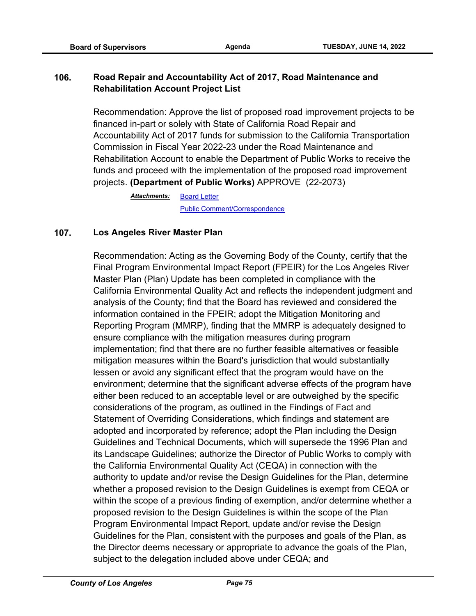# **106. Road Repair and Accountability Act of 2017, Road Maintenance and Rehabilitation Account Project List**

Recommendation: Approve the list of proposed road improvement projects to be financed in-part or solely with State of California Road Repair and Accountability Act of 2017 funds for submission to the California Transportation Commission in Fiscal Year 2022-23 under the Road Maintenance and Rehabilitation Account to enable the Department of Public Works to receive the funds and proceed with the implementation of the proposed road improvement projects. **(Department of Public Works)** APPROVE (22-2073)

> [Board Letter](http://file.lacounty.gov/SDSInter/bos/supdocs/169419.pdf) [Public Comment/Correspondence](http://file.lacounty.gov/SDSInter/bos/supdocs/169420.pdf) *Attachments:*

## **107. Los Angeles River Master Plan**

Recommendation: Acting as the Governing Body of the County, certify that the Final Program Environmental Impact Report (FPEIR) for the Los Angeles River Master Plan (Plan) Update has been completed in compliance with the California Environmental Quality Act and reflects the independent judgment and analysis of the County; find that the Board has reviewed and considered the information contained in the FPEIR; adopt the Mitigation Monitoring and Reporting Program (MMRP), finding that the MMRP is adequately designed to ensure compliance with the mitigation measures during program implementation; find that there are no further feasible alternatives or feasible mitigation measures within the Board's jurisdiction that would substantially lessen or avoid any significant effect that the program would have on the environment; determine that the significant adverse effects of the program have either been reduced to an acceptable level or are outweighed by the specific considerations of the program, as outlined in the Findings of Fact and Statement of Overriding Considerations, which findings and statement are adopted and incorporated by reference; adopt the Plan including the Design Guidelines and Technical Documents, which will supersede the 1996 Plan and its Landscape Guidelines; authorize the Director of Public Works to comply with the California Environmental Quality Act (CEQA) in connection with the authority to update and/or revise the Design Guidelines for the Plan, determine whether a proposed revision to the Design Guidelines is exempt from CEQA or within the scope of a previous finding of exemption, and/or determine whether a proposed revision to the Design Guidelines is within the scope of the Plan Program Environmental Impact Report, update and/or revise the Design Guidelines for the Plan, consistent with the purposes and goals of the Plan, as the Director deems necessary or appropriate to advance the goals of the Plan, subject to the delegation included above under CEQA; and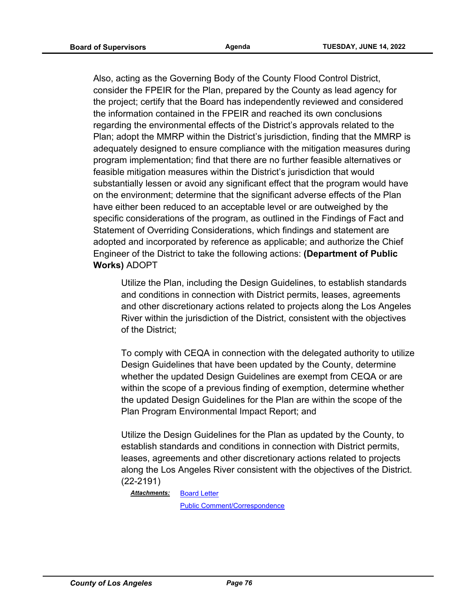Also, acting as the Governing Body of the County Flood Control District, consider the FPEIR for the Plan, prepared by the County as lead agency for the project; certify that the Board has independently reviewed and considered the information contained in the FPEIR and reached its own conclusions regarding the environmental effects of the District's approvals related to the Plan; adopt the MMRP within the District's jurisdiction, finding that the MMRP is adequately designed to ensure compliance with the mitigation measures during program implementation; find that there are no further feasible alternatives or feasible mitigation measures within the District's jurisdiction that would substantially lessen or avoid any significant effect that the program would have on the environment; determine that the significant adverse effects of the Plan have either been reduced to an acceptable level or are outweighed by the specific considerations of the program, as outlined in the Findings of Fact and Statement of Overriding Considerations, which findings and statement are adopted and incorporated by reference as applicable; and authorize the Chief Engineer of the District to take the following actions: **(Department of Public Works)** ADOPT

Utilize the Plan, including the Design Guidelines, to establish standards and conditions in connection with District permits, leases, agreements and other discretionary actions related to projects along the Los Angeles River within the jurisdiction of the District, consistent with the objectives of the District;

To comply with CEQA in connection with the delegated authority to utilize Design Guidelines that have been updated by the County, determine whether the updated Design Guidelines are exempt from CEQA or are within the scope of a previous finding of exemption, determine whether the updated Design Guidelines for the Plan are within the scope of the Plan Program Environmental Impact Report; and

Utilize the Design Guidelines for the Plan as updated by the County, to establish standards and conditions in connection with District permits, leases, agreements and other discretionary actions related to projects along the Los Angeles River consistent with the objectives of the District. (22-2191)

[Board Letter](http://file.lacounty.gov/SDSInter/bos/supdocs/169625.pdf) *Attachments:*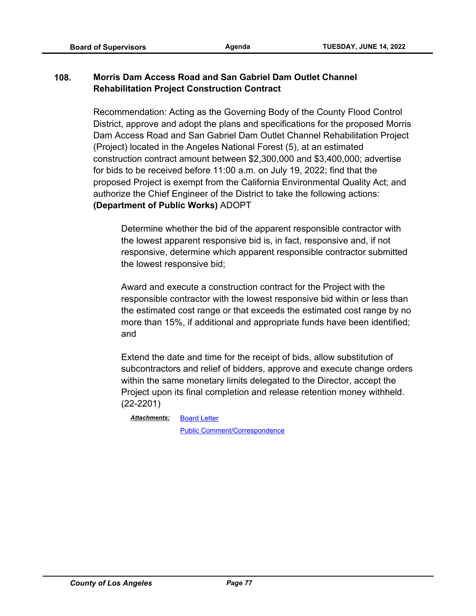# **108. Morris Dam Access Road and San Gabriel Dam Outlet Channel Rehabilitation Project Construction Contract**

Recommendation: Acting as the Governing Body of the County Flood Control District, approve and adopt the plans and specifications for the proposed Morris Dam Access Road and San Gabriel Dam Outlet Channel Rehabilitation Project (Project) located in the Angeles National Forest (5), at an estimated construction contract amount between \$2,300,000 and \$3,400,000; advertise for bids to be received before 11:00 a.m. on July 19, 2022; find that the proposed Project is exempt from the California Environmental Quality Act; and authorize the Chief Engineer of the District to take the following actions: **(Department of Public Works)** ADOPT

Determine whether the bid of the apparent responsible contractor with the lowest apparent responsive bid is, in fact, responsive and, if not responsive, determine which apparent responsible contractor submitted the lowest responsive bid;

Award and execute a construction contract for the Project with the responsible contractor with the lowest responsive bid within or less than the estimated cost range or that exceeds the estimated cost range by no more than 15%, if additional and appropriate funds have been identified; and

Extend the date and time for the receipt of bids, allow substitution of subcontractors and relief of bidders, approve and execute change orders within the same monetary limits delegated to the Director, accept the Project upon its final completion and release retention money withheld. (22-2201)

*Attachments:*

[Public Comment/Correspondence](http://file.lacounty.gov/SDSInter/bos/supdocs/169649.pdf)

[Board Letter](http://file.lacounty.gov/SDSInter/bos/supdocs/169648.pdf)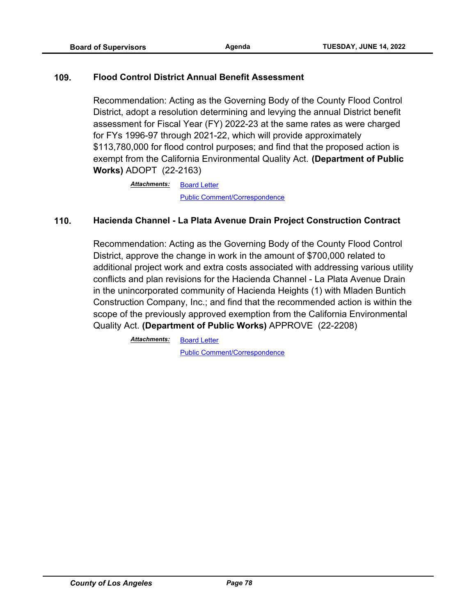#### **109. Flood Control District Annual Benefit Assessment**

Recommendation: Acting as the Governing Body of the County Flood Control District, adopt a resolution determining and levying the annual District benefit assessment for Fiscal Year (FY) 2022-23 at the same rates as were charged for FYs 1996-97 through 2021-22, which will provide approximately \$113,780,000 for flood control purposes; and find that the proposed action is exempt from the California Environmental Quality Act. **(Department of Public Works)** ADOPT (22-2163)

> [Board Letter](http://file.lacounty.gov/SDSInter/bos/supdocs/169569.pdf) [Public Comment/Correspondence](http://file.lacounty.gov/SDSInter/bos/supdocs/169570.pdf) *Attachments:*

## **110. Hacienda Channel - La Plata Avenue Drain Project Construction Contract**

Recommendation: Acting as the Governing Body of the County Flood Control District, approve the change in work in the amount of \$700,000 related to additional project work and extra costs associated with addressing various utility conflicts and plan revisions for the Hacienda Channel - La Plata Avenue Drain in the unincorporated community of Hacienda Heights (1) with Mladen Buntich Construction Company, Inc.; and find that the recommended action is within the scope of the previously approved exemption from the California Environmental Quality Act. **(Department of Public Works)** APPROVE (22-2208)

> [Board Letter](http://file.lacounty.gov/SDSInter/bos/supdocs/169667.pdf) *Attachments:*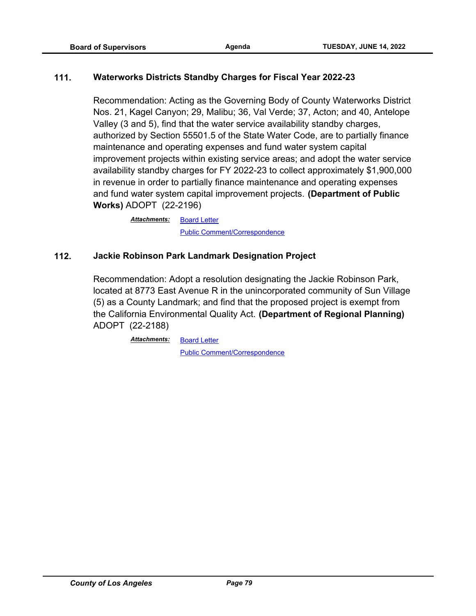## **111. Waterworks Districts Standby Charges for Fiscal Year 2022-23**

Recommendation: Acting as the Governing Body of County Waterworks District Nos. 21, Kagel Canyon; 29, Malibu; 36, Val Verde; 37, Acton; and 40, Antelope Valley (3 and 5), find that the water service availability standby charges, authorized by Section 55501.5 of the State Water Code, are to partially finance maintenance and operating expenses and fund water system capital improvement projects within existing service areas; and adopt the water service availability standby charges for FY 2022-23 to collect approximately \$1,900,000 in revenue in order to partially finance maintenance and operating expenses and fund water system capital improvement projects. **(Department of Public Works)** ADOPT (22-2196)

> [Board Letter](http://file.lacounty.gov/SDSInter/bos/supdocs/169637.pdf) [Public Comment/Correspondence](http://file.lacounty.gov/SDSInter/bos/supdocs/169638.pdf) *Attachments:*

#### **112. Jackie Robinson Park Landmark Designation Project**

Recommendation: Adopt a resolution designating the Jackie Robinson Park, located at 8773 East Avenue R in the unincorporated community of Sun Village (5) as a County Landmark; and find that the proposed project is exempt from the California Environmental Quality Act. **(Department of Regional Planning)** ADOPT (22-2188)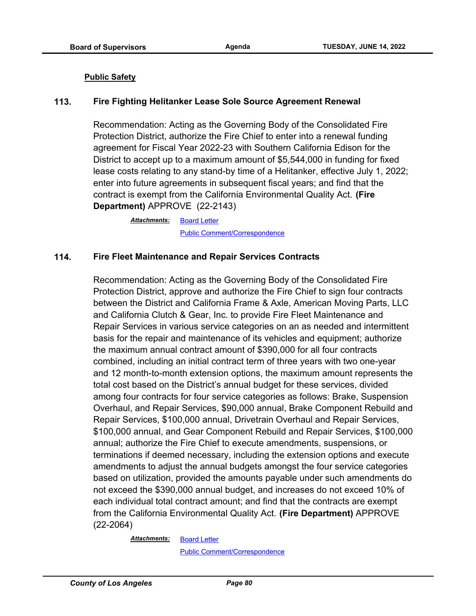#### **Public Safety**

#### **113. Fire Fighting Helitanker Lease Sole Source Agreement Renewal**

Recommendation: Acting as the Governing Body of the Consolidated Fire Protection District, authorize the Fire Chief to enter into a renewal funding agreement for Fiscal Year 2022-23 with Southern California Edison for the District to accept up to a maximum amount of \$5,544,000 in funding for fixed lease costs relating to any stand-by time of a Helitanker, effective July 1, 2022; enter into future agreements in subsequent fiscal years; and find that the contract is exempt from the California Environmental Quality Act. **(Fire Department)** APPROVE (22-2143)

> **[Board Letter](http://file.lacounty.gov/SDSInter/bos/supdocs/169500.pdf)** [Public Comment/Correspondence](http://file.lacounty.gov/SDSInter/bos/supdocs/169498.pdf) *Attachments:*

#### **114. Fire Fleet Maintenance and Repair Services Contracts**

Recommendation: Acting as the Governing Body of the Consolidated Fire Protection District, approve and authorize the Fire Chief to sign four contracts between the District and California Frame & Axle, American Moving Parts, LLC and California Clutch & Gear, Inc. to provide Fire Fleet Maintenance and Repair Services in various service categories on an as needed and intermittent basis for the repair and maintenance of its vehicles and equipment; authorize the maximum annual contract amount of \$390,000 for all four contracts combined, including an initial contract term of three years with two one-year and 12 month-to-month extension options, the maximum amount represents the total cost based on the District's annual budget for these services, divided among four contracts for four service categories as follows: Brake, Suspension Overhaul, and Repair Services, \$90,000 annual, Brake Component Rebuild and Repair Services, \$100,000 annual, Drivetrain Overhaul and Repair Services, \$100,000 annual, and Gear Component Rebuild and Repair Services, \$100,000 annual; authorize the Fire Chief to execute amendments, suspensions, or terminations if deemed necessary, including the extension options and execute amendments to adjust the annual budgets amongst the four service categories based on utilization, provided the amounts payable under such amendments do not exceed the \$390,000 annual budget, and increases do not exceed 10% of each individual total contract amount; and find that the contracts are exempt from the California Environmental Quality Act. **(Fire Department)** APPROVE (22-2064)

*Attachments:*

**[Board Letter](http://file.lacounty.gov/SDSInter/bos/supdocs/169392.pdf)** [Public Comment/Correspondence](http://file.lacounty.gov/SDSInter/bos/supdocs/169393.pdf)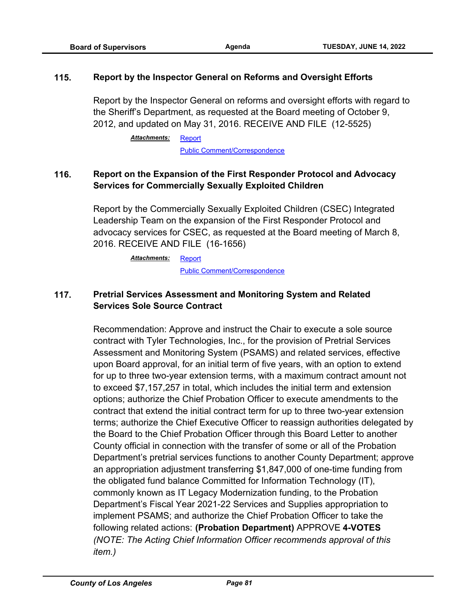#### **115. Report by the Inspector General on Reforms and Oversight Efforts**

Report by the Inspector General on reforms and oversight efforts with regard to the Sheriff's Department, as requested at the Board meeting of October 9, 2012, and updated on May 31, 2016. RECEIVE AND FILE (12-5525)

> [Report](http://file.lacounty.gov/SDSInter/bos/supdocs/169862.pdf) *Attachments:*

> > [Public Comment/Correspondence](http://file.lacounty.gov/SDSInter/bos/supdocs/169749.pdf)

# **116. Report on the Expansion of the First Responder Protocol and Advocacy Services for Commercially Sexually Exploited Children**

Report by the Commercially Sexually Exploited Children (CSEC) Integrated Leadership Team on the expansion of the First Responder Protocol and advocacy services for CSEC, as requested at the Board meeting of March 8, 2016. RECEIVE AND FILE (16-1656)

> [Report](http://file.lacounty.gov/SDSInter/bos/supdocs/169755.pdf) [Public Comment/Correspondence](http://file.lacounty.gov/SDSInter/bos/supdocs/169748.pdf) *Attachments:*

# **117. Pretrial Services Assessment and Monitoring System and Related Services Sole Source Contract**

Recommendation: Approve and instruct the Chair to execute a sole source contract with Tyler Technologies, Inc., for the provision of Pretrial Services Assessment and Monitoring System (PSAMS) and related services, effective upon Board approval, for an initial term of five years, with an option to extend for up to three two-year extension terms, with a maximum contract amount not to exceed \$7,157,257 in total, which includes the initial term and extension options; authorize the Chief Probation Officer to execute amendments to the contract that extend the initial contract term for up to three two-year extension terms; authorize the Chief Executive Officer to reassign authorities delegated by the Board to the Chief Probation Officer through this Board Letter to another County official in connection with the transfer of some or all of the Probation Department's pretrial services functions to another County Department; approve an appropriation adjustment transferring \$1,847,000 of one-time funding from the obligated fund balance Committed for Information Technology (IT), commonly known as IT Legacy Modernization funding, to the Probation Department's Fiscal Year 2021-22 Services and Supplies appropriation to implement PSAMS; and authorize the Chief Probation Officer to take the following related actions: **(Probation Department)** APPROVE **4-VOTES** *(NOTE: The Acting Chief Information Officer recommends approval of this item.)*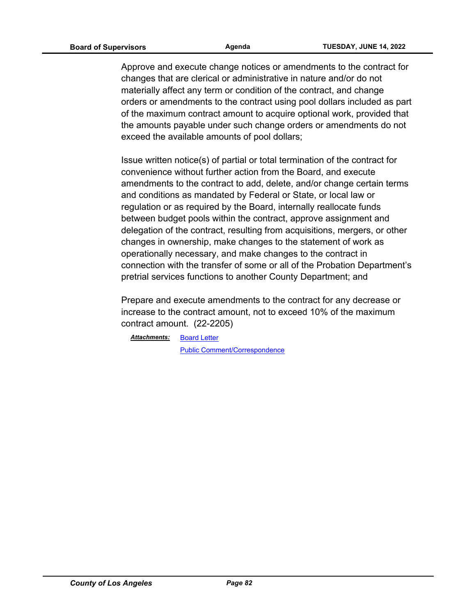Approve and execute change notices or amendments to the contract for changes that are clerical or administrative in nature and/or do not materially affect any term or condition of the contract, and change orders or amendments to the contract using pool dollars included as part of the maximum contract amount to acquire optional work, provided that the amounts payable under such change orders or amendments do not exceed the available amounts of pool dollars;

Issue written notice(s) of partial or total termination of the contract for convenience without further action from the Board, and execute amendments to the contract to add, delete, and/or change certain terms and conditions as mandated by Federal or State, or local law or regulation or as required by the Board, internally reallocate funds between budget pools within the contract, approve assignment and delegation of the contract, resulting from acquisitions, mergers, or other changes in ownership, make changes to the statement of work as operationally necessary, and make changes to the contract in connection with the transfer of some or all of the Probation Department's pretrial services functions to another County Department; and

Prepare and execute amendments to the contract for any decrease or increase to the contract amount, not to exceed 10% of the maximum contract amount. (22-2205)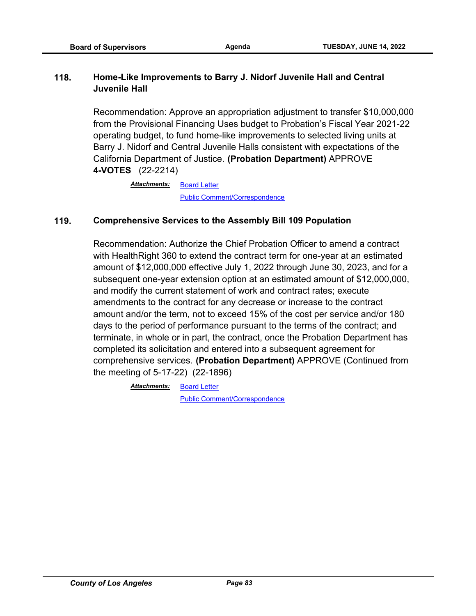# **118. Home-Like Improvements to Barry J. Nidorf Juvenile Hall and Central Juvenile Hall**

Recommendation: Approve an appropriation adjustment to transfer \$10,000,000 from the Provisional Financing Uses budget to Probation's Fiscal Year 2021-22 operating budget, to fund home-like improvements to selected living units at Barry J. Nidorf and Central Juvenile Halls consistent with expectations of the California Department of Justice. **(Probation Department)** APPROVE **4-VOTES** (22-2214)

> [Board Letter](http://file.lacounty.gov/SDSInter/bos/supdocs/169677.pdf) [Public Comment/Correspondence](http://file.lacounty.gov/SDSInter/bos/supdocs/169678.pdf) *Attachments:*

## **119. Comprehensive Services to the Assembly Bill 109 Population**

Recommendation: Authorize the Chief Probation Officer to amend a contract with HealthRight 360 to extend the contract term for one-year at an estimated amount of \$12,000,000 effective July 1, 2022 through June 30, 2023, and for a subsequent one-year extension option at an estimated amount of \$12,000,000, and modify the current statement of work and contract rates; execute amendments to the contract for any decrease or increase to the contract amount and/or the term, not to exceed 15% of the cost per service and/or 180 days to the period of performance pursuant to the terms of the contract; and terminate, in whole or in part, the contract, once the Probation Department has completed its solicitation and entered into a subsequent agreement for comprehensive services. **(Probation Department)** APPROVE (Continued from the meeting of 5-17-22) (22-1896)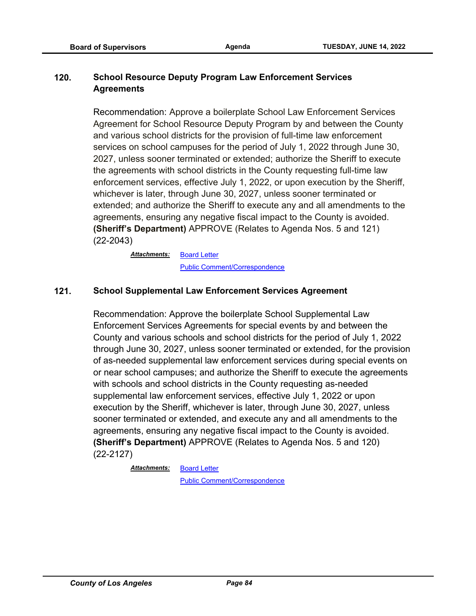# **120. School Resource Deputy Program Law Enforcement Services Agreements**

Recommendation: Approve a boilerplate School Law Enforcement Services Agreement for School Resource Deputy Program by and between the County and various school districts for the provision of full-time law enforcement services on school campuses for the period of July 1, 2022 through June 30, 2027, unless sooner terminated or extended; authorize the Sheriff to execute the agreements with school districts in the County requesting full-time law enforcement services, effective July 1, 2022, or upon execution by the Sheriff, whichever is later, through June 30, 2027, unless sooner terminated or extended; and authorize the Sheriff to execute any and all amendments to the agreements, ensuring any negative fiscal impact to the County is avoided. **(Sheriff's Department)** APPROVE (Relates to Agenda Nos. 5 and 121) (22-2043)

> [Board Letter](http://file.lacounty.gov/SDSInter/bos/supdocs/169348.pdf) [Public Comment/Correspondence](http://file.lacounty.gov/SDSInter/bos/supdocs/169349.pdf) *Attachments:*

## **121. School Supplemental Law Enforcement Services Agreement**

Recommendation: Approve the boilerplate School Supplemental Law Enforcement Services Agreements for special events by and between the County and various schools and school districts for the period of July 1, 2022 through June 30, 2027, unless sooner terminated or extended, for the provision of as-needed supplemental law enforcement services during special events on or near school campuses; and authorize the Sheriff to execute the agreements with schools and school districts in the County requesting as-needed supplemental law enforcement services, effective July 1, 2022 or upon execution by the Sheriff, whichever is later, through June 30, 2027, unless sooner terminated or extended, and execute any and all amendments to the agreements, ensuring any negative fiscal impact to the County is avoided. **(Sheriff's Department)** APPROVE (Relates to Agenda Nos. 5 and 120) (22-2127)

> [Board Letter](http://file.lacounty.gov/SDSInter/bos/supdocs/169471.pdf) *Attachments:*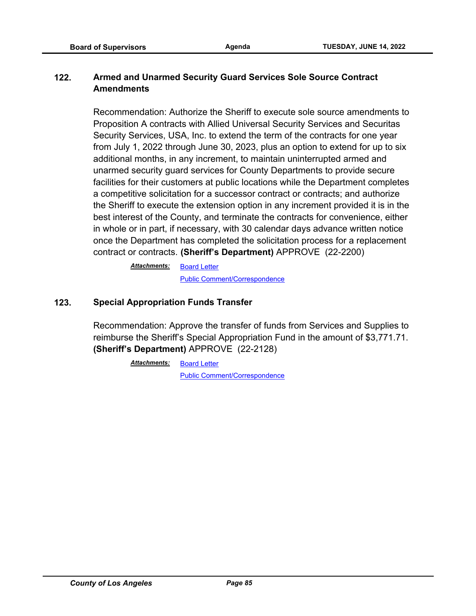# **122. Armed and Unarmed Security Guard Services Sole Source Contract Amendments**

Recommendation: Authorize the Sheriff to execute sole source amendments to Proposition A contracts with Allied Universal Security Services and Securitas Security Services, USA, Inc. to extend the term of the contracts for one year from July 1, 2022 through June 30, 2023, plus an option to extend for up to six additional months, in any increment, to maintain uninterrupted armed and unarmed security guard services for County Departments to provide secure facilities for their customers at public locations while the Department completes a competitive solicitation for a successor contract or contracts; and authorize the Sheriff to execute the extension option in any increment provided it is in the best interest of the County, and terminate the contracts for convenience, either in whole or in part, if necessary, with 30 calendar days advance written notice once the Department has completed the solicitation process for a replacement contract or contracts. **(Sheriff's Department)** APPROVE (22-2200)

> [Board Letter](http://file.lacounty.gov/SDSInter/bos/supdocs/169646.pdf) [Public Comment/Correspondence](http://file.lacounty.gov/SDSInter/bos/supdocs/169647.pdf) *Attachments:*

## **123. Special Appropriation Funds Transfer**

Recommendation: Approve the transfer of funds from Services and Supplies to reimburse the Sheriff's Special Appropriation Fund in the amount of \$3,771.71. **(Sheriff's Department)** APPROVE (22-2128)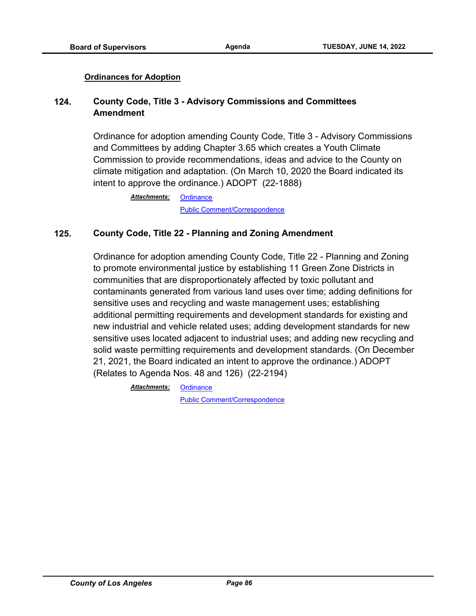#### **Ordinances for Adoption**

# **124. County Code, Title 3 - Advisory Commissions and Committees Amendment**

Ordinance for adoption amending County Code, Title 3 - Advisory Commissions and Committees by adding Chapter 3.65 which creates a Youth Climate Commission to provide recommendations, ideas and advice to the County on climate mitigation and adaptation. (On March 10, 2020 the Board indicated its intent to approve the ordinance.) ADOPT (22-1888)

> **[Ordinance](http://file.lacounty.gov/SDSInter/bos/supdocs/168916.pdf)** [Public Comment/Correspondence](http://file.lacounty.gov/SDSInter/bos/supdocs/169209.pdf) *Attachments:*

## **125. County Code, Title 22 - Planning and Zoning Amendment**

Ordinance for adoption amending County Code, Title 22 - Planning and Zoning to promote environmental justice by establishing 11 Green Zone Districts in communities that are disproportionately affected by toxic pollutant and contaminants generated from various land uses over time; adding definitions for sensitive uses and recycling and waste management uses; establishing additional permitting requirements and development standards for existing and new industrial and vehicle related uses; adding development standards for new sensitive uses located adjacent to industrial uses; and adding new recycling and solid waste permitting requirements and development standards. (On December 21, 2021, the Board indicated an intent to approve the ordinance.) ADOPT (Relates to Agenda Nos. 48 and 126) (22-2194)

> **[Ordinance](http://file.lacounty.gov/SDSInter/bos/supdocs/169784.pdf)** *Attachments:*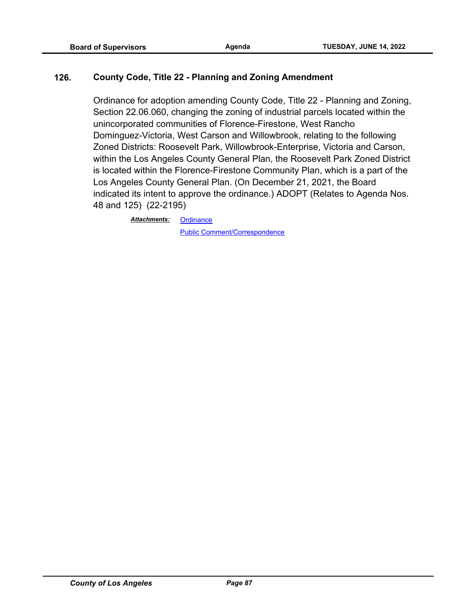## **126. County Code, Title 22 - Planning and Zoning Amendment**

Ordinance for adoption amending County Code, Title 22 - Planning and Zoning, Section 22.06.060, changing the zoning of industrial parcels located within the unincorporated communities of Florence-Firestone, West Rancho Dominguez-Victoria, West Carson and Willowbrook, relating to the following Zoned Districts: Roosevelt Park, Willowbrook-Enterprise, Victoria and Carson, within the Los Angeles County General Plan, the Roosevelt Park Zoned District is located within the Florence-Firestone Community Plan, which is a part of the Los Angeles County General Plan. (On December 21, 2021, the Board indicated its intent to approve the ordinance.) ADOPT (Relates to Agenda Nos. 48 and 125) (22-2195)

> **[Ordinance](http://file.lacounty.gov/SDSInter/bos/supdocs/169786.pdf)** [Public Comment/Correspondence](http://file.lacounty.gov/SDSInter/bos/supdocs/169787.pdf) *Attachments:*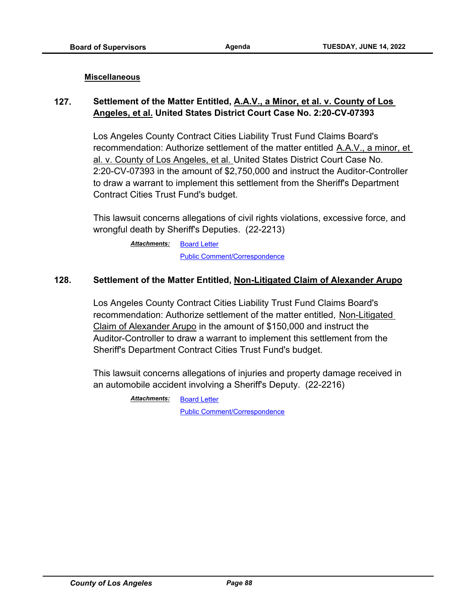#### **Miscellaneous**

# **127. Settlement of the Matter Entitled, A.A.V., a Minor, et al. v. County of Los Angeles, et al. United States District Court Case No. 2:20-CV-07393**

Los Angeles County Contract Cities Liability Trust Fund Claims Board's recommendation: Authorize settlement of the matter entitled A.A.V., a minor, et al. v. County of Los Angeles, et al. United States District Court Case No. 2:20-CV-07393 in the amount of \$2,750,000 and instruct the Auditor-Controller to draw a warrant to implement this settlement from the Sheriff's Department Contract Cities Trust Fund's budget.

This lawsuit concerns allegations of civil rights violations, excessive force, and wrongful death by Sheriff's Deputies. (22-2213)

> [Board Letter](http://file.lacounty.gov/SDSInter/bos/supdocs/169675.pdf) [Public Comment/Correspondence](http://file.lacounty.gov/SDSInter/bos/supdocs/169676.pdf) *Attachments:*

## **128. Settlement of the Matter Entitled, Non-Litigated Claim of Alexander Arupo**

Los Angeles County Contract Cities Liability Trust Fund Claims Board's recommendation: Authorize settlement of the matter entitled, Non-Litigated Claim of Alexander Arupo in the amount of \$150,000 and instruct the Auditor-Controller to draw a warrant to implement this settlement from the Sheriff's Department Contract Cities Trust Fund's budget.

This lawsuit concerns allegations of injuries and property damage received in an automobile accident involving a Sheriff's Deputy. (22-2216)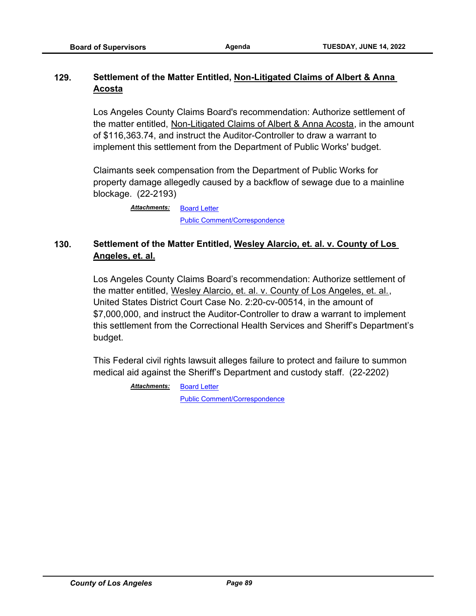# **129. Settlement of the Matter Entitled, Non-Litigated Claims of Albert & Anna Acosta**

Los Angeles County Claims Board's recommendation: Authorize settlement of the matter entitled, Non-Litigated Claims of Albert & Anna Acosta, in the amount of \$116,363.74, and instruct the Auditor-Controller to draw a warrant to implement this settlement from the Department of Public Works' budget.

Claimants seek compensation from the Department of Public Works for property damage allegedly caused by a backflow of sewage due to a mainline blockage. (22-2193)

> [Board Letter](http://file.lacounty.gov/SDSInter/bos/supdocs/169627.pdf) [Public Comment/Correspondence](http://file.lacounty.gov/SDSInter/bos/supdocs/169629.pdf) *Attachments:*

# **130. Settlement of the Matter Entitled, Wesley Alarcio, et. al. v. County of Los Angeles, et. al.**

Los Angeles County Claims Board's recommendation: Authorize settlement of the matter entitled, Wesley Alarcio, et. al. v. County of Los Angeles, et. al., United States District Court Case No. 2:20-cv-00514, in the amount of \$7,000,000, and instruct the Auditor-Controller to draw a warrant to implement this settlement from the Correctional Health Services and Sheriff's Department's budget.

This Federal civil rights lawsuit alleges failure to protect and failure to summon medical aid against the Sheriff's Department and custody staff. (22-2202)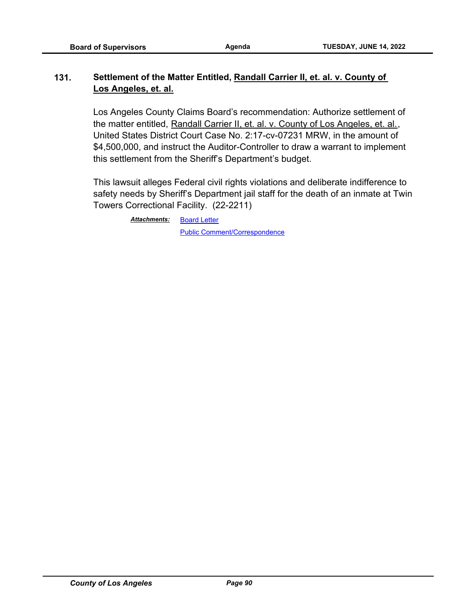# **131. Settlement of the Matter Entitled, Randall Carrier II, et. al. v. County of Los Angeles, et. al.**

Los Angeles County Claims Board's recommendation: Authorize settlement of the matter entitled, Randall Carrier II, et. al. v. County of Los Angeles, et. al., United States District Court Case No. 2:17-cv-07231 MRW, in the amount of \$4,500,000, and instruct the Auditor-Controller to draw a warrant to implement this settlement from the Sheriff's Department's budget.

This lawsuit alleges Federal civil rights violations and deliberate indifference to safety needs by Sheriff's Department jail staff for the death of an inmate at Twin Towers Correctional Facility. (22-2211)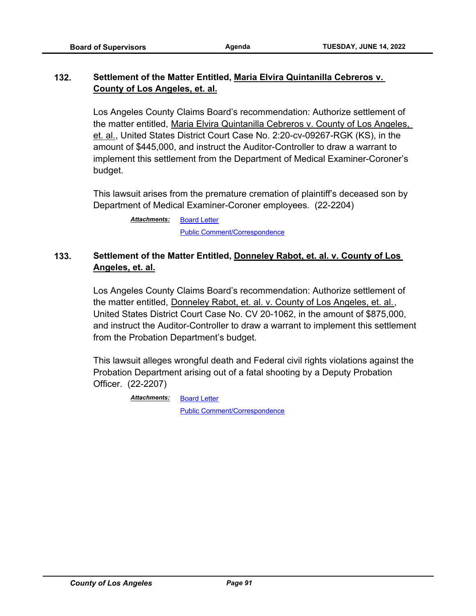# **132. Settlement of the Matter Entitled, Maria Elvira Quintanilla Cebreros v. County of Los Angeles, et. al.**

Los Angeles County Claims Board's recommendation: Authorize settlement of the matter entitled, Maria Elvira Quintanilla Cebreros v. County of Los Angeles, et. al., United States District Court Case No. 2:20-cv-09267-RGK (KS), in the amount of \$445,000, and instruct the Auditor-Controller to draw a warrant to implement this settlement from the Department of Medical Examiner-Coroner's budget.

This lawsuit arises from the premature cremation of plaintiff's deceased son by Department of Medical Examiner-Coroner employees. (22-2204)

> [Board Letter](http://file.lacounty.gov/SDSInter/bos/supdocs/169654.pdf) [Public Comment/Correspondence](http://file.lacounty.gov/SDSInter/bos/supdocs/169655.pdf) *Attachments:*

# **133. Settlement of the Matter Entitled, Donneley Rabot, et. al. v. County of Los Angeles, et. al.**

Los Angeles County Claims Board's recommendation: Authorize settlement of the matter entitled, Donneley Rabot, et. al. v. County of Los Angeles, et. al., United States District Court Case No. CV 20-1062, in the amount of \$875,000, and instruct the Auditor-Controller to draw a warrant to implement this settlement from the Probation Department's budget.

This lawsuit alleges wrongful death and Federal civil rights violations against the Probation Department arising out of a fatal shooting by a Deputy Probation Officer. (22-2207)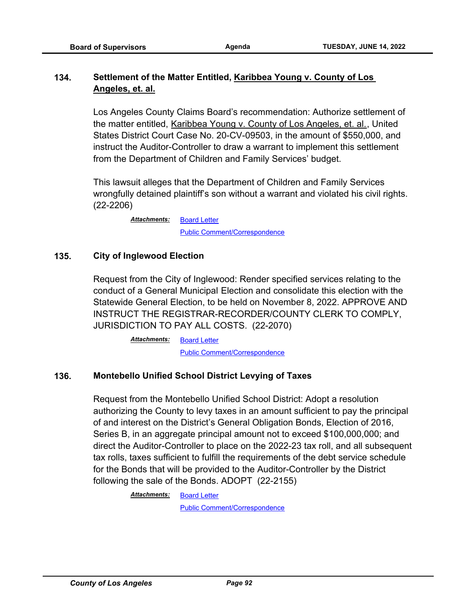# **134. Settlement of the Matter Entitled, Karibbea Young v. County of Los Angeles, et. al.**

Los Angeles County Claims Board's recommendation: Authorize settlement of the matter entitled, Karibbea Young v. County of Los Angeles, et. al., United States District Court Case No. 20-CV-09503, in the amount of \$550,000, and instruct the Auditor-Controller to draw a warrant to implement this settlement from the Department of Children and Family Services' budget.

This lawsuit alleges that the Department of Children and Family Services wrongfully detained plaintiff's son without a warrant and violated his civil rights. (22-2206)

> [Board Letter](http://file.lacounty.gov/SDSInter/bos/supdocs/169661.pdf) [Public Comment/Correspondence](http://file.lacounty.gov/SDSInter/bos/supdocs/169662.pdf) *Attachments:*

## **135. City of Inglewood Election**

Request from the City of Inglewood: Render specified services relating to the conduct of a General Municipal Election and consolidate this election with the Statewide General Election, to be held on November 8, 2022. APPROVE AND INSTRUCT THE REGISTRAR-RECORDER/COUNTY CLERK TO COMPLY, JURISDICTION TO PAY ALL COSTS. (22-2070)

> [Board Letter](http://file.lacounty.gov/SDSInter/bos/supdocs/169411.pdf) [Public Comment/Correspondence](http://file.lacounty.gov/SDSInter/bos/supdocs/169412.pdf) *Attachments:*

#### **136. Montebello Unified School District Levying of Taxes**

Request from the Montebello Unified School District: Adopt a resolution authorizing the County to levy taxes in an amount sufficient to pay the principal of and interest on the District's General Obligation Bonds, Election of 2016, Series B, in an aggregate principal amount not to exceed \$100,000,000; and direct the Auditor-Controller to place on the 2022-23 tax roll, and all subsequent tax rolls, taxes sufficient to fulfill the requirements of the debt service schedule for the Bonds that will be provided to the Auditor-Controller by the District following the sale of the Bonds. ADOPT (22-2155)

> [Board Letter](http://file.lacounty.gov/SDSInter/bos/supdocs/169546.pdf) *Attachments:*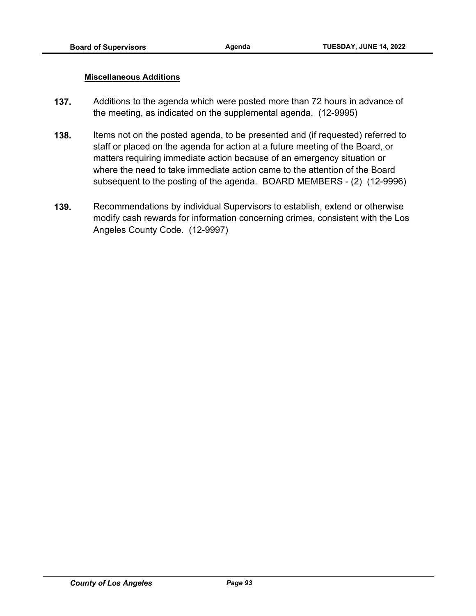#### **Miscellaneous Additions**

- **137.** Additions to the agenda which were posted more than 72 hours in advance of the meeting, as indicated on the supplemental agenda. (12-9995)
- **138.** Items not on the posted agenda, to be presented and (if requested) referred to staff or placed on the agenda for action at a future meeting of the Board, or matters requiring immediate action because of an emergency situation or where the need to take immediate action came to the attention of the Board subsequent to the posting of the agenda. BOARD MEMBERS - (2) (12-9996)
- **139.** Recommendations by individual Supervisors to establish, extend or otherwise modify cash rewards for information concerning crimes, consistent with the Los Angeles County Code. (12-9997)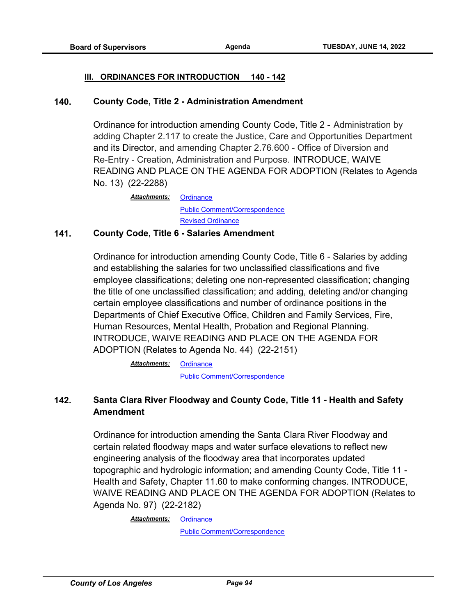#### **III. ORDINANCES FOR INTRODUCTION 140 - 142**

#### **140. County Code, Title 2 - Administration Amendment**

Ordinance for introduction amending County Code, Title 2 - Administration by adding Chapter 2.117 to create the Justice, Care and Opportunities Department and its Director, and amending Chapter 2.76.600 - Office of Diversion and Re-Entry - Creation, Administration and Purpose. INTRODUCE, WAIVE READING AND PLACE ON THE AGENDA FOR ADOPTION (Relates to Agenda No. 13) (22-2288)

> **[Ordinance](http://file.lacounty.gov/SDSInter/bos/supdocs/169825.pdf)** [Public Comment/Correspondence](http://file.lacounty.gov/SDSInter/bos/supdocs/169826.pdf) *Attachments:* [Revised Ordinance](http://file.lacounty.gov/SDSInter/bos/supdocs/169927.pdf)

#### **141. County Code, Title 6 - Salaries Amendment**

Ordinance for introduction amending County Code, Title 6 - Salaries by adding and establishing the salaries for two unclassified classifications and five employee classifications; deleting one non-represented classification; changing the title of one unclassified classification; and adding, deleting and/or changing certain employee classifications and number of ordinance positions in the Departments of Chief Executive Office, Children and Family Services, Fire, Human Resources, Mental Health, Probation and Regional Planning. INTRODUCE, WAIVE READING AND PLACE ON THE AGENDA FOR ADOPTION (Relates to Agenda No. 44) (22-2151)

> **[Ordinance](http://file.lacounty.gov/SDSInter/bos/supdocs/169513.pdf)** [Public Comment/Correspondence](http://file.lacounty.gov/SDSInter/bos/supdocs/169514.pdf) *Attachments:*

# **142. Santa Clara River Floodway and County Code, Title 11 - Health and Safety Amendment**

Ordinance for introduction amending the Santa Clara River Floodway and certain related floodway maps and water surface elevations to reflect new engineering analysis of the floodway area that incorporates updated topographic and hydrologic information; and amending County Code, Title 11 - Health and Safety, Chapter 11.60 to make conforming changes. INTRODUCE, WAIVE READING AND PLACE ON THE AGENDA FOR ADOPTION (Relates to Agenda No. 97) (22-2182)

#### **[Ordinance](http://file.lacounty.gov/SDSInter/bos/supdocs/169605.pdf)** *Attachments:*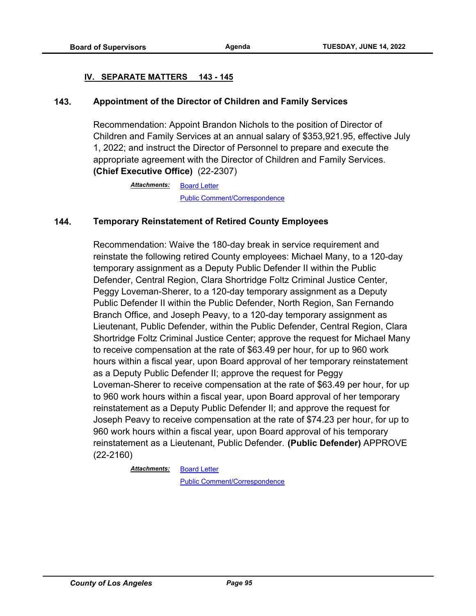#### **IV. SEPARATE MATTERS 143 - 145**

#### **143. Appointment of the Director of Children and Family Services**

Recommendation: Appoint Brandon Nichols to the position of Director of Children and Family Services at an annual salary of \$353,921.95, effective July 1, 2022; and instruct the Director of Personnel to prepare and execute the appropriate agreement with the Director of Children and Family Services. **(Chief Executive Office)** (22-2307)

> [Board Letter](http://file.lacounty.gov/SDSInter/bos/supdocs/169882.pdf) [Public Comment/Correspondence](http://file.lacounty.gov/SDSInter/bos/supdocs/169883.pdf) *Attachments:*

#### **144. Temporary Reinstatement of Retired County Employees**

Recommendation: Waive the 180-day break in service requirement and reinstate the following retired County employees: Michael Many, to a 120-day temporary assignment as a Deputy Public Defender II within the Public Defender, Central Region, Clara Shortridge Foltz Criminal Justice Center, Peggy Loveman-Sherer, to a 120-day temporary assignment as a Deputy Public Defender II within the Public Defender, North Region, San Fernando Branch Office, and Joseph Peavy, to a 120-day temporary assignment as Lieutenant, Public Defender, within the Public Defender, Central Region, Clara Shortridge Foltz Criminal Justice Center; approve the request for Michael Many to receive compensation at the rate of \$63.49 per hour, for up to 960 work hours within a fiscal year, upon Board approval of her temporary reinstatement as a Deputy Public Defender II; approve the request for Peggy Loveman-Sherer to receive compensation at the rate of \$63.49 per hour, for up to 960 work hours within a fiscal year, upon Board approval of her temporary reinstatement as a Deputy Public Defender II; and approve the request for Joseph Peavy to receive compensation at the rate of \$74.23 per hour, for up to 960 work hours within a fiscal year, upon Board approval of his temporary reinstatement as a Lieutenant, Public Defender. **(Public Defender)** APPROVE (22-2160)

> [Board Letter](http://file.lacounty.gov/SDSInter/bos/supdocs/169541.pdf) *Attachments:*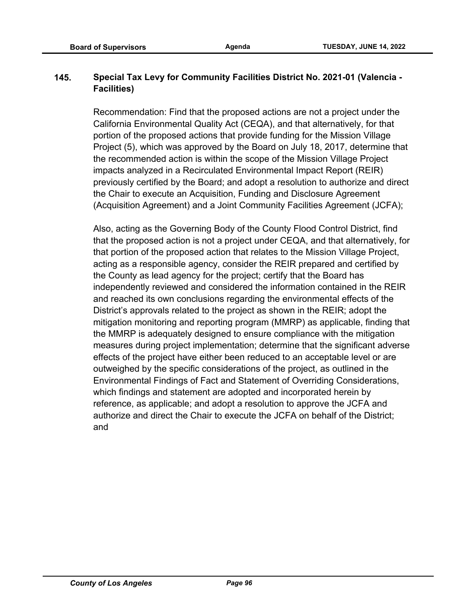# **145. Special Tax Levy for Community Facilities District No. 2021-01 (Valencia - Facilities)**

Recommendation: Find that the proposed actions are not a project under the California Environmental Quality Act (CEQA), and that alternatively, for that portion of the proposed actions that provide funding for the Mission Village Project (5), which was approved by the Board on July 18, 2017, determine that the recommended action is within the scope of the Mission Village Project impacts analyzed in a Recirculated Environmental Impact Report (REIR) previously certified by the Board; and adopt a resolution to authorize and direct the Chair to execute an Acquisition, Funding and Disclosure Agreement (Acquisition Agreement) and a Joint Community Facilities Agreement (JCFA);

Also, acting as the Governing Body of the County Flood Control District, find that the proposed action is not a project under CEQA, and that alternatively, for that portion of the proposed action that relates to the Mission Village Project, acting as a responsible agency, consider the REIR prepared and certified by the County as lead agency for the project; certify that the Board has independently reviewed and considered the information contained in the REIR and reached its own conclusions regarding the environmental effects of the District's approvals related to the project as shown in the REIR; adopt the mitigation monitoring and reporting program (MMRP) as applicable, finding that the MMRP is adequately designed to ensure compliance with the mitigation measures during project implementation; determine that the significant adverse effects of the project have either been reduced to an acceptable level or are outweighed by the specific considerations of the project, as outlined in the Environmental Findings of Fact and Statement of Overriding Considerations, which findings and statement are adopted and incorporated herein by reference, as applicable; and adopt a resolution to approve the JCFA and authorize and direct the Chair to execute the JCFA on behalf of the District; and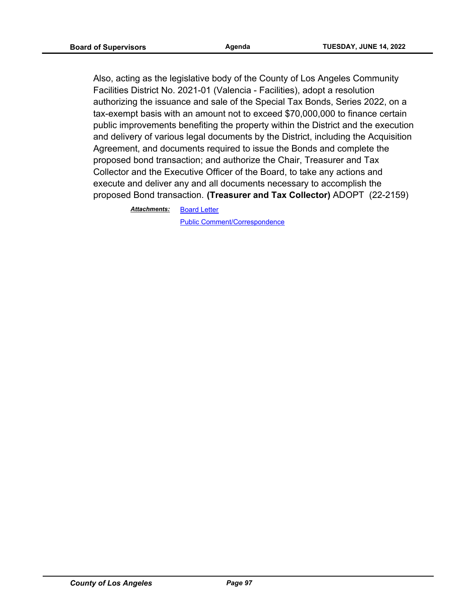Also, acting as the legislative body of the County of Los Angeles Community Facilities District No. 2021-01 (Valencia - Facilities), adopt a resolution authorizing the issuance and sale of the Special Tax Bonds, Series 2022, on a tax-exempt basis with an amount not to exceed \$70,000,000 to finance certain public improvements benefiting the property within the District and the execution and delivery of various legal documents by the District, including the Acquisition Agreement, and documents required to issue the Bonds and complete the proposed bond transaction; and authorize the Chair, Treasurer and Tax Collector and the Executive Officer of the Board, to take any actions and execute and deliver any and all documents necessary to accomplish the proposed Bond transaction. **(Treasurer and Tax Collector)** ADOPT (22-2159)

> [Board Letter](http://file.lacounty.gov/SDSInter/bos/supdocs/169539.pdf) *Attachments:*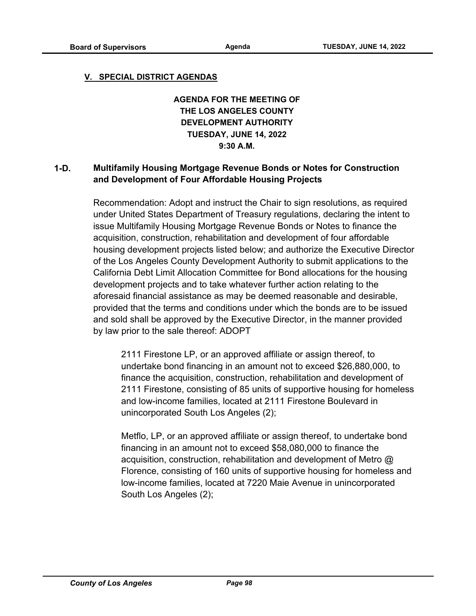#### **V. SPECIAL DISTRICT AGENDAS**

**AGENDA FOR THE MEETING OF THE LOS ANGELES COUNTY DEVELOPMENT AUTHORITY TUESDAY, JUNE 14, 2022 9:30 A.M.**

## **1-D. Multifamily Housing Mortgage Revenue Bonds or Notes for Construction and Development of Four Affordable Housing Projects**

Recommendation: Adopt and instruct the Chair to sign resolutions, as required under United States Department of Treasury regulations, declaring the intent to issue Multifamily Housing Mortgage Revenue Bonds or Notes to finance the acquisition, construction, rehabilitation and development of four affordable housing development projects listed below; and authorize the Executive Director of the Los Angeles County Development Authority to submit applications to the California Debt Limit Allocation Committee for Bond allocations for the housing development projects and to take whatever further action relating to the aforesaid financial assistance as may be deemed reasonable and desirable, provided that the terms and conditions under which the bonds are to be issued and sold shall be approved by the Executive Director, in the manner provided by law prior to the sale thereof: ADOPT

2111 Firestone LP, or an approved affiliate or assign thereof, to undertake bond financing in an amount not to exceed \$26,880,000, to finance the acquisition, construction, rehabilitation and development of 2111 Firestone, consisting of 85 units of supportive housing for homeless and low-income families, located at 2111 Firestone Boulevard in unincorporated South Los Angeles (2);

Metflo, LP, or an approved affiliate or assign thereof, to undertake bond financing in an amount not to exceed \$58,080,000 to finance the acquisition, construction, rehabilitation and development of Metro @ Florence, consisting of 160 units of supportive housing for homeless and low-income families, located at 7220 Maie Avenue in unincorporated South Los Angeles (2);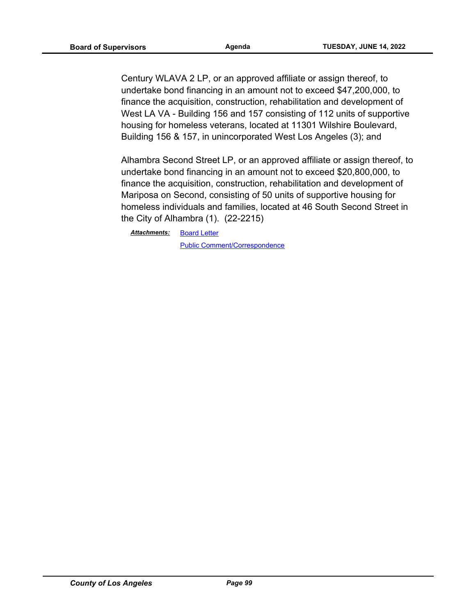Century WLAVA 2 LP, or an approved affiliate or assign thereof, to undertake bond financing in an amount not to exceed \$47,200,000, to finance the acquisition, construction, rehabilitation and development of West LA VA - Building 156 and 157 consisting of 112 units of supportive housing for homeless veterans, located at 11301 Wilshire Boulevard, Building 156 & 157, in unincorporated West Los Angeles (3); and

Alhambra Second Street LP, or an approved affiliate or assign thereof, to undertake bond financing in an amount not to exceed \$20,800,000, to finance the acquisition, construction, rehabilitation and development of Mariposa on Second, consisting of 50 units of supportive housing for homeless individuals and families, located at 46 South Second Street in the City of Alhambra (1). (22-2215)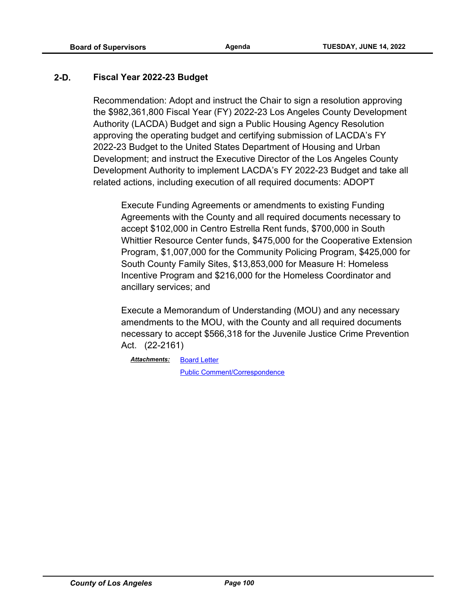## **2-D. Fiscal Year 2022-23 Budget**

Recommendation: Adopt and instruct the Chair to sign a resolution approving the \$982,361,800 Fiscal Year (FY) 2022-23 Los Angeles County Development Authority (LACDA) Budget and sign a Public Housing Agency Resolution approving the operating budget and certifying submission of LACDA's FY 2022-23 Budget to the United States Department of Housing and Urban Development; and instruct the Executive Director of the Los Angeles County Development Authority to implement LACDA's FY 2022-23 Budget and take all related actions, including execution of all required documents: ADOPT

Execute Funding Agreements or amendments to existing Funding Agreements with the County and all required documents necessary to accept \$102,000 in Centro Estrella Rent funds, \$700,000 in South Whittier Resource Center funds, \$475,000 for the Cooperative Extension Program, \$1,007,000 for the Community Policing Program, \$425,000 for South County Family Sites, \$13,853,000 for Measure H: Homeless Incentive Program and \$216,000 for the Homeless Coordinator and ancillary services; and

Execute a Memorandum of Understanding (MOU) and any necessary amendments to the MOU, with the County and all required documents necessary to accept \$566,318 for the Juvenile Justice Crime Prevention Act. (22-2161)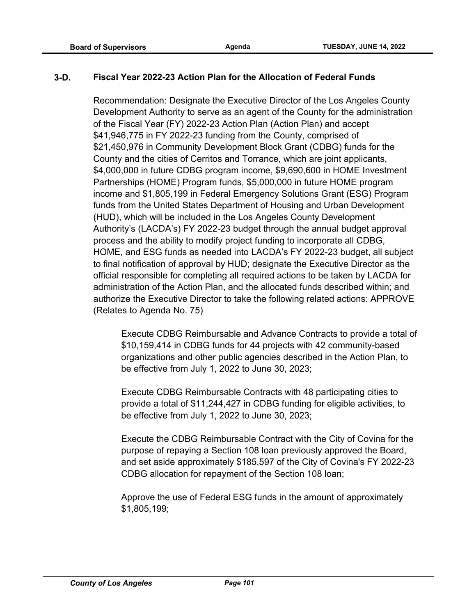## **3-D. Fiscal Year 2022-23 Action Plan for the Allocation of Federal Funds**

Recommendation: Designate the Executive Director of the Los Angeles County Development Authority to serve as an agent of the County for the administration of the Fiscal Year (FY) 2022-23 Action Plan (Action Plan) and accept \$41,946,775 in FY 2022-23 funding from the County, comprised of \$21,450,976 in Community Development Block Grant (CDBG) funds for the County and the cities of Cerritos and Torrance, which are joint applicants, \$4,000,000 in future CDBG program income, \$9,690,600 in HOME Investment Partnerships (HOME) Program funds, \$5,000,000 in future HOME program income and \$1,805,199 in Federal Emergency Solutions Grant (ESG) Program funds from the United States Department of Housing and Urban Development (HUD), which will be included in the Los Angeles County Development Authority's (LACDA's) FY 2022-23 budget through the annual budget approval process and the ability to modify project funding to incorporate all CDBG, HOME, and ESG funds as needed into LACDA's FY 2022-23 budget, all subject to final notification of approval by HUD; designate the Executive Director as the official responsible for completing all required actions to be taken by LACDA for administration of the Action Plan, and the allocated funds described within; and authorize the Executive Director to take the following related actions: APPROVE (Relates to Agenda No. 75)

Execute CDBG Reimbursable and Advance Contracts to provide a total of \$10,159,414 in CDBG funds for 44 projects with 42 community-based organizations and other public agencies described in the Action Plan, to be effective from July 1, 2022 to June 30, 2023;

Execute CDBG Reimbursable Contracts with 48 participating cities to provide a total of \$11,244,427 in CDBG funding for eligible activities, to be effective from July 1, 2022 to June 30, 2023;

Execute the CDBG Reimbursable Contract with the City of Covina for the purpose of repaying a Section 108 loan previously approved the Board, and set aside approximately \$185,597 of the City of Covina's FY 2022-23 CDBG allocation for repayment of the Section 108 loan;

Approve the use of Federal ESG funds in the amount of approximately \$1,805,199;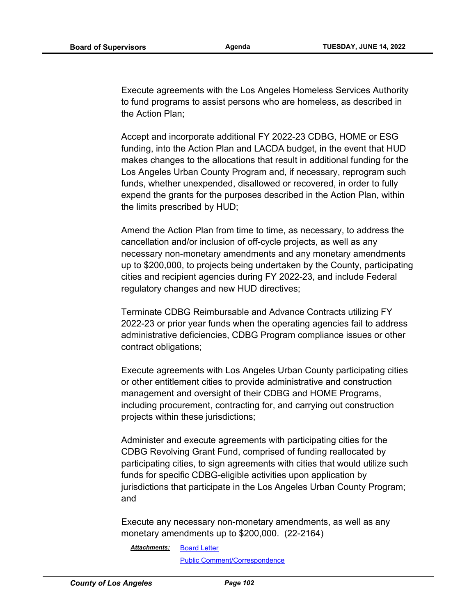Execute agreements with the Los Angeles Homeless Services Authority to fund programs to assist persons who are homeless, as described in the Action Plan;

Accept and incorporate additional FY 2022-23 CDBG, HOME or ESG funding, into the Action Plan and LACDA budget, in the event that HUD makes changes to the allocations that result in additional funding for the Los Angeles Urban County Program and, if necessary, reprogram such funds, whether unexpended, disallowed or recovered, in order to fully expend the grants for the purposes described in the Action Plan, within the limits prescribed by HUD;

Amend the Action Plan from time to time, as necessary, to address the cancellation and/or inclusion of off-cycle projects, as well as any necessary non-monetary amendments and any monetary amendments up to \$200,000, to projects being undertaken by the County, participating cities and recipient agencies during FY 2022-23, and include Federal regulatory changes and new HUD directives;

Terminate CDBG Reimbursable and Advance Contracts utilizing FY 2022-23 or prior year funds when the operating agencies fail to address administrative deficiencies, CDBG Program compliance issues or other contract obligations;

Execute agreements with Los Angeles Urban County participating cities or other entitlement cities to provide administrative and construction management and oversight of their CDBG and HOME Programs, including procurement, contracting for, and carrying out construction projects within these jurisdictions;

Administer and execute agreements with participating cities for the CDBG Revolving Grant Fund, comprised of funding reallocated by participating cities, to sign agreements with cities that would utilize such funds for specific CDBG-eligible activities upon application by jurisdictions that participate in the Los Angeles Urban County Program; and

Execute any necessary non-monetary amendments, as well as any monetary amendments up to \$200,000. (22-2164)

[Board Letter](http://file.lacounty.gov/SDSInter/bos/supdocs/169567.pdf) *Attachments:*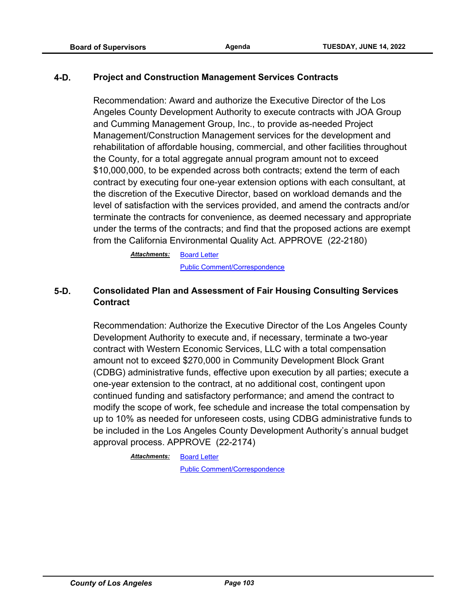#### **4-D. Project and Construction Management Services Contracts**

Recommendation: Award and authorize the Executive Director of the Los Angeles County Development Authority to execute contracts with JOA Group and Cumming Management Group, Inc., to provide as-needed Project Management/Construction Management services for the development and rehabilitation of affordable housing, commercial, and other facilities throughout the County, for a total aggregate annual program amount not to exceed \$10,000,000, to be expended across both contracts; extend the term of each contract by executing four one-year extension options with each consultant, at the discretion of the Executive Director, based on workload demands and the level of satisfaction with the services provided, and amend the contracts and/or terminate the contracts for convenience, as deemed necessary and appropriate under the terms of the contracts; and find that the proposed actions are exempt from the California Environmental Quality Act. APPROVE (22-2180)

> [Board Letter](http://file.lacounty.gov/SDSInter/bos/supdocs/169599.pdf) [Public Comment/Correspondence](http://file.lacounty.gov/SDSInter/bos/supdocs/169600.pdf) *Attachments:*

# **5-D. Consolidated Plan and Assessment of Fair Housing Consulting Services Contract**

Recommendation: Authorize the Executive Director of the Los Angeles County Development Authority to execute and, if necessary, terminate a two-year contract with Western Economic Services, LLC with a total compensation amount not to exceed \$270,000 in Community Development Block Grant (CDBG) administrative funds, effective upon execution by all parties; execute a one-year extension to the contract, at no additional cost, contingent upon continued funding and satisfactory performance; and amend the contract to modify the scope of work, fee schedule and increase the total compensation by up to 10% as needed for unforeseen costs, using CDBG administrative funds to be included in the Los Angeles County Development Authority's annual budget approval process. APPROVE (22-2174)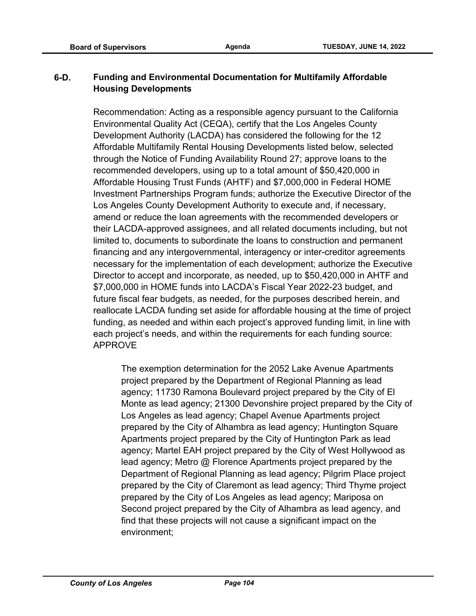# **6-D. Funding and Environmental Documentation for Multifamily Affordable Housing Developments**

Recommendation: Acting as a responsible agency pursuant to the California Environmental Quality Act (CEQA), certify that the Los Angeles County Development Authority (LACDA) has considered the following for the 12 Affordable Multifamily Rental Housing Developments listed below, selected through the Notice of Funding Availability Round 27; approve loans to the recommended developers, using up to a total amount of \$50,420,000 in Affordable Housing Trust Funds (AHTF) and \$7,000,000 in Federal HOME Investment Partnerships Program funds; authorize the Executive Director of the Los Angeles County Development Authority to execute and, if necessary, amend or reduce the loan agreements with the recommended developers or their LACDA-approved assignees, and all related documents including, but not limited to, documents to subordinate the loans to construction and permanent financing and any intergovernmental, interagency or inter-creditor agreements necessary for the implementation of each development; authorize the Executive Director to accept and incorporate, as needed, up to \$50,420,000 in AHTF and \$7,000,000 in HOME funds into LACDA's Fiscal Year 2022-23 budget, and future fiscal fear budgets, as needed, for the purposes described herein, and reallocate LACDA funding set aside for affordable housing at the time of project funding, as needed and within each project's approved funding limit, in line with each project's needs, and within the requirements for each funding source: APPROVE

The exemption determination for the 2052 Lake Avenue Apartments project prepared by the Department of Regional Planning as lead agency; 11730 Ramona Boulevard project prepared by the City of El Monte as lead agency; 21300 Devonshire project prepared by the City of Los Angeles as lead agency; Chapel Avenue Apartments project prepared by the City of Alhambra as lead agency; Huntington Square Apartments project prepared by the City of Huntington Park as lead agency; Martel EAH project prepared by the City of West Hollywood as lead agency; Metro @ Florence Apartments project prepared by the Department of Regional Planning as lead agency; Pilgrim Place project prepared by the City of Claremont as lead agency; Third Thyme project prepared by the City of Los Angeles as lead agency; Mariposa on Second project prepared by the City of Alhambra as lead agency, and find that these projects will not cause a significant impact on the environment;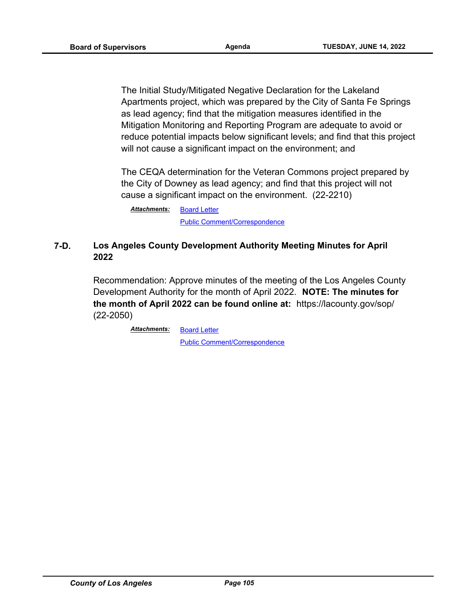The Initial Study/Mitigated Negative Declaration for the Lakeland Apartments project, which was prepared by the City of Santa Fe Springs as lead agency; find that the mitigation measures identified in the Mitigation Monitoring and Reporting Program are adequate to avoid or reduce potential impacts below significant levels; and find that this project will not cause a significant impact on the environment; and

The CEQA determination for the Veteran Commons project prepared by the City of Downey as lead agency; and find that this project will not cause a significant impact on the environment. (22-2210)

[Board Letter](http://file.lacounty.gov/SDSInter/bos/supdocs/169671.pdf) [Public Comment/Correspondence](http://file.lacounty.gov/SDSInter/bos/supdocs/169672.pdf) *Attachments:*

# **7-D. Los Angeles County Development Authority Meeting Minutes for April 2022**

Recommendation: Approve minutes of the meeting of the Los Angeles County Development Authority for the month of April 2022. **NOTE: The minutes for the month of April 2022 can be found online at:** https://lacounty.gov/sop/ (22-2050)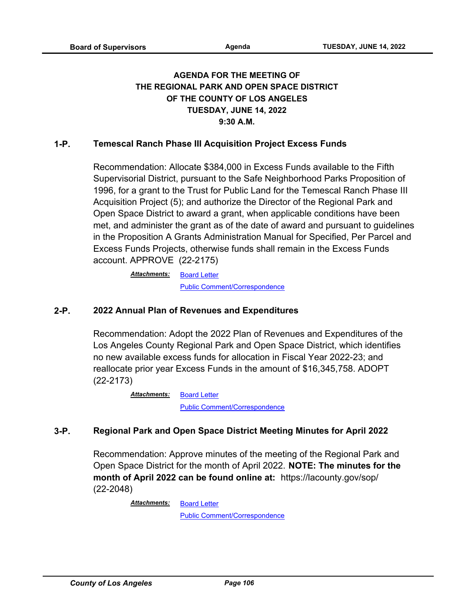# **AGENDA FOR THE MEETING OF THE REGIONAL PARK AND OPEN SPACE DISTRICT OF THE COUNTY OF LOS ANGELES TUESDAY, JUNE 14, 2022 9:30 A.M.**

# **1-P. Temescal Ranch Phase III Acquisition Project Excess Funds**

Recommendation: Allocate \$384,000 in Excess Funds available to the Fifth Supervisorial District, pursuant to the Safe Neighborhood Parks Proposition of 1996, for a grant to the Trust for Public Land for the Temescal Ranch Phase III Acquisition Project (5); and authorize the Director of the Regional Park and Open Space District to award a grant, when applicable conditions have been met, and administer the grant as of the date of award and pursuant to guidelines in the Proposition A Grants Administration Manual for Specified, Per Parcel and Excess Funds Projects, otherwise funds shall remain in the Excess Funds account. APPROVE (22-2175)

> [Board Letter](http://file.lacounty.gov/SDSInter/bos/supdocs/169590.pdf) *Attachments:* [Public Comment/Correspondence](http://file.lacounty.gov/SDSInter/bos/supdocs/169592.pdf)

## **2-P. 2022 Annual Plan of Revenues and Expenditures**

Recommendation: Adopt the 2022 Plan of Revenues and Expenditures of the Los Angeles County Regional Park and Open Space District, which identifies no new available excess funds for allocation in Fiscal Year 2022-23; and reallocate prior year Excess Funds in the amount of \$16,345,758. ADOPT (22-2173)

> [Board Letter](http://file.lacounty.gov/SDSInter/bos/supdocs/169587.pdf) [Public Comment/Correspondence](http://file.lacounty.gov/SDSInter/bos/supdocs/169588.pdf) *Attachments:*

## **3-P. Regional Park and Open Space District Meeting Minutes for April 2022**

Recommendation: Approve minutes of the meeting of the Regional Park and Open Space District for the month of April 2022. **NOTE: The minutes for the month of April 2022 can be found online at:** https://lacounty.gov/sop/ (22-2048)

> [Board Letter](http://file.lacounty.gov/SDSInter/bos/supdocs/169384.pdf) *Attachments:*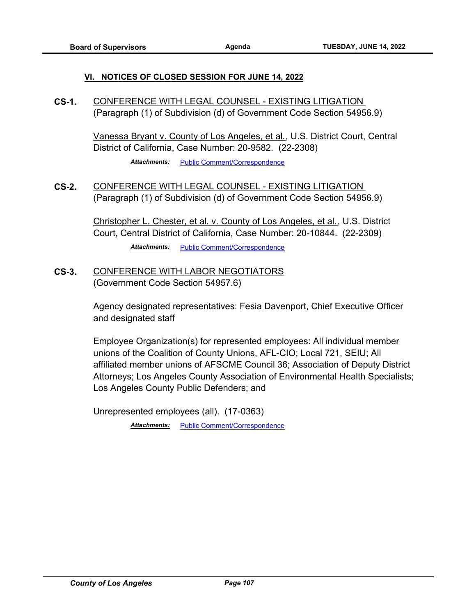#### **VI. NOTICES OF CLOSED SESSION FOR JUNE 14, 2022**

**CS-1.** CONFERENCE WITH LEGAL COUNSEL - EXISTING LITIGATION (Paragraph (1) of Subdivision (d) of Government Code Section 54956.9)

> Vanessa Bryant v. County of Los Angeles, et al., U.S. District Court, Central District of California, Case Number: 20-9582. (22-2308)

> > *Attachments:* [Public Comment/Correspondence](http://file.lacounty.gov/SDSInter/bos/supdocs/169887.pdf)

**CS-2.** CONFERENCE WITH LEGAL COUNSEL - EXISTING LITIGATION (Paragraph (1) of Subdivision (d) of Government Code Section 54956.9)

> Christopher L. Chester, et al. v. County of Los Angeles, et al., U.S. District Court, Central District of California, Case Number: 20-10844. (22-2309) Attachments: [Public Comment/Correspondence](http://file.lacounty.gov/SDSInter/bos/supdocs/169888.pdf)

**CS-3.** CONFERENCE WITH LABOR NEGOTIATORS (Government Code Section 54957.6)

> Agency designated representatives: Fesia Davenport, Chief Executive Officer and designated staff

Employee Organization(s) for represented employees: All individual member unions of the Coalition of County Unions, AFL-CIO; Local 721, SEIU; All affiliated member unions of AFSCME Council 36; Association of Deputy District Attorneys; Los Angeles County Association of Environmental Health Specialists; Los Angeles County Public Defenders; and

Unrepresented employees (all). (17-0363)

*Attachments:* [Public Comment/Correspondence](http://file.lacounty.gov/SDSInter/bos/supdocs/169886.pdf)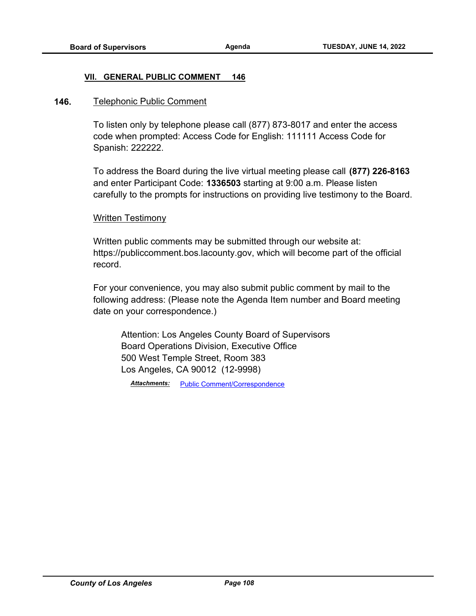### **VII. GENERAL PUBLIC COMMENT 146**

### **146.** Telephonic Public Comment

To listen only by telephone please call (877) 873-8017 and enter the access code when prompted: Access Code for English: 111111 Access Code for Spanish: 222222.

To address the Board during the live virtual meeting please call **(877) 226-8163** and enter Participant Code: **1336503** starting at 9:00 a.m. Please listen carefully to the prompts for instructions on providing live testimony to the Board.

## Written Testimony

Written public comments may be submitted through our website at: https://publiccomment.bos.lacounty.gov, which will become part of the official record.

For your convenience, you may also submit public comment by mail to the following address: (Please note the Agenda Item number and Board meeting date on your correspondence.)

Attention: Los Angeles County Board of Supervisors Board Operations Division, Executive Office 500 West Temple Street, Room 383 Los Angeles, CA 90012 (12-9998)

*Attachments:* [Public Comment/Correspondence](http://file.lacounty.gov/SDSInter/bos/supdocs/169738.pdf)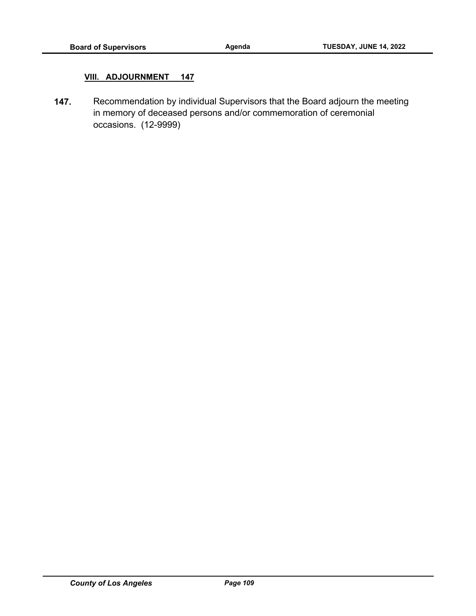## **VIII. ADJOURNMENT 147**

**147.** Recommendation by individual Supervisors that the Board adjourn the meeting in memory of deceased persons and/or commemoration of ceremonial occasions. (12-9999)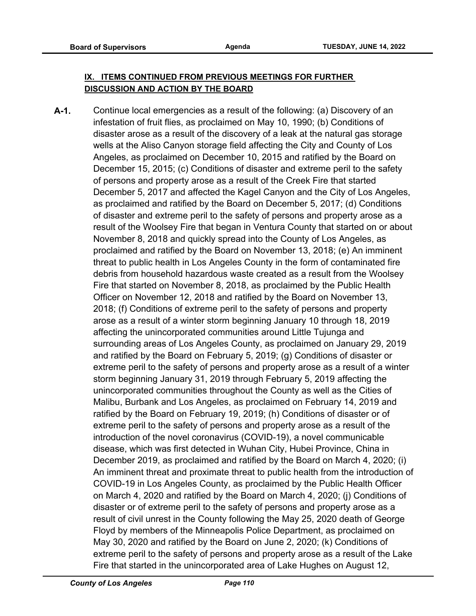# **IX. ITEMS CONTINUED FROM PREVIOUS MEETINGS FOR FURTHER DISCUSSION AND ACTION BY THE BOARD**

**A-1.** Continue local emergencies as a result of the following: (a) Discovery of an infestation of fruit flies, as proclaimed on May 10, 1990; (b) Conditions of disaster arose as a result of the discovery of a leak at the natural gas storage wells at the Aliso Canyon storage field affecting the City and County of Los Angeles, as proclaimed on December 10, 2015 and ratified by the Board on December 15, 2015; (c) Conditions of disaster and extreme peril to the safety of persons and property arose as a result of the Creek Fire that started December 5, 2017 and affected the Kagel Canyon and the City of Los Angeles, as proclaimed and ratified by the Board on December 5, 2017; (d) Conditions of disaster and extreme peril to the safety of persons and property arose as a result of the Woolsey Fire that began in Ventura County that started on or about November 8, 2018 and quickly spread into the County of Los Angeles, as proclaimed and ratified by the Board on November 13, 2018; (e) An imminent threat to public health in Los Angeles County in the form of contaminated fire debris from household hazardous waste created as a result from the Woolsey Fire that started on November 8, 2018, as proclaimed by the Public Health Officer on November 12, 2018 and ratified by the Board on November 13, 2018; (f) Conditions of extreme peril to the safety of persons and property arose as a result of a winter storm beginning January 10 through 18, 2019 affecting the unincorporated communities around Little Tujunga and surrounding areas of Los Angeles County, as proclaimed on January 29, 2019 and ratified by the Board on February 5, 2019; (g) Conditions of disaster or extreme peril to the safety of persons and property arose as a result of a winter storm beginning January 31, 2019 through February 5, 2019 affecting the unincorporated communities throughout the County as well as the Cities of Malibu, Burbank and Los Angeles, as proclaimed on February 14, 2019 and ratified by the Board on February 19, 2019; (h) Conditions of disaster or of extreme peril to the safety of persons and property arose as a result of the introduction of the novel coronavirus (COVID-19), a novel communicable disease, which was first detected in Wuhan City, Hubei Province, China in December 2019, as proclaimed and ratified by the Board on March 4, 2020; (i) An imminent threat and proximate threat to public health from the introduction of COVID-19 in Los Angeles County, as proclaimed by the Public Health Officer on March 4, 2020 and ratified by the Board on March 4, 2020; (j) Conditions of disaster or of extreme peril to the safety of persons and property arose as a result of civil unrest in the County following the May 25, 2020 death of George Floyd by members of the Minneapolis Police Department, as proclaimed on May 30, 2020 and ratified by the Board on June 2, 2020; (k) Conditions of extreme peril to the safety of persons and property arose as a result of the Lake Fire that started in the unincorporated area of Lake Hughes on August 12,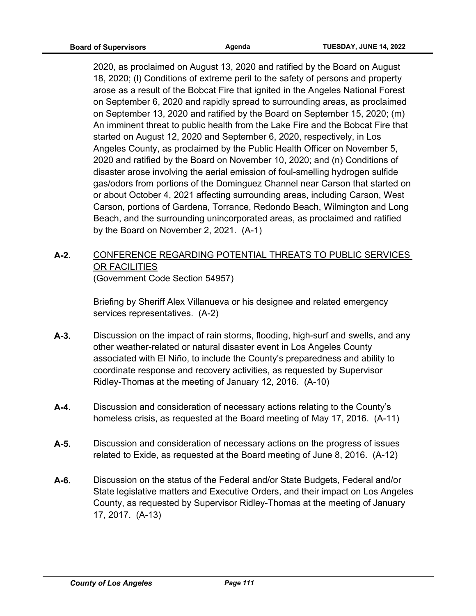2020, as proclaimed on August 13, 2020 and ratified by the Board on August 18, 2020; (l) Conditions of extreme peril to the safety of persons and property arose as a result of the Bobcat Fire that ignited in the Angeles National Forest on September 6, 2020 and rapidly spread to surrounding areas, as proclaimed on September 13, 2020 and ratified by the Board on September 15, 2020; (m) An imminent threat to public health from the Lake Fire and the Bobcat Fire that started on August 12, 2020 and September 6, 2020, respectively, in Los Angeles County, as proclaimed by the Public Health Officer on November 5, 2020 and ratified by the Board on November 10, 2020; and (n) Conditions of disaster arose involving the aerial emission of foul-smelling hydrogen sulfide gas/odors from portions of the Dominguez Channel near Carson that started on or about October 4, 2021 affecting surrounding areas, including Carson, West Carson, portions of Gardena, Torrance, Redondo Beach, Wilmington and Long Beach, and the surrounding unincorporated areas, as proclaimed and ratified by the Board on November 2, 2021. (A-1)

# **A-2.** CONFERENCE REGARDING POTENTIAL THREATS TO PUBLIC SERVICES OR FACILITIES (Government Code Section 54957)

Briefing by Sheriff Alex Villanueva or his designee and related emergency services representatives. (A-2)

- **A-3.** Discussion on the impact of rain storms, flooding, high-surf and swells, and any other weather-related or natural disaster event in Los Angeles County associated with El Niño, to include the County's preparedness and ability to coordinate response and recovery activities, as requested by Supervisor Ridley-Thomas at the meeting of January 12, 2016. (A-10)
- **A-4.** Discussion and consideration of necessary actions relating to the County's homeless crisis, as requested at the Board meeting of May 17, 2016. (A-11)
- **A-5.** Discussion and consideration of necessary actions on the progress of issues related to Exide, as requested at the Board meeting of June 8, 2016. (A-12)
- **A-6.** Discussion on the status of the Federal and/or State Budgets, Federal and/or State legislative matters and Executive Orders, and their impact on Los Angeles County, as requested by Supervisor Ridley-Thomas at the meeting of January 17, 2017. (A-13)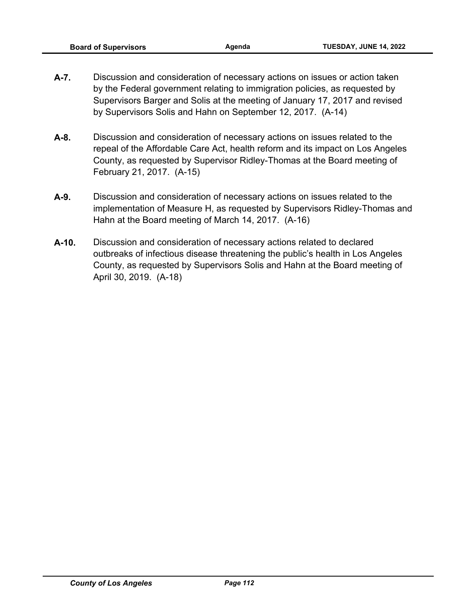- **A-7.** Discussion and consideration of necessary actions on issues or action taken by the Federal government relating to immigration policies, as requested by Supervisors Barger and Solis at the meeting of January 17, 2017 and revised by Supervisors Solis and Hahn on September 12, 2017. (A-14)
- **A-8.** Discussion and consideration of necessary actions on issues related to the repeal of the Affordable Care Act, health reform and its impact on Los Angeles County, as requested by Supervisor Ridley-Thomas at the Board meeting of February 21, 2017. (A-15)
- **A-9.** Discussion and consideration of necessary actions on issues related to the implementation of Measure H, as requested by Supervisors Ridley-Thomas and Hahn at the Board meeting of March 14, 2017. (A-16)
- **A-10.** Discussion and consideration of necessary actions related to declared outbreaks of infectious disease threatening the public's health in Los Angeles County, as requested by Supervisors Solis and Hahn at the Board meeting of April 30, 2019. (A-18)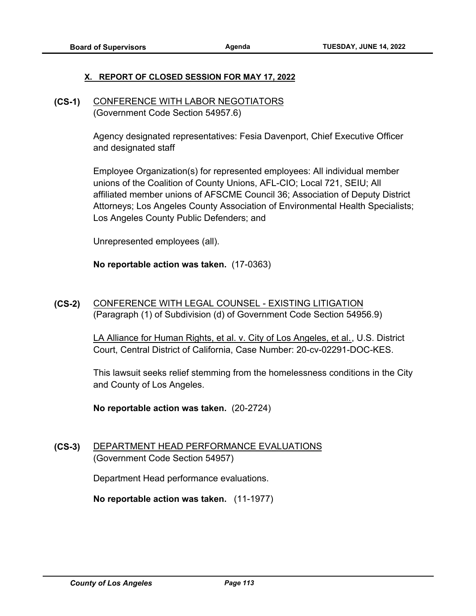## **X. REPORT OF CLOSED SESSION FOR MAY 17, 2022**

**(CS-1)** CONFERENCE WITH LABOR NEGOTIATORS (Government Code Section 54957.6)

> Agency designated representatives: Fesia Davenport, Chief Executive Officer and designated staff

Employee Organization(s) for represented employees: All individual member unions of the Coalition of County Unions, AFL-CIO; Local 721, SEIU; All affiliated member unions of AFSCME Council 36; Association of Deputy District Attorneys; Los Angeles County Association of Environmental Health Specialists; Los Angeles County Public Defenders; and

Unrepresented employees (all).

**No reportable action was taken.** (17-0363)

**(CS-2)** CONFERENCE WITH LEGAL COUNSEL - EXISTING LITIGATION (Paragraph (1) of Subdivision (d) of Government Code Section 54956.9)

> LA Alliance for Human Rights, et al. v. City of Los Angeles, et al., U.S. District Court, Central District of California, Case Number: 20-cv-02291-DOC-KES.

This lawsuit seeks relief stemming from the homelessness conditions in the City and County of Los Angeles.

**No reportable action was taken.** (20-2724)

**(CS-3)** DEPARTMENT HEAD PERFORMANCE EVALUATIONS (Government Code Section 54957)

Department Head performance evaluations.

**No reportable action was taken.** (11-1977)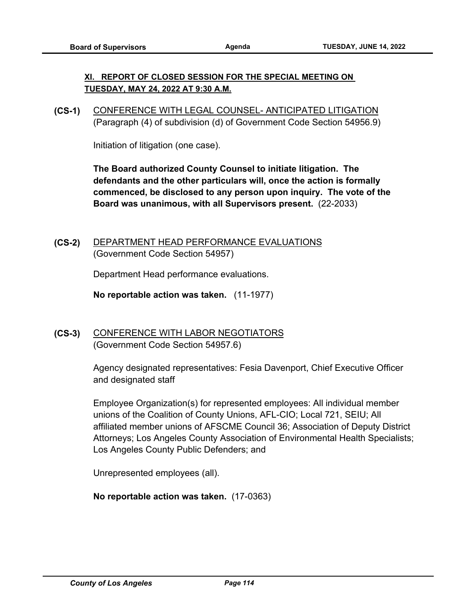## **XI. REPORT OF CLOSED SESSION FOR THE SPECIAL MEETING ON TUESDAY, MAY 24, 2022 AT 9:30 A.M.**

**(CS-1)** CONFERENCE WITH LEGAL COUNSEL- ANTICIPATED LITIGATION (Paragraph (4) of subdivision (d) of Government Code Section 54956.9)

Initiation of litigation (one case).

**The Board authorized County Counsel to initiate litigation. The defendants and the other particulars will, once the action is formally commenced, be disclosed to any person upon inquiry. The vote of the Board was unanimous, with all Supervisors present.** (22-2033)

**(CS-2)** DEPARTMENT HEAD PERFORMANCE EVALUATIONS (Government Code Section 54957)

Department Head performance evaluations.

**No reportable action was taken.** (11-1977)

**(CS-3)** CONFERENCE WITH LABOR NEGOTIATORS (Government Code Section 54957.6)

> Agency designated representatives: Fesia Davenport, Chief Executive Officer and designated staff

Employee Organization(s) for represented employees: All individual member unions of the Coalition of County Unions, AFL-CIO; Local 721, SEIU; All affiliated member unions of AFSCME Council 36; Association of Deputy District Attorneys; Los Angeles County Association of Environmental Health Specialists; Los Angeles County Public Defenders; and

Unrepresented employees (all).

**No reportable action was taken.** (17-0363)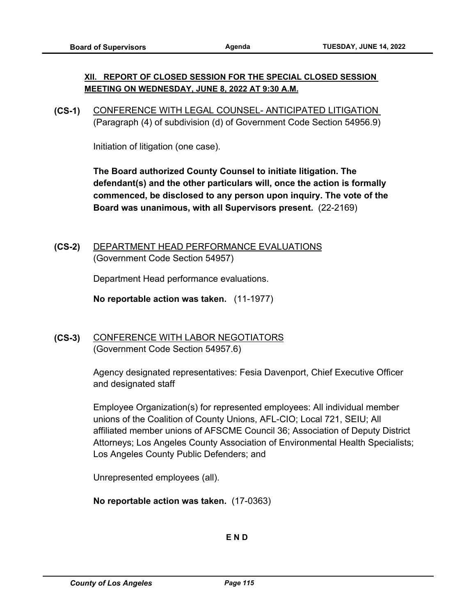# **XII. REPORT OF CLOSED SESSION FOR THE SPECIAL CLOSED SESSION MEETING ON WEDNESDAY, JUNE 8, 2022 AT 9:30 A.M.**

**(CS-1)** CONFERENCE WITH LEGAL COUNSEL- ANTICIPATED LITIGATION (Paragraph (4) of subdivision (d) of Government Code Section 54956.9)

Initiation of litigation (one case).

**The Board authorized County Counsel to initiate litigation. The defendant(s) and the other particulars will, once the action is formally commenced, be disclosed to any person upon inquiry. The vote of the Board was unanimous, with all Supervisors present.** (22-2169)

**(CS-2)** DEPARTMENT HEAD PERFORMANCE EVALUATIONS (Government Code Section 54957)

Department Head performance evaluations.

**No reportable action was taken.** (11-1977)

# **(CS-3)** CONFERENCE WITH LABOR NEGOTIATORS (Government Code Section 54957.6)

Agency designated representatives: Fesia Davenport, Chief Executive Officer and designated staff

Employee Organization(s) for represented employees: All individual member unions of the Coalition of County Unions, AFL-CIO; Local 721, SEIU; All affiliated member unions of AFSCME Council 36; Association of Deputy District Attorneys; Los Angeles County Association of Environmental Health Specialists; Los Angeles County Public Defenders; and

Unrepresented employees (all).

**No reportable action was taken.** (17-0363)

**E N D**